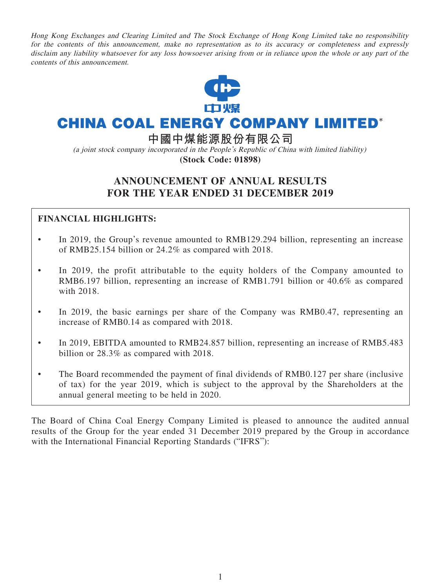Hong Kong Exchanges and Clearing Limited and The Stock Exchange of Hong Kong Limited take no responsibility for the contents of this announcement, make no representation as to its accuracy or completeness and expressly disclaim any liability whatsoever for any loss howsoever arising from or in reliance upon the whole or any part of the contents of this announcement.



# **CHINA COAL ENERGY COMPANY LIMITED\***

**中國中煤能源股份有限公司**

(a joint stock company incorporated in the People's Republic of China with limited liability) **(Stock Code: 01898)**

## **ANNOUNCEMENT OF ANNUAL RESULTS FOR THE YEAR ENDED 31 DECEMBER 2019**

## **FINANCIAL HIGHLIGHTS:**

- In 2019, the Group's revenue amounted to RMB129.294 billion, representing an increase of RMB25.154 billion or 24.2% as compared with 2018.
- In 2019, the profit attributable to the equity holders of the Company amounted to RMB6.197 billion, representing an increase of RMB1.791 billion or 40.6% as compared with 2018.
- In 2019, the basic earnings per share of the Company was RMB0.47, representing an increase of RMB0.14 as compared with 2018.
- In 2019, EBITDA amounted to RMB24.857 billion, representing an increase of RMB5.483 billion or 28.3% as compared with 2018.
- The Board recommended the payment of final dividends of RMB0.127 per share (inclusive of tax) for the year 2019, which is subject to the approval by the Shareholders at the annual general meeting to be held in 2020.

The Board of China Coal Energy Company Limited is pleased to announce the audited annual results of the Group for the year ended 31 December 2019 prepared by the Group in accordance with the International Financial Reporting Standards ("IFRS"):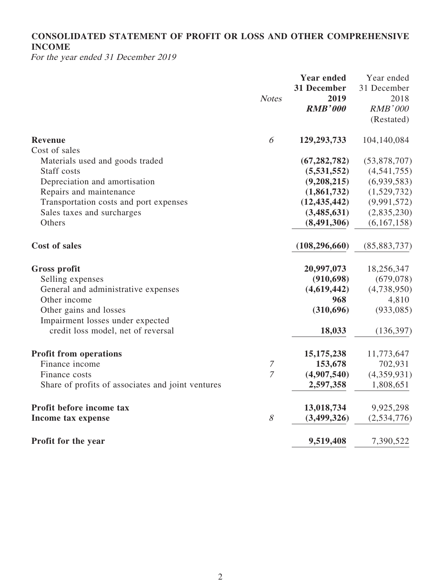## **CONSOLIDATED STATEMENT OF PROFIT OR LOSS AND OTHER COMPREHENSIVE INCOME**

For the year ended 31 December 2019

|                                                   |                  | <b>Year ended</b><br>31 December | Year ended<br>31 December |
|---------------------------------------------------|------------------|----------------------------------|---------------------------|
|                                                   | <b>Notes</b>     | 2019                             | 2018                      |
|                                                   |                  | <b>RMB'000</b>                   | RMB'000                   |
|                                                   |                  |                                  | (Restated)                |
| Revenue                                           | 6                | 129,293,733                      | 104,140,084               |
| Cost of sales                                     |                  |                                  |                           |
| Materials used and goods traded                   |                  | (67, 282, 782)                   | (53,878,707)              |
| Staff costs                                       |                  | (5,531,552)                      | (4,541,755)               |
| Depreciation and amortisation                     |                  | (9,208,215)                      | (6,939,583)               |
| Repairs and maintenance                           |                  | (1,861,732)                      | (1,529,732)               |
| Transportation costs and port expenses            |                  | (12, 435, 442)                   | (9,991,572)               |
| Sales taxes and surcharges                        |                  | (3,485,631)                      | (2,835,230)               |
| Others                                            |                  | (8,491,306)                      | (6,167,158)               |
| <b>Cost of sales</b>                              |                  | (108, 296, 660)                  | (85, 883, 737)            |
| <b>Gross profit</b>                               |                  | 20,997,073                       | 18,256,347                |
| Selling expenses                                  |                  | (910, 698)                       | (679, 078)                |
| General and administrative expenses               |                  | (4,619,442)                      | (4,738,950)               |
| Other income                                      |                  | 968                              | 4,810                     |
| Other gains and losses                            |                  | (310, 696)                       | (933, 085)                |
| Impairment losses under expected                  |                  |                                  |                           |
| credit loss model, net of reversal                |                  | 18,033                           | (136, 397)                |
| <b>Profit from operations</b>                     |                  | 15, 175, 238                     | 11,773,647                |
| Finance income                                    | $\boldsymbol{7}$ | 153,678                          | 702,931                   |
| Finance costs                                     | $\overline{7}$   | (4,907,540)                      | (4,359,931)               |
| Share of profits of associates and joint ventures |                  | 2,597,358                        | 1,808,651                 |
| Profit before income tax                          |                  | 13,018,734                       | 9,925,298                 |
| Income tax expense                                | 8                | (3,499,326)                      | (2,534,776)               |
| Profit for the year                               |                  | 9,519,408                        | 7,390,522                 |
|                                                   |                  |                                  |                           |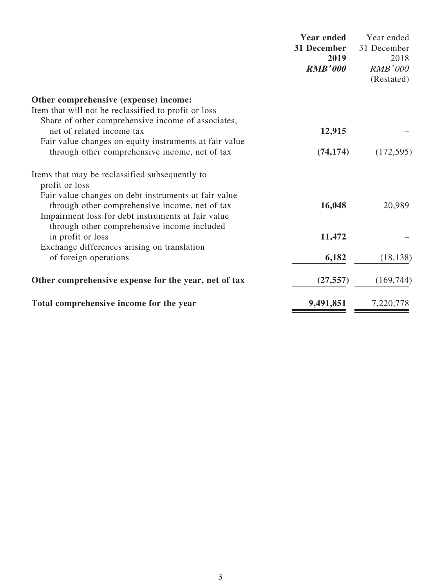|                                                                                                                                                                                                             | <b>Year ended</b><br>31 December<br>2019<br><b>RMB'000</b> | Year ended<br>31 December<br>2018<br><b>RMB'000</b><br>(Restated) |
|-------------------------------------------------------------------------------------------------------------------------------------------------------------------------------------------------------------|------------------------------------------------------------|-------------------------------------------------------------------|
| Other comprehensive (expense) income:                                                                                                                                                                       |                                                            |                                                                   |
| Item that will not be reclassified to profit or loss                                                                                                                                                        |                                                            |                                                                   |
| Share of other comprehensive income of associates,<br>net of related income tax                                                                                                                             | 12,915                                                     |                                                                   |
| Fair value changes on equity instruments at fair value<br>through other comprehensive income, net of tax                                                                                                    | (74, 174)                                                  | (172, 595)                                                        |
| Items that may be reclassified subsequently to<br>profit or loss                                                                                                                                            |                                                            |                                                                   |
| Fair value changes on debt instruments at fair value<br>through other comprehensive income, net of tax<br>Impairment loss for debt instruments at fair value<br>through other comprehensive income included | 16,048                                                     | 20,989                                                            |
| in profit or loss                                                                                                                                                                                           | 11,472                                                     |                                                                   |
| Exchange differences arising on translation                                                                                                                                                                 |                                                            |                                                                   |
| of foreign operations                                                                                                                                                                                       | 6,182                                                      | (18, 138)                                                         |
| Other comprehensive expense for the year, net of tax                                                                                                                                                        | (27, 557)                                                  | (169, 744)                                                        |
| Total comprehensive income for the year                                                                                                                                                                     | 9,491,851                                                  | 7,220,778                                                         |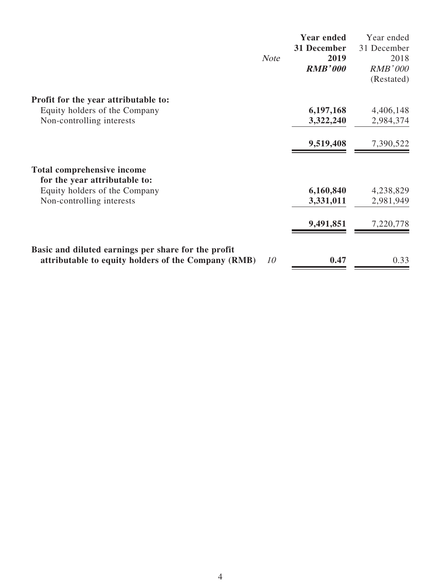|                                                                                                                  | <b>Year ended</b> | Year ended     |
|------------------------------------------------------------------------------------------------------------------|-------------------|----------------|
|                                                                                                                  | 31 December       | 31 December    |
| <b>Note</b>                                                                                                      | 2019              | 2018           |
|                                                                                                                  | <b>RMB'000</b>    | <b>RMB'000</b> |
|                                                                                                                  |                   | (Restated)     |
| Profit for the year attributable to:                                                                             |                   |                |
| Equity holders of the Company                                                                                    | 6,197,168         | 4,406,148      |
| Non-controlling interests                                                                                        | 3,322,240         | 2,984,374      |
|                                                                                                                  | 9,519,408         | 7,390,522      |
| <b>Total comprehensive income</b>                                                                                |                   |                |
| for the year attributable to:                                                                                    |                   |                |
| Equity holders of the Company                                                                                    | 6,160,840         | 4,238,829      |
| Non-controlling interests                                                                                        | 3,331,011         | 2,981,949      |
|                                                                                                                  | 9,491,851         | 7,220,778      |
| Basic and diluted earnings per share for the profit<br>attributable to equity holders of the Company (RMB)<br>10 | 0.47              | 0.33           |
|                                                                                                                  |                   |                |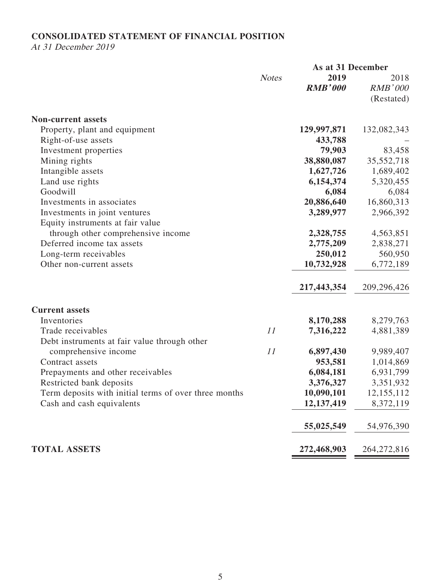### **CONSOLIDATED STATEMENT OF FINANCIAL POSITION**

At 31 December 2019

|                                                       |              |                | As at 31 December |  |
|-------------------------------------------------------|--------------|----------------|-------------------|--|
|                                                       | <b>Notes</b> | 2019           | 2018              |  |
|                                                       |              | <b>RMB'000</b> | <b>RMB'000</b>    |  |
|                                                       |              |                | (Restated)        |  |
| <b>Non-current assets</b>                             |              |                |                   |  |
| Property, plant and equipment                         |              | 129,997,871    | 132,082,343       |  |
| Right-of-use assets                                   |              | 433,788        |                   |  |
| Investment properties                                 |              | 79,903         | 83,458            |  |
| Mining rights                                         |              | 38,880,087     | 35,552,718        |  |
| Intangible assets                                     |              | 1,627,726      | 1,689,402         |  |
| Land use rights                                       |              | 6,154,374      | 5,320,455         |  |
| Goodwill                                              |              | 6,084          | 6,084             |  |
| Investments in associates                             |              | 20,886,640     | 16,860,313        |  |
| Investments in joint ventures                         |              | 3,289,977      | 2,966,392         |  |
| Equity instruments at fair value                      |              |                |                   |  |
| through other comprehensive income                    |              | 2,328,755      | 4,563,851         |  |
| Deferred income tax assets                            |              | 2,775,209      | 2,838,271         |  |
| Long-term receivables                                 |              | 250,012        | 560,950           |  |
| Other non-current assets                              |              | 10,732,928     | 6,772,189         |  |
|                                                       |              | 217,443,354    | 209,296,426       |  |
| <b>Current assets</b>                                 |              |                |                   |  |
| Inventories                                           |              | 8,170,288      | 8,279,763         |  |
| Trade receivables                                     | 11           | 7,316,222      | 4,881,389         |  |
| Debt instruments at fair value through other          |              |                |                   |  |
| comprehensive income                                  | 11           | 6,897,430      | 9,989,407         |  |
| Contract assets                                       |              | 953,581        | 1,014,869         |  |
| Prepayments and other receivables                     |              | 6,084,181      | 6,931,799         |  |
| Restricted bank deposits                              |              | 3,376,327      | 3,351,932         |  |
| Term deposits with initial terms of over three months |              | 10,090,101     | 12,155,112        |  |
| Cash and cash equivalents                             |              | 12,137,419     | 8,372,119         |  |
|                                                       |              | 55,025,549     | 54,976,390        |  |
| <b>TOTAL ASSETS</b>                                   |              | 272,468,903    | 264, 272, 816     |  |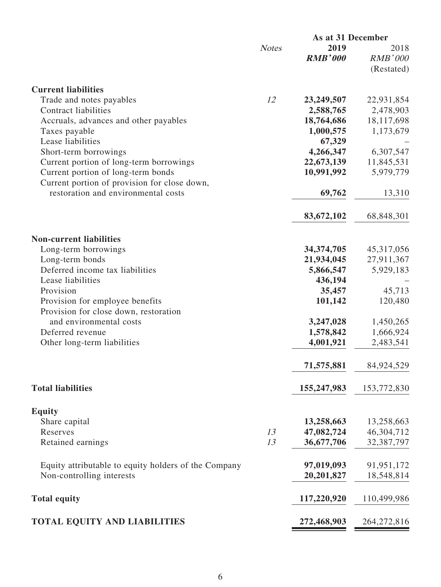|                                                                          | As at 31 December |                |                |
|--------------------------------------------------------------------------|-------------------|----------------|----------------|
|                                                                          | <b>Notes</b>      | 2019           | 2018           |
|                                                                          |                   | <b>RMB'000</b> | <b>RMB'000</b> |
|                                                                          |                   |                | (Restated)     |
|                                                                          |                   |                |                |
| <b>Current liabilities</b>                                               |                   |                |                |
| Trade and notes payables                                                 | 12                | 23,249,507     | 22,931,854     |
| <b>Contract liabilities</b>                                              |                   | 2,588,765      | 2,478,903      |
| Accruals, advances and other payables                                    |                   | 18,764,686     | 18,117,698     |
| Taxes payable                                                            |                   | 1,000,575      | 1,173,679      |
| Lease liabilities                                                        |                   | 67,329         |                |
| Short-term borrowings                                                    |                   | 4,266,347      | 6,307,547      |
|                                                                          |                   | 22,673,139     |                |
| Current portion of long-term borrowings                                  |                   |                | 11,845,531     |
| Current portion of long-term bonds                                       |                   | 10,991,992     | 5,979,779      |
| Current portion of provision for close down,                             |                   |                |                |
| restoration and environmental costs                                      |                   | 69,762         | 13,310         |
|                                                                          |                   |                |                |
|                                                                          |                   | 83,672,102     | 68,848,301     |
|                                                                          |                   |                |                |
| <b>Non-current liabilities</b>                                           |                   |                |                |
| Long-term borrowings                                                     |                   | 34, 374, 705   | 45, 317, 056   |
| Long-term bonds                                                          |                   | 21,934,045     | 27,911,367     |
| Deferred income tax liabilities                                          |                   | 5,866,547      | 5,929,183      |
| Lease liabilities                                                        |                   | 436,194        |                |
| Provision                                                                |                   | 35,457         | 45,713         |
|                                                                          |                   | 101,142        | 120,480        |
| Provision for employee benefits<br>Provision for close down, restoration |                   |                |                |
|                                                                          |                   |                |                |
| and environmental costs                                                  |                   | 3,247,028      | 1,450,265      |
| Deferred revenue                                                         |                   | 1,578,842      | 1,666,924      |
| Other long-term liabilities                                              |                   | 4,001,921      | 2,483,541      |
|                                                                          |                   |                |                |
|                                                                          |                   | 71,575,881     | 84,924,529     |
|                                                                          |                   |                |                |
| <b>Total liabilities</b>                                                 |                   | 155,247,983    | 153,772,830    |
|                                                                          |                   |                |                |
| <b>Equity</b>                                                            |                   |                |                |
| Share capital                                                            |                   | 13,258,663     | 13,258,663     |
| Reserves                                                                 | 13                | 47,082,724     | 46,304,712     |
|                                                                          | 13                | 36,677,706     |                |
| Retained earnings                                                        |                   |                | 32,387,797     |
|                                                                          |                   |                |                |
| Equity attributable to equity holders of the Company                     |                   | 97,019,093     | 91,951,172     |
| Non-controlling interests                                                |                   | 20,201,827     | 18,548,814     |
|                                                                          |                   |                |                |
| <b>Total equity</b>                                                      |                   | 117,220,920    | 110,499,986    |
|                                                                          |                   |                |                |
| <b>TOTAL EQUITY AND LIABILITIES</b>                                      |                   | 272,468,903    | 264, 272, 816  |
|                                                                          |                   |                |                |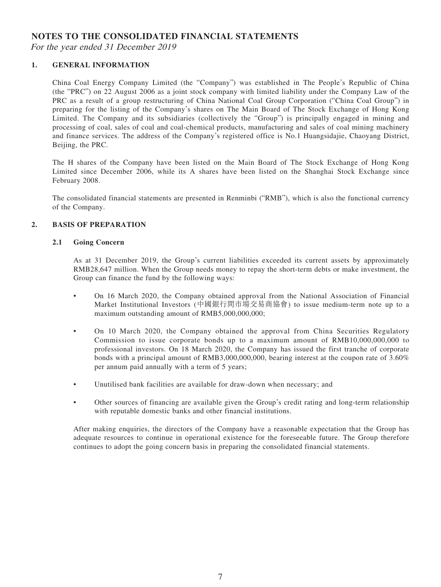### **NOTES TO THE CONSOLIDATED FINANCIAL STATEMENTS**

For the year ended 31 December 2019

### **1. GENERAL INFORMATION**

China Coal Energy Company Limited (the "Company") was established in The People's Republic of China (the "PRC") on 22 August 2006 as a joint stock company with limited liability under the Company Law of the PRC as a result of a group restructuring of China National Coal Group Corporation ("China Coal Group") in preparing for the listing of the Company's shares on The Main Board of The Stock Exchange of Hong Kong Limited. The Company and its subsidiaries (collectively the "Group") is principally engaged in mining and processing of coal, sales of coal and coal-chemical products, manufacturing and sales of coal mining machinery and finance services. The address of the Company's registered office is No.1 Huangsidajie, Chaoyang District, Beijing, the PRC.

The H shares of the Company have been listed on the Main Board of The Stock Exchange of Hong Kong Limited since December 2006, while its A shares have been listed on the Shanghai Stock Exchange since February 2008.

The consolidated financial statements are presented in Renminbi ("RMB"), which is also the functional currency of the Company.

#### **2. BASIS OF PREPARATION**

#### **2.1 Going Concern**

As at 31 December 2019, the Group's current liabilities exceeded its current assets by approximately RMB28,647 million. When the Group needs money to repay the short-term debts or make investment, the Group can finance the fund by the following ways:

- On 16 March 2020, the Company obtained approval from the National Association of Financial Market Institutional Investors (中國銀行間市場交易商協會) to issue medium-term note up to a maximum outstanding amount of RMB5,000,000,000;
- On 10 March 2020, the Company obtained the approval from China Securities Regulatory Commission to issue corporate bonds up to a maximum amount of RMB10,000,000,000 to professional investors. On 18 March 2020, the Company has issued the first tranche of corporate bonds with a principal amount of RMB3,000,000,000, bearing interest at the coupon rate of 3.60% per annum paid annually with a term of 5 years;
- Unutilised bank facilities are available for draw-down when necessary; and
- Other sources of financing are available given the Group's credit rating and long-term relationship with reputable domestic banks and other financial institutions.

After making enquiries, the directors of the Company have a reasonable expectation that the Group has adequate resources to continue in operational existence for the foreseeable future. The Group therefore continues to adopt the going concern basis in preparing the consolidated financial statements.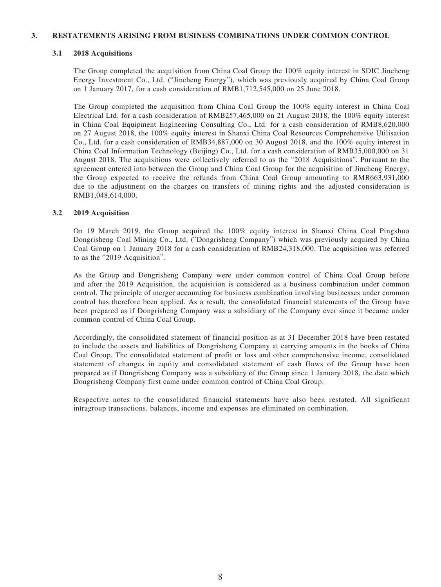#### **3. RESTATEMENTS ARISING FROM BUSINESS COMBINATIONS UNDER COMMON CONTROL**

#### **3.1 2018 Acquisitions**

The Group completed the acquisition from China Coal Group the 100% equity interest in SDIC Jincheng Energy Investment Co., Ltd. ("Jincheng Energy"), which was previously acquired by China Coal Group on 1 January 2017, for a cash consideration of RMB1,712,545,000 on 25 June 2018.

The Group completed the acquisition from China Coal Group the 100% equity interest in China Coal Electrical Ltd. for a cash consideration of RMB257,465,000 on 21 August 2018, the 100% equity interest in China Coal Equipment Engineering Consulting Co., Ltd. for a cash consideration of RMB8,620,000 on 27 August 2018, the 100% equity interest in Shanxi China Coal Resources Comprehensive Utilisation Co., Ltd. for a cash consideration of RMB34,887,000 on 30 August 2018, and the 100% equity interest in China Coal Information Technology (Beijing) Co., Ltd. for a cash consideration of RMB35,000,000 on 31 August 2018. The acquisitions were collectively referred to as the "2018 Acquisitions". Pursuant to the agreement entered into between the Group and China Coal Group for the acquisition of Jincheng Energy, the Group expected to receive the refunds from China Coal Group amounting to RMB663,931,000 due to the adjustment on the charges on transfers of mining rights and the adjusted consideration is RMB1,048,614,000.

#### **3.2 2019 Acquisition**

On 19 March 2019, the Group acquired the 100% equity interest in Shanxi China Coal Pingshuo Dongrisheng Coal Mining Co., Ltd. ("Dongrisheng Company") which was previously acquired by China Coal Group on 1 January 2018 for a cash consideration of RMB24,318,000. The acquisition was referred to as the "2019 Acquisition".

As the Group and Dongrisheng Company were under common control of China Coal Group before and after the 2019 Acquisition, the acquisition is considered as a business combination under common control. The principle of merger accounting for business combination involving businesses under common control has therefore been applied. As a result, the consolidated financial statements of the Group have been prepared as if Dongrisheng Company was a subsidiary of the Company ever since it became under common control of China Coal Group.

Accordingly, the consolidated statement of financial position as at 31 December 2018 have been restated to include the assets and liabilities of Dongrisheng Company at carrying amounts in the books of China Coal Group. The consolidated statement of profit or loss and other comprehensive income, consolidated statement of changes in equity and consolidated statement of cash flows of the Group have been prepared as if Dongrisheng Company was a subsidiary of the Group since 1 January 2018, the date which Dongrisheng Company first came under common control of China Coal Group.

Respective notes to the consolidated financial statements have also been restated. All significant intragroup transactions, balances, income and expenses are eliminated on combination.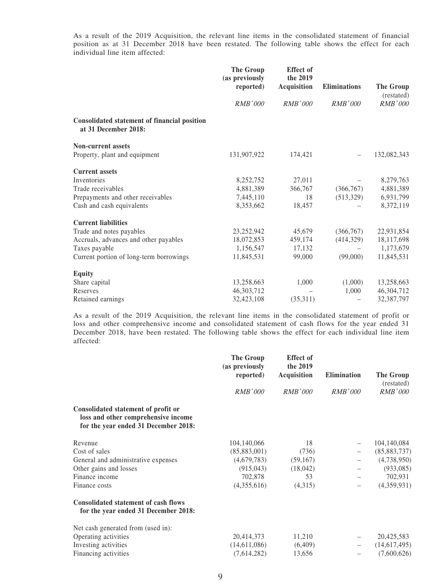As a result of the 2019 Acquisition, the relevant line items in the consolidated statement of financial position as at 31 December 2018 have been restated. The following table shows the effect for each individual line item affected:

|                                                                      | <b>Effect</b> of<br><b>The Group</b><br>the 2019<br>(as previously<br>reported)<br>Acquisition |                | Eliminations   | <b>The Group</b> |  |
|----------------------------------------------------------------------|------------------------------------------------------------------------------------------------|----------------|----------------|------------------|--|
|                                                                      |                                                                                                |                |                | (restated)       |  |
|                                                                      | <b>RMB'000</b>                                                                                 | <b>RMB'000</b> | <b>RMB'000</b> | <i>RMB'000</i>   |  |
| Consolidated statement of financial position<br>at 31 December 2018: |                                                                                                |                |                |                  |  |
| <b>Non-current assets</b>                                            |                                                                                                |                |                |                  |  |
| Property, plant and equipment                                        | 131,907,922                                                                                    | 174,421        |                | 132,082,343      |  |
| <b>Current assets</b>                                                |                                                                                                |                |                |                  |  |
| Inventories                                                          | 8,252,752                                                                                      | 27,011         |                | 8,279,763        |  |
| Trade receivables                                                    | 4,881,389                                                                                      | 366,767        | (366, 767)     | 4,881,389        |  |
| Prepayments and other receivables                                    | 7,445,110                                                                                      | 18             | (513, 329)     | 6,931,799        |  |
| Cash and cash equivalents                                            | 8,353,662                                                                                      | 18,457         |                | 8,372,119        |  |
| <b>Current liabilities</b>                                           |                                                                                                |                |                |                  |  |
| Trade and notes payables                                             | 23, 252, 942                                                                                   | 45,679         | (366, 767)     | 22,931,854       |  |
| Accruals, advances and other payables                                | 18,072,853                                                                                     | 459,174        | (414,329)      | 18,117,698       |  |
| Taxes payable                                                        | 1,156,547                                                                                      | 17,132         |                | 1,173,679        |  |
| Current portion of long-term borrowings                              | 11,845,531                                                                                     | 99,000         | (99,000)       | 11,845,531       |  |
| <b>Equity</b>                                                        |                                                                                                |                |                |                  |  |
| Share capital                                                        | 13,258,663                                                                                     | 1,000          | (1,000)        | 13,258,663       |  |
| Reserves                                                             | 46, 303, 712                                                                                   |                | 1,000          | 46,304,712       |  |
| Retained earnings                                                    | 32,423,108                                                                                     | (35,311)       |                | 32,387,797       |  |

As a result of the 2019 Acquisition, the relevant line items in the consolidated statement of profit or loss and other comprehensive income and consolidated statement of cash flows for the year ended 31 December 2018, have been restated. The following table shows the effect for each individual line item affected:

|                                                                                                                    | The Group<br>(as previously<br>reported) | <b>Effect</b> of<br>the 2019<br>Acquisition | Elimination | The Group             |
|--------------------------------------------------------------------------------------------------------------------|------------------------------------------|---------------------------------------------|-------------|-----------------------|
|                                                                                                                    | RMB'000                                  | <i>RMB'000</i>                              |             | (restated)<br>RMB'000 |
| Consolidated statement of profit or<br>loss and other comprehensive income<br>for the year ended 31 December 2018: |                                          |                                             |             |                       |
| Revenue                                                                                                            | 104,140,066                              | 18                                          |             | 104,140,084           |
| Cost of sales                                                                                                      | (85,883,001)                             | (736)                                       |             | (85,883,737)          |
| General and administrative expenses                                                                                | (4,679,783)                              | (59,167)                                    |             | (4,738,950)           |
| Other gains and losses                                                                                             | (915, 043)                               | (18,042)                                    |             | (933,085)             |
| Finance income                                                                                                     | 702,878                                  | 53                                          |             | 702,931               |
| Finance costs                                                                                                      | (4,355,616)                              | (4,315)                                     |             | (4,359,931)           |
| <b>Consolidated statement of cash flows</b><br>for the year ended 31 December 2018:                                |                                          |                                             |             |                       |
| Net cash generated from (used in):                                                                                 |                                          |                                             |             |                       |
| Operating activities                                                                                               | 20,414,373                               | 11,210                                      |             | 20,425,583            |
| Investing activities                                                                                               | (14,611,086)                             | (6,409)                                     |             | (14,617,495)          |
| Financing activities                                                                                               | (7,614,282)                              | 13,656                                      |             | (7,600,626)           |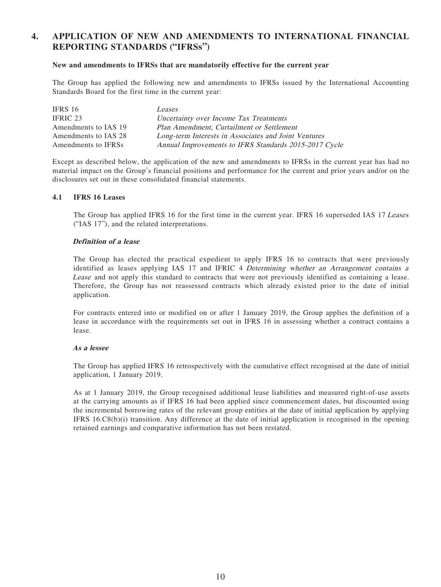### **4. APPLICATION OF NEW AND AMENDMENTS TO INTERNATIONAL FINANCIAL REPORTING STANDARDS ("IFRSs")**

#### **New and amendments to IFRSs that are mandatorily effective for the current year**

The Group has applied the following new and amendments to IFRSs issued by the International Accounting Standards Board for the first time in the current year:

| IFRS 16              | Leases                                                |
|----------------------|-------------------------------------------------------|
| IFRIC 23             | Uncertainty over Income Tax Treatments                |
| Amendments to IAS 19 | Plan Amendment, Curtailment or Settlement             |
| Amendments to IAS 28 | Long-term Interests in Associates and Joint Ventures  |
| Amendments to IFRSs  | Annual Improvements to IFRS Standards 2015-2017 Cycle |

Except as described below, the application of the new and amendments to IFRSs in the current year has had no material impact on the Group's financial positions and performance for the current and prior years and/or on the disclosures set out in these consolidated financial statements.

#### **4.1 IFRS 16 Leases**

The Group has applied IFRS 16 for the first time in the current year. IFRS 16 superseded IAS 17 Leases ("IAS 17"), and the related interpretations.

#### **Definition of a lease**

The Group has elected the practical expedient to apply IFRS 16 to contracts that were previously identified as leases applying IAS 17 and IFRIC 4 Determining whether an Arrangement contains a Lease and not apply this standard to contracts that were not previously identified as containing a lease. Therefore, the Group has not reassessed contracts which already existed prior to the date of initial application.

For contracts entered into or modified on or after 1 January 2019, the Group applies the definition of a lease in accordance with the requirements set out in IFRS 16 in assessing whether a contract contains a lease.

#### **As a lessee**

The Group has applied IFRS 16 retrospectively with the cumulative effect recognised at the date of initial application, 1 January 2019.

As at 1 January 2019, the Group recognised additional lease liabilities and measured right-of-use assets at the carrying amounts as if IFRS 16 had been applied since commencement dates, but discounted using the incremental borrowing rates of the relevant group entities at the date of initial application by applying IFRS 16.C8(b)(i) transition. Any difference at the date of initial application is recognised in the opening retained earnings and comparative information has not been restated.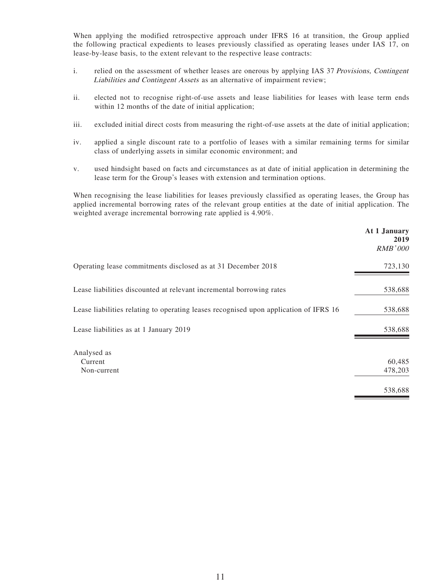When applying the modified retrospective approach under IFRS 16 at transition, the Group applied the following practical expedients to leases previously classified as operating leases under IAS 17, on lease-by-lease basis, to the extent relevant to the respective lease contracts:

- i. relied on the assessment of whether leases are onerous by applying IAS 37 Provisions, Contingent Liabilities and Contingent Assets as an alternative of impairment review;
- ii. elected not to recognise right-of-use assets and lease liabilities for leases with lease term ends within 12 months of the date of initial application;
- iii. excluded initial direct costs from measuring the right-of-use assets at the date of initial application;
- iv. applied a single discount rate to a portfolio of leases with a similar remaining terms for similar class of underlying assets in similar economic environment; and
- v. used hindsight based on facts and circumstances as at date of initial application in determining the lease term for the Group's leases with extension and termination options.

When recognising the lease liabilities for leases previously classified as operating leases, the Group has applied incremental borrowing rates of the relevant group entities at the date of initial application. The weighted average incremental borrowing rate applied is 4.90%.

|                                                                                       | At 1 January<br>2019<br><b>RMB'000</b> |
|---------------------------------------------------------------------------------------|----------------------------------------|
| Operating lease commitments disclosed as at 31 December 2018                          | 723,130                                |
| Lease liabilities discounted at relevant incremental borrowing rates                  | 538,688                                |
| Lease liabilities relating to operating leases recognised upon application of IFRS 16 | 538,688                                |
| Lease liabilities as at 1 January 2019                                                | 538,688                                |
| Analysed as                                                                           |                                        |
| Current                                                                               | 60,485                                 |
| Non-current                                                                           | 478,203                                |
|                                                                                       | 538,688                                |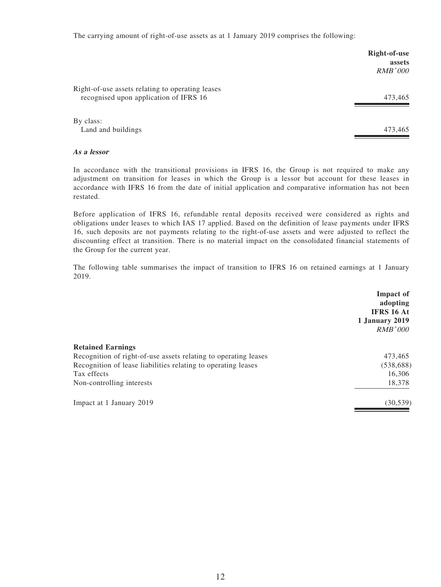The carrying amount of right-of-use assets as at 1 January 2019 comprises the following:

|                                                  | Right-of-use   |
|--------------------------------------------------|----------------|
|                                                  | assets         |
|                                                  | <i>RMB'000</i> |
| Right-of-use assets relating to operating leases |                |
| recognised upon application of IFRS 16           | 473,465        |
|                                                  |                |
| By class:                                        |                |
| Land and buildings                               | 473,465        |

#### **As a lessor**

In accordance with the transitional provisions in IFRS 16, the Group is not required to make any adjustment on transition for leases in which the Group is a lessor but account for these leases in accordance with IFRS 16 from the date of initial application and comparative information has not been restated.

Before application of IFRS 16, refundable rental deposits received were considered as rights and obligations under leases to which IAS 17 applied. Based on the definition of lease payments under IFRS 16, such deposits are not payments relating to the right-of-use assets and were adjusted to reflect the discounting effect at transition. There is no material impact on the consolidated financial statements of the Group for the current year.

The following table summarises the impact of transition to IFRS 16 on retained earnings at 1 January 2019.

|                                                                 | Impact of<br>adopting<br>IFRS 16 At<br>1 January 2019<br>RMB'000 |
|-----------------------------------------------------------------|------------------------------------------------------------------|
| <b>Retained Earnings</b>                                        |                                                                  |
| Recognition of right-of-use assets relating to operating leases | 473,465                                                          |
| Recognition of lease liabilities relating to operating leases   | (538, 688)                                                       |
| Tax effects                                                     | 16,306                                                           |
| Non-controlling interests                                       | 18,378                                                           |
| Impact at 1 January 2019                                        | (30, 539)                                                        |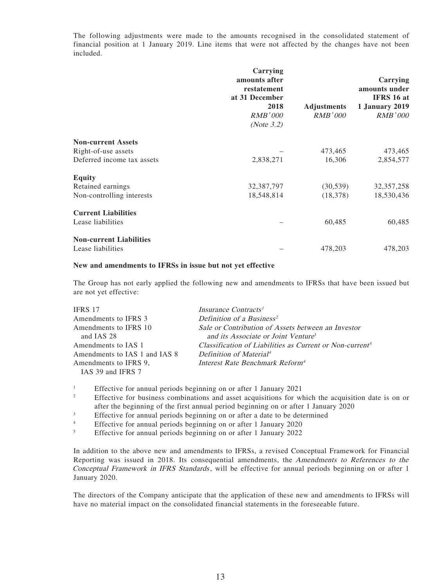The following adjustments were made to the amounts recognised in the consolidated statement of financial position at 1 January 2019. Line items that were not affected by the changes have not been included.

|                                | Carrying<br>amounts after<br>restatement<br>at 31 December<br>2018<br><b>RMB'000</b><br>(Note $3.2$ ) | <b>Adjustments</b><br>RMB'000 | Carrying<br>amounts under<br>IFRS 16 at<br><b>1 January 2019</b><br><i>RMB'000</i> |
|--------------------------------|-------------------------------------------------------------------------------------------------------|-------------------------------|------------------------------------------------------------------------------------|
| <b>Non-current Assets</b>      |                                                                                                       |                               |                                                                                    |
| Right-of-use assets            |                                                                                                       | 473,465                       | 473,465                                                                            |
| Deferred income tax assets     | 2,838,271                                                                                             | 16,306                        | 2,854,577                                                                          |
| <b>Equity</b>                  |                                                                                                       |                               |                                                                                    |
| Retained earnings              | 32,387,797                                                                                            | (30, 539)                     | 32, 357, 258                                                                       |
| Non-controlling interests      | 18,548,814                                                                                            | (18, 378)                     | 18,530,436                                                                         |
| <b>Current Liabilities</b>     |                                                                                                       |                               |                                                                                    |
| Lease liabilities              |                                                                                                       | 60,485                        | 60,485                                                                             |
| <b>Non-current Liabilities</b> |                                                                                                       |                               |                                                                                    |
| Lease liabilities              |                                                                                                       | 478,203                       | 478,203                                                                            |

#### **New and amendments to IFRSs in issue but not yet effective**

The Group has not early applied the following new and amendments to IFRSs that have been issued but are not yet effective:

| <b>IFRS 17</b>                | Insurance Contracts <sup>1</sup>                                     |
|-------------------------------|----------------------------------------------------------------------|
| Amendments to IFRS 3          | Definition of a Business <sup>2</sup>                                |
| Amendments to IFRS 10         | Sale or Contribution of Assets between an Investor                   |
| and IAS 28                    | and its Associate or Joint Venture <sup>3</sup>                      |
| Amendments to IAS 1           | Classification of Liabilities as Current or Non-current <sup>5</sup> |
| Amendments to IAS 1 and IAS 8 | Definition of Material <sup>4</sup>                                  |
| Amendments to IFRS 9.         | Interest Rate Benchmark Reform <sup>4</sup>                          |
| IAS 39 and IFRS 7             |                                                                      |

1 Effective for annual periods beginning on or after 1 January 2021

- 2 Effective for business combinations and asset acquisitions for which the acquisition date is on or after the beginning of the first annual period beginning on or after 1 January 2020
- 3 Effective for annual periods beginning on or after a date to be determined
- 4 Effective for annual periods beginning on or after 1 January 2020
- 5 Effective for annual periods beginning on or after 1 January 2022

In addition to the above new and amendments to IFRSs, a revised Conceptual Framework for Financial Reporting was issued in 2018. Its consequential amendments, the Amendments to References to the Conceptual Framework in IFRS Standards, will be effective for annual periods beginning on or after 1 January 2020.

The directors of the Company anticipate that the application of these new and amendments to IFRSs will have no material impact on the consolidated financial statements in the foreseeable future.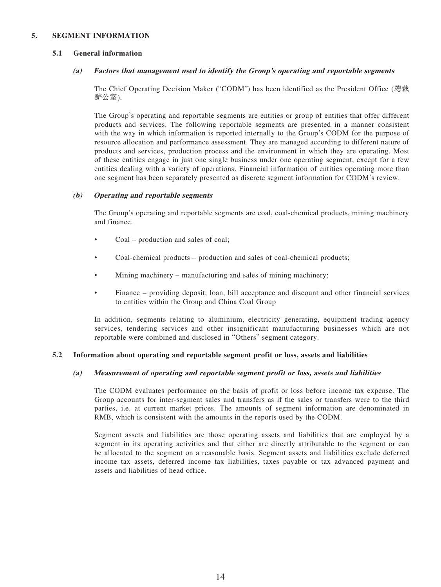#### **5. SEGMENT INFORMATION**

#### **5.1 General information**

#### **(a) Factors that management used to identify the Group's operating and reportable segments**

The Chief Operating Decision Maker ("CODM") has been identified as the President Office (總裁 辦公室).

The Group's operating and reportable segments are entities or group of entities that offer different products and services. The following reportable segments are presented in a manner consistent with the way in which information is reported internally to the Group's CODM for the purpose of resource allocation and performance assessment. They are managed according to different nature of products and services, production process and the environment in which they are operating. Most of these entities engage in just one single business under one operating segment, except for a few entities dealing with a variety of operations. Financial information of entities operating more than one segment has been separately presented as discrete segment information for CODM's review.

#### **(b) Operating and reportable segments**

The Group's operating and reportable segments are coal, coal-chemical products, mining machinery and finance.

- Coal production and sales of coal;
- Coal-chemical products production and sales of coal-chemical products;
- Mining machinery manufacturing and sales of mining machinery;
- Finance providing deposit, loan, bill acceptance and discount and other financial services to entities within the Group and China Coal Group

In addition, segments relating to aluminium, electricity generating, equipment trading agency services, tendering services and other insignificant manufacturing businesses which are not reportable were combined and disclosed in "Others" segment category.

#### **5.2 Information about operating and reportable segment profit or loss, assets and liabilities**

#### **(a) Measurement of operating and reportable segment profit or loss, assets and liabilities**

The CODM evaluates performance on the basis of profit or loss before income tax expense. The Group accounts for inter-segment sales and transfers as if the sales or transfers were to the third parties, i.e. at current market prices. The amounts of segment information are denominated in RMB, which is consistent with the amounts in the reports used by the CODM.

Segment assets and liabilities are those operating assets and liabilities that are employed by a segment in its operating activities and that either are directly attributable to the segment or can be allocated to the segment on a reasonable basis. Segment assets and liabilities exclude deferred income tax assets, deferred income tax liabilities, taxes payable or tax advanced payment and assets and liabilities of head office.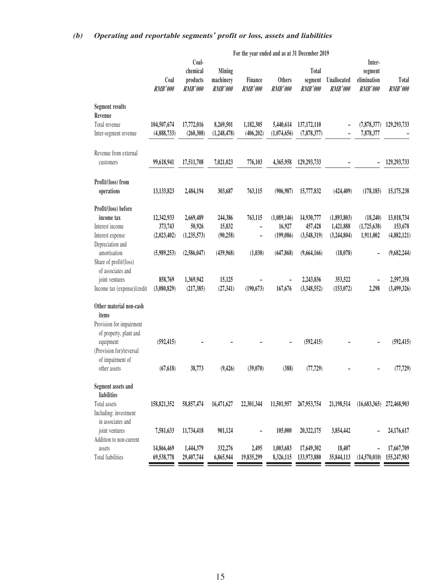### **(b) Operating and reportable segments' profit or loss, assets and liabilities**

|                             | For the year ended and as at 31 December 2019 |                                                 |                                       |                           |                                 |                                    |                               |                                                    |                         |
|-----------------------------|-----------------------------------------------|-------------------------------------------------|---------------------------------------|---------------------------|---------------------------------|------------------------------------|-------------------------------|----------------------------------------------------|-------------------------|
|                             | Coal<br><b>RMB'000</b>                        | Coal-<br>chemical<br>products<br><b>RMB'000</b> | Mining<br>machinery<br><b>RMB'000</b> | Finance<br><b>RMB'000</b> | <b>Others</b><br><b>RMB'000</b> | Total<br>segment<br><b>RMB'000</b> | Unallocated<br><b>RMB'000</b> | Inter-<br>segment<br>elimination<br><b>RMB'000</b> | Total<br><b>RMB'000</b> |
| <b>Segment results</b>      |                                               |                                                 |                                       |                           |                                 |                                    |                               |                                                    |                         |
| Revenue<br>Total revenue    | 104,507,674                                   | 17,772,016                                      | 8,269,501                             | 1,182,305                 | 5,440,614                       | 137,172,110                        |                               | (7,878,377)                                        | 129,293,733             |
| Inter-segment revenue       | (4,888,733)                                   | (260, 308)                                      | (1,248,478)                           | (406, 202)                | (1,074,656)                     | (7,878,377)                        |                               | 7,878,377                                          |                         |
| Revenue from external       |                                               |                                                 |                                       |                           |                                 |                                    |                               |                                                    |                         |
| customers                   | 99,618,941                                    | 17,511,708                                      | 7,021,023                             | 776,103                   | 4,365,958                       | 129,293,733                        |                               |                                                    | 129,293,733             |
| Profit/(loss) from          |                                               |                                                 |                                       |                           |                                 |                                    |                               |                                                    |                         |
| operations                  | 13,133,823                                    | 2,484,194                                       | 303,687                               | 763,115                   | (906, 987)                      | 15,777,832                         | (424, 409)                    | (178, 185)                                         | 15,175,238              |
| Profit/(loss) before        |                                               |                                                 |                                       |                           |                                 |                                    |                               |                                                    |                         |
| income tax                  | 12,342,933                                    | 2,669,489                                       | 244,386                               | 763,115                   | (1,089,146)                     | 14,930,777                         | (1,893,803)                   | (18,240)                                           | 13,018,734              |
| Interest income             | 373,743                                       | 50,926                                          | 15,832                                | $\overline{\phantom{a}}$  | 16,927                          | 457,428                            | 1,421,888                     | (1,725,638)                                        | 153,678                 |
| Interest expense            | (2,023,402)                                   | (1, 235, 573)                                   | (90, 258)                             | $\overline{\phantom{0}}$  | (199,086)                       | (3,548,319)                        | (3,244,804)                   | 1,911,002                                          | (4,882,121)             |
| Depreciation and            |                                               |                                                 |                                       |                           |                                 |                                    |                               |                                                    |                         |
| amortisation                | (5,989,253)                                   | (2,586,047)                                     | (439,968)                             | (1,030)                   | (647, 868)                      | (9,664,166)                        | (18,078)                      |                                                    | (9,682,244)             |
| Share of profit/(loss)      |                                               |                                                 |                                       |                           |                                 |                                    |                               |                                                    |                         |
| of associates and           |                                               |                                                 |                                       |                           |                                 |                                    |                               |                                                    |                         |
| joint ventures              | 858,769                                       | 1,369,942                                       | 15,125                                |                           |                                 | 2,243,836                          | 353,522                       |                                                    | 2,597,358               |
| Income tax (expense)/credit | (3,080,829)                                   | (217, 385)                                      | (27, 341)                             | (190, 673)                | 167,676                         | (3,348,552)                        | (153,072)                     | 2,298                                              | (3,499,326)             |
| Other material non-cash     |                                               |                                                 |                                       |                           |                                 |                                    |                               |                                                    |                         |
| items                       |                                               |                                                 |                                       |                           |                                 |                                    |                               |                                                    |                         |
| Provision for impairment    |                                               |                                                 |                                       |                           |                                 |                                    |                               |                                                    |                         |
| of property, plant and      |                                               |                                                 |                                       |                           |                                 |                                    |                               |                                                    |                         |
| equipment                   | (592, 415)                                    |                                                 |                                       |                           |                                 | (592, 415)                         |                               |                                                    | (592, 415)              |
| (Provision for)/reversal    |                                               |                                                 |                                       |                           |                                 |                                    |                               |                                                    |                         |
| of impairment of            |                                               |                                                 |                                       |                           |                                 |                                    |                               |                                                    |                         |
| other assets                | (67, 618)                                     | 38,773                                          | (9, 426)                              | (39,070)                  | (388)                           | (77, 729)                          |                               |                                                    | (77, 729)               |
| Segment assets and          |                                               |                                                 |                                       |                           |                                 |                                    |                               |                                                    |                         |
| liabilities                 |                                               |                                                 |                                       |                           |                                 |                                    |                               |                                                    |                         |
| Total assets                | 158,821,352                                   | 58,857,474                                      | 16,471,627                            | 22,301,344                | 11,501,957                      | 267,953,754                        | 21,198,514                    | (16, 683, 365)                                     | 272,468,903             |
| Including: investment       |                                               |                                                 |                                       |                           |                                 |                                    |                               |                                                    |                         |
| in associates and           |                                               |                                                 |                                       |                           |                                 |                                    |                               |                                                    |                         |
| joint ventures              | 7,581,633                                     | 11,734,418                                      | 901,124                               | $\overline{\phantom{0}}$  | 105,000                         | 20,322,175                         | 3,854,442                     |                                                    | 24,176,617              |
| Addition to non-current     |                                               |                                                 |                                       |                           |                                 |                                    |                               |                                                    |                         |
| assets                      | 14,866,469                                    | 1,444,379                                       | 332,276                               | 2,495                     | 1,003,683                       | 17,649,302                         | 18,407                        |                                                    | 17,667,709              |
| Total liabilities           | 69,538,778                                    | 29,407,744                                      | 6,865,944                             | 19,835,299                | 8,326,115                       | 133,973,880                        | 35,844,113                    | (14,570,010)                                       | 155,247,983             |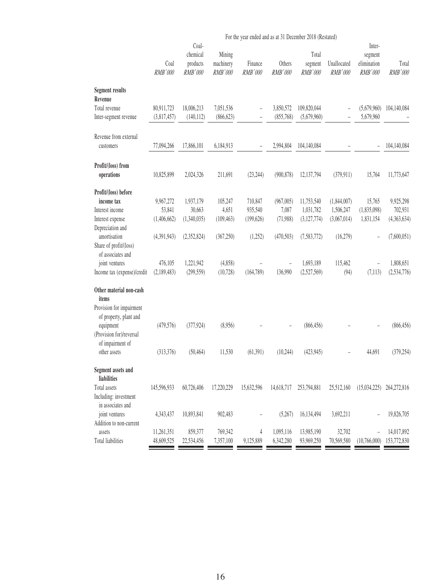|                                  |                 |                                          |                                | For the year ended and as at 31 December 2018 (Restated) |                          |                             |                                            |                                             |                  |
|----------------------------------|-----------------|------------------------------------------|--------------------------------|----------------------------------------------------------|--------------------------|-----------------------------|--------------------------------------------|---------------------------------------------|------------------|
|                                  | Coal<br>RMB'000 | Coal-<br>chemical<br>products<br>RMB'000 | Mining<br>machinery<br>RMB'000 | Finance<br>RMB'000                                       | Others<br>RMB'000        | Total<br>segment<br>RMB'000 | Unallocated<br>RMB'000                     | Inter-<br>segment<br>elimination<br>RMB'000 | Total<br>RMB'000 |
| <b>Segment results</b>           |                 |                                          |                                |                                                          |                          |                             |                                            |                                             |                  |
| Revenue<br>Total revenue         | 80,911,723      | 18,006,213                               | 7,051,536                      |                                                          | 3,850,572                | 109,820,044                 |                                            | (5,679,960)                                 | 104,140,084      |
| Inter-segment revenue            | (3,817,457)     | (140, 112)                               | (866, 623)                     | L,                                                       | (855,768)                | (5,679,960)                 | $\overline{a}$<br>$\overline{\phantom{0}}$ | 5,679,960                                   |                  |
|                                  |                 |                                          |                                |                                                          |                          |                             |                                            |                                             |                  |
| Revenue from external            |                 |                                          |                                |                                                          |                          |                             |                                            |                                             |                  |
| customers                        | 77,094,266      | 17,866,101                               | 6,184,913                      |                                                          | 2,994,804                | 104,140,084                 |                                            |                                             | 104,140,084      |
| Profit/(loss) from               |                 |                                          |                                |                                                          |                          |                             |                                            |                                             |                  |
| operations                       | 10,825,899      | 2,024,326                                | 211,691                        | (23, 244)                                                | (900, 878)               | 12,137,794                  | (379, 911)                                 | 15,764                                      | 11,773,647       |
| Profit/(loss) before             |                 |                                          |                                |                                                          |                          |                             |                                            |                                             |                  |
| income tax                       | 9,967,272       | 1,937,179                                | 105,247                        | 710,847                                                  | (967,005)                | 11,753,540                  | (1, 844, 007)                              | 15,765                                      | 9,925,298        |
| Interest income                  | 53,841          | 30,663                                   | 4,651                          | 935,540                                                  | 7,087                    | 1,031,782                   | 1,506,247                                  | (1,835,098)                                 | 702,931          |
| Interest expense                 | (1,406,662)     | (1,340,035)                              | (109, 463)                     | (199, 626)                                               | (71,988)                 | (3, 127, 774)               | (3,067,014)                                | 1,831,154                                   | (4,363,634)      |
| Depreciation and                 |                 |                                          |                                |                                                          |                          |                             |                                            |                                             |                  |
| amortisation                     | (4,391,943)     | (2,352,824)                              | (367, 250)                     | (1,252)                                                  | (470, 503)               | (7,583,772)                 | (16,279)                                   |                                             | (7,600,051)      |
| Share of profit/(loss)           |                 |                                          |                                |                                                          |                          |                             |                                            |                                             |                  |
| of associates and                |                 |                                          |                                |                                                          |                          |                             |                                            |                                             |                  |
| joint ventures                   | 476,105         | 1,221,942                                | (4,858)                        |                                                          | $\overline{\phantom{a}}$ | 1,693,189                   | 115,462                                    | $\overline{\phantom{0}}$                    | 1,808,651        |
| Income tax (expense)/credit      | (2,189,483)     | (299, 559)                               | (10, 728)                      | (164, 789)                                               | 136,990                  | (2,527,569)                 | (94)                                       | (7, 113)                                    | (2, 534, 776)    |
| Other material non-cash<br>items |                 |                                          |                                |                                                          |                          |                             |                                            |                                             |                  |
| Provision for impairment         |                 |                                          |                                |                                                          |                          |                             |                                            |                                             |                  |
| of property, plant and           |                 |                                          |                                |                                                          |                          |                             |                                            |                                             |                  |
| equipment                        | (479, 576)      | (377, 924)                               | (8,956)                        |                                                          |                          | (866, 456)                  |                                            |                                             | (866, 456)       |
| (Provision for)/reversal         |                 |                                          |                                |                                                          |                          |                             |                                            |                                             |                  |
| of impairment of                 |                 |                                          |                                |                                                          |                          |                             |                                            |                                             |                  |
| other assets                     | (313,376)       | (50, 464)                                | 11,530                         | (61, 391)                                                | (10, 244)                | (423, 945)                  |                                            | 44,691                                      | (379, 254)       |
| Segment assets and               |                 |                                          |                                |                                                          |                          |                             |                                            |                                             |                  |
| liabilities                      |                 |                                          |                                |                                                          |                          |                             |                                            |                                             |                  |
| Total assets                     | 145,596,933     | 60,726,406                               | 17,220,229                     | 15,632,596                                               | 14,618,717               | 253,794,881                 | 25,512,160                                 | (15,034,225)                                | 264,272,816      |
| Including: investment            |                 |                                          |                                |                                                          |                          |                             |                                            |                                             |                  |
| in associates and                |                 |                                          |                                |                                                          |                          |                             |                                            |                                             |                  |
| joint ventures                   | 4,343,437       | 10,893,841                               | 902,483                        |                                                          | (5,267)                  | 16,134,494                  | 3,692,211                                  |                                             | 19,826,705       |
| Addition to non-current          |                 |                                          |                                |                                                          |                          |                             |                                            |                                             |                  |
| assets                           | 11,261,351      | 859,377                                  | 769,342                        | 4                                                        | 1,095,116                | 13,985,190                  | 32,702                                     |                                             | 14,017,892       |
| Total liabilities                | 48,609,525      | 22,534,456                               | 7,357,100                      | 9,125,889                                                | 6,342,280                | 93,969,250                  | 70,569,580                                 | (10,766,000)                                | 153,772,830      |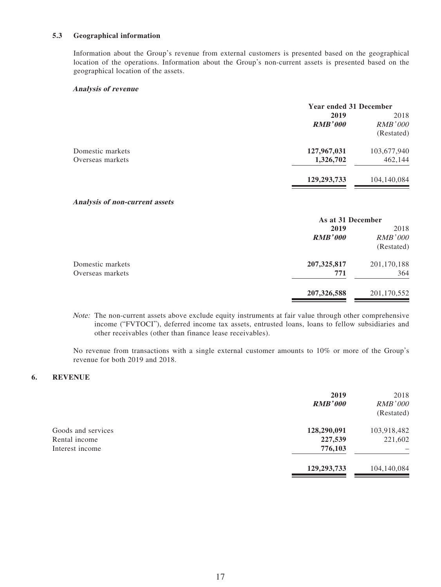#### **5.3 Geographical information**

Information about the Group's revenue from external customers is presented based on the geographical location of the operations. Information about the Group's non-current assets is presented based on the geographical location of the assets.

#### **Analysis of revenue**

|                  | <b>Year ended 31 December</b> |                |
|------------------|-------------------------------|----------------|
|                  | 2019                          | 2018           |
|                  | <b>RMB'000</b>                | <i>RMB'000</i> |
|                  |                               | (Restated)     |
| Domestic markets | 127,967,031                   | 103,677,940    |
| Overseas markets | 1,326,702                     | 462,144        |
|                  | 129, 293, 733                 | 104,140,084    |

#### **Analysis of non-current assets**

| As at 31 December |                |  |
|-------------------|----------------|--|
| 2019              | 2018           |  |
| <b>RMB'000</b>    | <b>RMB'000</b> |  |
|                   | (Restated)     |  |
| 207, 325, 817     | 201,170,188    |  |
| 771               | 364            |  |
| 207, 326, 588     | 201,170,552    |  |
|                   |                |  |

Note: The non-current assets above exclude equity instruments at fair value through other comprehensive income ("FVTOCI"), deferred income tax assets, entrusted loans, loans to fellow subsidiaries and other receivables (other than finance lease receivables).

No revenue from transactions with a single external customer amounts to 10% or more of the Group's revenue for both 2019 and 2018.

#### **6. REVENUE**

|                                                        | 2019<br><b>RMB'000</b>            | 2018<br><b>RMB'000</b><br>(Restated) |
|--------------------------------------------------------|-----------------------------------|--------------------------------------|
| Goods and services<br>Rental income<br>Interest income | 128,290,091<br>227,539<br>776,103 | 103,918,482<br>221,602               |
|                                                        | 129,293,733                       | 104,140,084                          |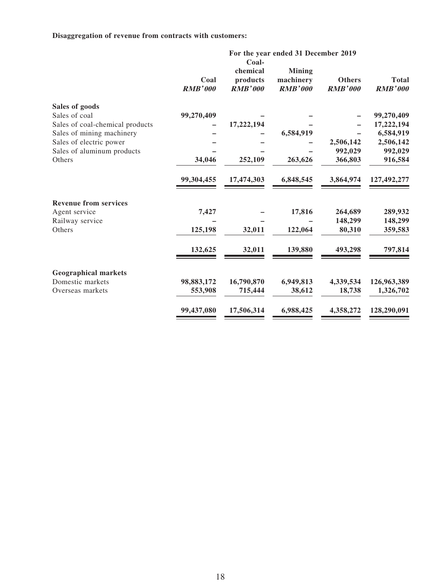### **Disaggregation of revenue from contracts with customers:**

| Coal<br><b>RMB'000</b> | chemical<br>products<br><b>RMB'000</b> | <b>Mining</b><br>machinery<br><b>RMB'000</b> | <b>Others</b><br><b>RMB'000</b> | <b>Total</b><br><b>RMB'000</b>                   |
|------------------------|----------------------------------------|----------------------------------------------|---------------------------------|--------------------------------------------------|
|                        |                                        |                                              |                                 |                                                  |
| 99,270,409             |                                        |                                              |                                 | 99,270,409                                       |
|                        | 17,222,194                             |                                              |                                 | 17,222,194                                       |
|                        |                                        | 6,584,919                                    |                                 | 6,584,919                                        |
|                        |                                        |                                              | 2,506,142                       | 2,506,142                                        |
|                        |                                        |                                              | 992,029                         | 992,029                                          |
| 34,046                 | 252,109                                | 263,626                                      | 366,803                         | 916,584                                          |
| 99,304,455             | 17,474,303                             | 6,848,545                                    | 3,864,974                       | 127,492,277                                      |
|                        |                                        |                                              |                                 |                                                  |
| 7,427                  |                                        | 17,816                                       | 264,689                         | 289,932                                          |
|                        |                                        |                                              | 148,299                         | 148,299                                          |
| 125,198                | 32,011                                 | 122,064                                      | 80,310                          | 359,583                                          |
| 132,625                | 32,011                                 | 139,880                                      | 493,298                         | 797,814                                          |
|                        |                                        |                                              |                                 |                                                  |
|                        |                                        |                                              |                                 | 126,963,389                                      |
| 553,908                | 715,444                                | 38,612                                       | 18,738                          | 1,326,702                                        |
| 99,437,080             | 17,506,314                             | 6,988,425                                    | 4,358,272                       | 128,290,091                                      |
|                        | 98,883,172                             | Coal-<br>16,790,870                          | 6,949,813                       | For the year ended 31 December 2019<br>4,339,534 |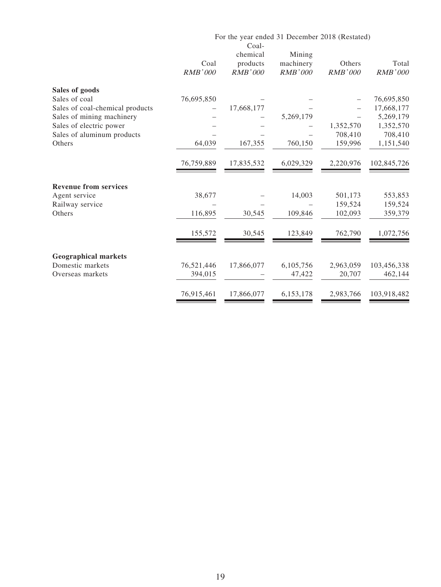|                                 |                        | For the year ended 31 December 2018 (Restated)<br>Coal- |                                       |                          |                         |
|---------------------------------|------------------------|---------------------------------------------------------|---------------------------------------|--------------------------|-------------------------|
|                                 | Coal<br><b>RMB'000</b> | chemical<br>products<br><b>RMB'000</b>                  | Mining<br>machinery<br><b>RMB'000</b> | Others<br><b>RMB'000</b> | Total<br><b>RMB'000</b> |
| Sales of goods                  |                        |                                                         |                                       |                          |                         |
| Sales of coal                   | 76,695,850             |                                                         |                                       |                          | 76,695,850              |
| Sales of coal-chemical products |                        | 17,668,177                                              |                                       |                          | 17,668,177              |
| Sales of mining machinery       |                        |                                                         | 5,269,179                             |                          | 5,269,179               |
| Sales of electric power         |                        |                                                         |                                       | 1,352,570                | 1,352,570               |
| Sales of aluminum products      |                        |                                                         |                                       | 708,410                  | 708,410                 |
| Others                          | 64,039                 | 167,355                                                 | 760,150                               | 159,996                  | 1,151,540               |
|                                 | 76,759,889             | 17,835,532                                              | 6,029,329                             | 2,220,976                | 102,845,726             |
| <b>Revenue from services</b>    |                        |                                                         |                                       |                          |                         |
| Agent service                   | 38,677                 |                                                         | 14,003                                | 501,173                  | 553,853                 |
| Railway service                 |                        |                                                         |                                       | 159,524                  | 159,524                 |
| Others                          | 116,895                | 30,545                                                  | 109,846                               | 102,093                  | 359,379                 |
|                                 | 155,572                | 30,545                                                  | 123,849                               | 762,790                  | 1,072,756               |
| <b>Geographical markets</b>     |                        |                                                         |                                       |                          |                         |
| Domestic markets                | 76,521,446             | 17,866,077                                              | 6,105,756                             | 2,963,059                | 103,456,338             |
| Overseas markets                | 394,015                |                                                         | 47,422                                | 20,707                   | 462,144                 |
|                                 | 76,915,461             | 17,866,077                                              | 6,153,178                             | 2,983,766                | 103,918,482             |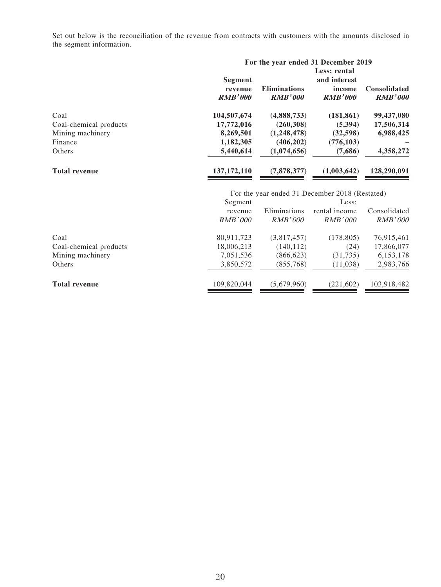Set out below is the reconciliation of the revenue from contracts with customers with the amounts disclosed in the segment information.

|                        | For the year ended 31 December 2019         |                                       |                                                          |                                       |  |  |  |
|------------------------|---------------------------------------------|---------------------------------------|----------------------------------------------------------|---------------------------------------|--|--|--|
|                        | <b>Segment</b><br>revenue<br><b>RMB'000</b> | <b>Eliminations</b><br><b>RMB'000</b> | Less: rental<br>and interest<br>income<br><b>RMB'000</b> | <b>Consolidated</b><br><b>RMB'000</b> |  |  |  |
| Coal                   | 104,507,674                                 | (4,888,733)                           | (181, 861)                                               | 99,437,080                            |  |  |  |
| Coal-chemical products | 17,772,016                                  | (260, 308)                            | (5,394)                                                  | 17,506,314                            |  |  |  |
| Mining machinery       | 8,269,501                                   | (1,248,478)                           | (32, 598)                                                | 6,988,425                             |  |  |  |
| Finance                | 1,182,305                                   | (406, 202)                            | (776, 103)                                               |                                       |  |  |  |
| <b>Others</b>          | 5,440,614                                   | (1,074,656)                           | (7,686)                                                  | 4,358,272                             |  |  |  |
| <b>Total revenue</b>   | 137, 172, 110                               | (7,878,377)                           | (1,003,642)                                              | 128,290,091                           |  |  |  |

|                        |             | For the year ended 31 December 2018 (Restated) |               |              |  |  |
|------------------------|-------------|------------------------------------------------|---------------|--------------|--|--|
|                        | Segment     |                                                | Less:         |              |  |  |
|                        | revenue     | Eliminations                                   | rental income | Consolidated |  |  |
|                        | RMB'000     | RMB'000                                        | RMB'000       | RMB'000      |  |  |
| Coal                   | 80,911,723  | (3,817,457)                                    | (178, 805)    | 76,915,461   |  |  |
| Coal-chemical products | 18,006,213  | (140, 112)                                     | (24)          | 17,866,077   |  |  |
| Mining machinery       | 7,051,536   | (866, 623)                                     | (31, 735)     | 6, 153, 178  |  |  |
| Others                 | 3,850,572   | (855,768)                                      | (11,038)      | 2,983,766    |  |  |
| <b>Total revenue</b>   | 109,820,044 | (5,679,960)                                    | (221, 602)    | 103,918,482  |  |  |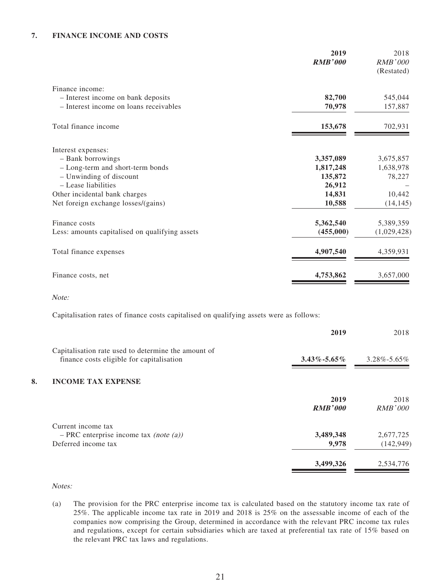#### **7. FINANCE INCOME AND COSTS**

|                                                | 2019<br><b>RMB'000</b> | 2018<br><b>RMB'000</b><br>(Restated) |
|------------------------------------------------|------------------------|--------------------------------------|
| Finance income:                                |                        |                                      |
| - Interest income on bank deposits             | 82,700                 | 545,044                              |
| - Interest income on loans receivables         | 70,978                 | 157,887                              |
| Total finance income                           | 153,678                | 702,931                              |
| Interest expenses:                             |                        |                                      |
| - Bank borrowings                              | 3,357,089              | 3,675,857                            |
| - Long-term and short-term bonds               | 1,817,248              | 1,638,978                            |
| - Unwinding of discount                        | 135,872                | 78,227                               |
| - Lease liabilities                            | 26,912                 |                                      |
| Other incidental bank charges                  | 14,831                 | 10,442                               |
| Net foreign exchange losses/(gains)            | 10,588                 | (14, 145)                            |
| Finance costs                                  | 5,362,540              | 5,389,359                            |
| Less: amounts capitalised on qualifying assets | (455,000)              | (1,029,428)                          |
| Total finance expenses                         | 4,907,540              | 4,359,931                            |
| Finance costs, net                             | 4,753,862              | 3,657,000                            |

Note:

Capitalisation rates of finance costs capitalised on qualifying assets were as follows:

|    |                                                                                                  | 2019                   | 2018                    |
|----|--------------------------------------------------------------------------------------------------|------------------------|-------------------------|
|    | Capitalisation rate used to determine the amount of<br>finance costs eligible for capitalisation | $3.43\% - 5.65\%$      | $3.28\% - 5.65\%$       |
| 8. | <b>INCOME TAX EXPENSE</b>                                                                        |                        |                         |
|    |                                                                                                  | 2019<br><b>RMB'000</b> | 2018<br>RMB'000         |
|    | Current income tax<br>$-$ PRC enterprise income tax <i>(note (a))</i><br>Deferred income tax     | 3,489,348<br>9,978     | 2,677,725<br>(142, 949) |
|    |                                                                                                  | 3,499,326              | 2,534,776               |

Notes:

(a) The provision for the PRC enterprise income tax is calculated based on the statutory income tax rate of 25%. The applicable income tax rate in 2019 and 2018 is 25% on the assessable income of each of the companies now comprising the Group, determined in accordance with the relevant PRC income tax rules and regulations, except for certain subsidiaries which are taxed at preferential tax rate of 15% based on the relevant PRC tax laws and regulations.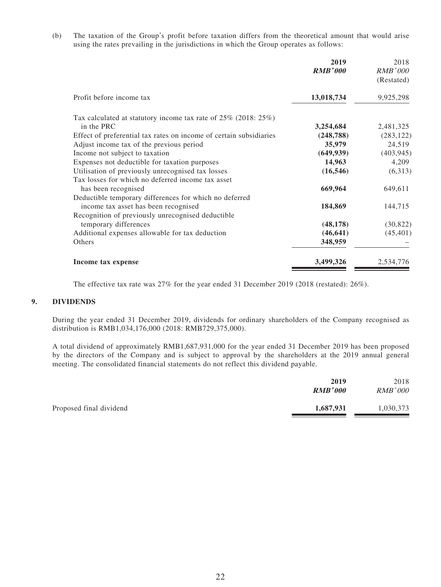(b) The taxation of the Group's profit before taxation differs from the theoretical amount that would arise using the rates prevailing in the jurisdictions in which the Group operates as follows:

|                                                                      | 2019<br><b>RMB'000</b> | 2018<br><b>RMB'000</b> |
|----------------------------------------------------------------------|------------------------|------------------------|
|                                                                      |                        | (Restated)             |
| Profit before income tax                                             | 13,018,734             | 9,925,298              |
| Tax calculated at statutory income tax rate of $25\%$ (2018: $25\%)$ |                        |                        |
| in the PRC                                                           | 3,254,684              | 2,481,325              |
| Effect of preferential tax rates on income of certain subsidiaries   | (248, 788)             | (283, 122)             |
| Adjust income tax of the previous period                             | 35,979                 | 24,519                 |
| Income not subject to taxation                                       | (649, 939)             | (403, 945)             |
| Expenses not deductible for taxation purposes                        | 14,963                 | 4,209                  |
| Utilisation of previously unrecognised tax losses                    | (16, 546)              | (6,313)                |
| Tax losses for which no deferred income tax asset                    |                        |                        |
| has been recognised                                                  | 669,964                | 649,611                |
| Deductible temporary differences for which no deferred               |                        |                        |
| income tax asset has been recognised                                 | 184,869                | 144,715                |
| Recognition of previously unrecognised deductible                    |                        |                        |
| temporary differences                                                | (48, 178)              | (30, 822)              |
| Additional expenses allowable for tax deduction                      | (46, 641)              | (45, 401)              |
| Others                                                               | 348,959                |                        |
| Income tax expense                                                   | 3,499,326              | 2,534,776              |

The effective tax rate was 27% for the year ended 31 December 2019 (2018 (restated): 26%).

#### **9. DIVIDENDS**

During the year ended 31 December 2019, dividends for ordinary shareholders of the Company recognised as distribution is RMB1,034,176,000 (2018: RMB729,375,000).

A total dividend of approximately RMB1,687,931,000 for the year ended 31 December 2019 has been proposed by the directors of the Company and is subject to approval by the shareholders at the 2019 annual general meeting. The consolidated financial statements do not reflect this dividend payable.

|                         | 2019<br><b>RMB'000</b> | 2018<br><b>RMB'000</b> |
|-------------------------|------------------------|------------------------|
| Proposed final dividend | 1,687,931              | 1,030,373              |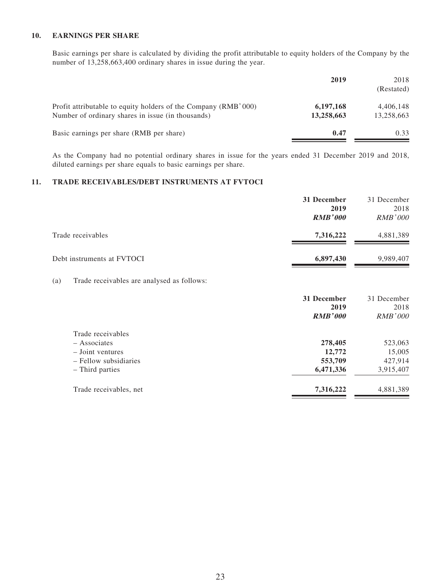#### **10. EARNINGS PER SHARE**

Basic earnings per share is calculated by dividing the profit attributable to equity holders of the Company by the number of 13,258,663,400 ordinary shares in issue during the year.

|                                                                                                                     | 2019                    | 2018<br>(Restated)      |
|---------------------------------------------------------------------------------------------------------------------|-------------------------|-------------------------|
| Profit attributable to equity holders of the Company (RMB'000)<br>Number of ordinary shares in issue (in thousands) | 6,197,168<br>13,258,663 | 4,406,148<br>13,258,663 |
| Basic earnings per share (RMB per share)                                                                            | 0.47                    | 0.33                    |

As the Company had no potential ordinary shares in issue for the years ended 31 December 2019 and 2018, diluted earnings per share equals to basic earnings per share.

#### **11. TRADE RECEIVABLES/DEBT INSTRUMENTS AT FVTOCI**

|                            | 31 December<br>2019<br><b>RMB'000</b> | 31 December<br>2018<br><b>RMB'000</b> |
|----------------------------|---------------------------------------|---------------------------------------|
| Trade receivables          | 7,316,222                             | 4,881,389                             |
| Debt instruments at FVTOCI | 6,897,430                             | 9,989,407                             |

#### (a) Trade receivables are analysed as follows:

|                        | 31 December<br>2019<br><b>RMB'000</b> | 31 December<br>2018<br><i>RMB'000</i> |
|------------------------|---------------------------------------|---------------------------------------|
| Trade receivables      |                                       |                                       |
| $-$ Associates         | 278,405                               | 523,063                               |
| $-$ Joint ventures     | 12,772                                | 15,005                                |
| - Fellow subsidiaries  | 553,709                               | 427,914                               |
| - Third parties        | 6,471,336                             | 3,915,407                             |
| Trade receivables, net | 7,316,222                             | 4,881,389                             |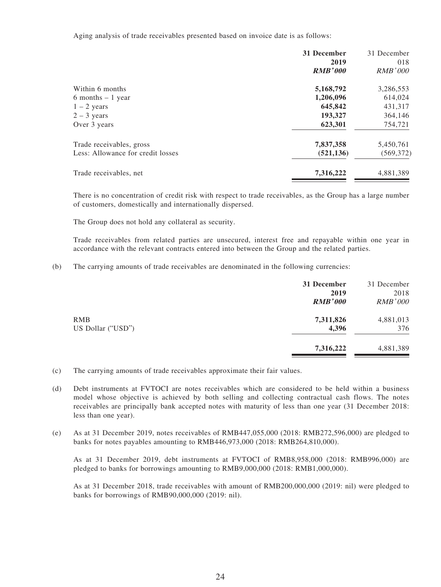Aging analysis of trade receivables presented based on invoice date is as follows:

|                                   | 31 December<br>2019 | 31 December<br>018 |
|-----------------------------------|---------------------|--------------------|
|                                   | <b>RMB'000</b>      | RMB'000            |
| Within 6 months                   | 5,168,792           | 3,286,553          |
| 6 months $-1$ year                | 1,206,096           | 614,024            |
| $1 - 2$ years                     | 645,842             | 431,317            |
| $2 - 3$ years                     | 193,327             | 364,146            |
| Over 3 years                      | 623,301             | 754,721            |
| Trade receivables, gross          | 7,837,358           | 5,450,761          |
| Less: Allowance for credit losses | (521, 136)          | (569, 372)         |
| Trade receivables, net            | 7,316,222           | 4,881,389          |

There is no concentration of credit risk with respect to trade receivables, as the Group has a large number of customers, domestically and internationally dispersed.

The Group does not hold any collateral as security.

Trade receivables from related parties are unsecured, interest free and repayable within one year in accordance with the relevant contracts entered into between the Group and the related parties.

(b) The carrying amounts of trade receivables are denominated in the following currencies:

| 31 December    | 31 December    |
|----------------|----------------|
| 2019           | 2018           |
| <b>RMB'000</b> | <b>RMB'000</b> |
| 7,311,826      | 4,881,013      |
| 4,396          | 376            |
| 7,316,222      | 4,881,389      |
|                |                |

- (c) The carrying amounts of trade receivables approximate their fair values.
- (d) Debt instruments at FVTOCI are notes receivables which are considered to be held within a business model whose objective is achieved by both selling and collecting contractual cash flows. The notes receivables are principally bank accepted notes with maturity of less than one year (31 December 2018: less than one year).
- (e) As at 31 December 2019, notes receivables of RMB447,055,000 (2018: RMB272,596,000) are pledged to banks for notes payables amounting to RMB446,973,000 (2018: RMB264,810,000).

As at 31 December 2019, debt instruments at FVTOCI of RMB8,958,000 (2018: RMB996,000) are pledged to banks for borrowings amounting to RMB9,000,000 (2018: RMB1,000,000).

As at 31 December 2018, trade receivables with amount of RMB200,000,000 (2019: nil) were pledged to banks for borrowings of RMB90,000,000 (2019: nil).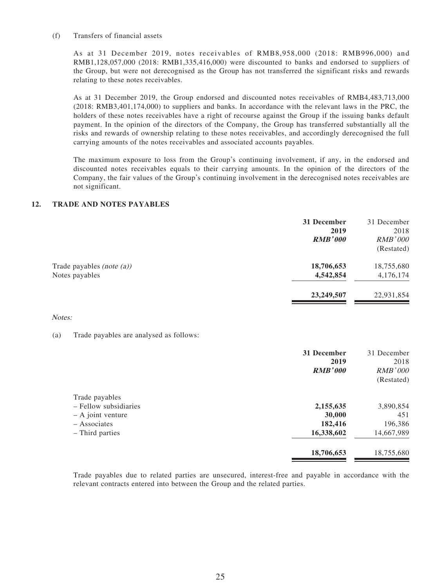#### (f) Transfers of financial assets

As at 31 December 2019, notes receivables of RMB8,958,000 (2018: RMB996,000) and RMB1,128,057,000 (2018: RMB1,335,416,000) were discounted to banks and endorsed to suppliers of the Group, but were not derecognised as the Group has not transferred the significant risks and rewards relating to these notes receivables.

As at 31 December 2019, the Group endorsed and discounted notes receivables of RMB4,483,713,000 (2018: RMB3,401,174,000) to suppliers and banks. In accordance with the relevant laws in the PRC, the holders of these notes receivables have a right of recourse against the Group if the issuing banks default payment. In the opinion of the directors of the Company, the Group has transferred substantially all the risks and rewards of ownership relating to these notes receivables, and accordingly derecognised the full carrying amounts of the notes receivables and associated accounts payables.

The maximum exposure to loss from the Group's continuing involvement, if any, in the endorsed and discounted notes receivables equals to their carrying amounts. In the opinion of the directors of the Company, the fair values of the Group's continuing involvement in the derecognised notes receivables are not significant.

### **12. TRADE AND NOTES PAYABLES**

|                              | 31 December<br>2019 | 31 December<br>2018 |
|------------------------------|---------------------|---------------------|
|                              | <b>RMB'000</b>      | <i>RMB'000</i>      |
|                              |                     | (Restated)          |
| Trade payables (note $(a)$ ) | 18,706,653          | 18,755,680          |
| Notes payables               | 4,542,854           | 4,176,174           |
|                              | 23,249,507          | 22,931,854          |
|                              |                     |                     |

#### Notes:

#### (a) Trade payables are analysed as follows:

|                                                                                                   | 31 December<br>2019<br><b>RMB'000</b>        | 31 December<br>2018<br>RMB'000<br>(Restated) |
|---------------------------------------------------------------------------------------------------|----------------------------------------------|----------------------------------------------|
| Trade payables<br>- Fellow subsidiaries<br>$-$ A joint venture<br>- Associates<br>- Third parties | 2,155,635<br>30,000<br>182,416<br>16,338,602 | 3,890,854<br>451<br>196,386<br>14,667,989    |
|                                                                                                   | 18,706,653                                   | 18,755,680                                   |

Trade payables due to related parties are unsecured, interest-free and payable in accordance with the relevant contracts entered into between the Group and the related parties.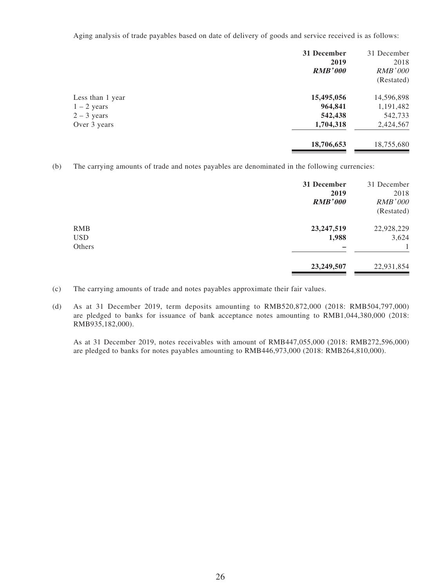Aging analysis of trade payables based on date of delivery of goods and service received is as follows:

|                  | 31 December<br>2019<br><b>RMB'000</b> | 31 December<br>2018<br>RMB'000<br>(Restated) |
|------------------|---------------------------------------|----------------------------------------------|
| Less than 1 year | 15,495,056                            | 14,596,898                                   |
| $1 - 2$ years    | 964,841                               | 1,191,482                                    |
| $2 - 3$ years    | 542,438                               | 542,733                                      |
| Over 3 years     | 1,704,318                             | 2,424,567                                    |
|                  | 18,706,653                            | 18,755,680                                   |

(b) The carrying amounts of trade and notes payables are denominated in the following currencies:

|                                    | 31 December<br>2019<br><b>RMB'000</b> | 31 December<br>2018<br><b>RMB'000</b><br>(Restated) |
|------------------------------------|---------------------------------------|-----------------------------------------------------|
| <b>RMB</b><br><b>USD</b><br>Others | 23, 247, 519<br>1,988                 | 22,928,229<br>3,624                                 |
|                                    | 23,249,507                            | 22,931,854                                          |

(c) The carrying amounts of trade and notes payables approximate their fair values.

(d) As at 31 December 2019, term deposits amounting to RMB520,872,000 (2018: RMB504,797,000) are pledged to banks for issuance of bank acceptance notes amounting to RMB1,044,380,000 (2018: RMB935,182,000).

As at 31 December 2019, notes receivables with amount of RMB447,055,000 (2018: RMB272,596,000) are pledged to banks for notes payables amounting to RMB446,973,000 (2018: RMB264,810,000).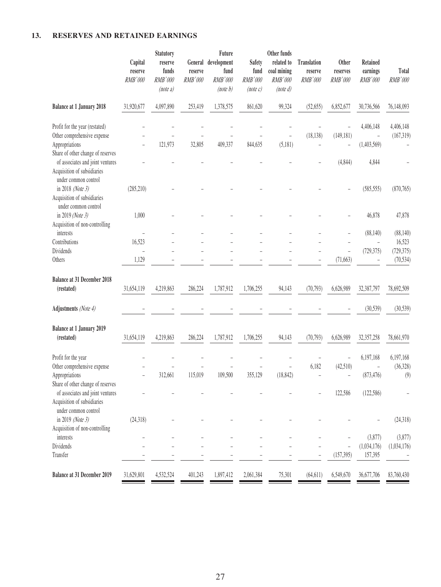### **13. RESERVES AND RETAINED EARNINGS**

|                                                                                                                                            | Capital<br>reserve<br>RMB'000     | Statutory<br>reserve<br>funds<br>RMB'000<br>(note a) | General<br>reserve<br>RMB'000 | Future<br>development<br>fund<br>RMB'000<br>(note b) | <b>Safety</b><br>fund<br>RMB'000<br>(note c) | Other funds<br>related to<br>coal mining<br>RMB'000<br>(note d) | <b>Translation</b><br>reserve<br>RMB'000 | <b>Other</b><br>reserves<br>RMB'000 | Retained<br>earnings<br>RMB'000            | Total<br>RMB'000                  |
|--------------------------------------------------------------------------------------------------------------------------------------------|-----------------------------------|------------------------------------------------------|-------------------------------|------------------------------------------------------|----------------------------------------------|-----------------------------------------------------------------|------------------------------------------|-------------------------------------|--------------------------------------------|-----------------------------------|
| <b>Balance at 1 January 2018</b>                                                                                                           | 31,920,677                        | 4,097,890                                            | 253,419                       | 1,378,575                                            | 861,620                                      | 99,324                                                          | (52, 655)                                | 6,852,677                           | 30,736,566                                 | 76,148,093                        |
| Profit for the year (restated)<br>Other comprehensive expense<br>Appropriations<br>Share of other change of reserves                       |                                   | 121,973                                              | 32,805                        | 409,337                                              | 844,635                                      | (5,181)                                                         | (18, 138)                                | (149, 181)                          | 4,406,148<br>$\overline{a}$<br>(1,403,569) | 4,406,148<br>(167, 319)           |
| of associates and joint ventures<br>Acquisition of subsidiaries<br>under common control<br>in 2018 (Note 3)<br>Acquisition of subsidiaries | (285, 210)                        |                                                      |                               |                                                      |                                              |                                                                 |                                          | (4, 844)                            | 4,844<br>(585, 555)                        | (870, 765)                        |
| under common control<br>in 2019 (Note 3)<br>Acquisition of non-controlling<br>interests                                                    | 1,000<br>$\overline{\phantom{0}}$ |                                                      |                               |                                                      |                                              |                                                                 |                                          |                                     | 46,878<br>(88, 140)                        | 47,878<br>(88, 140)               |
| Contributions<br>Dividends<br>Others                                                                                                       | 16,523<br>1,129                   |                                                      |                               |                                                      |                                              |                                                                 |                                          | (71, 663)                           | (729, 375)                                 | 16,523<br>(729, 375)<br>(70, 534) |
| <b>Balance at 31 December 2018</b><br>(restated)                                                                                           | 31,654,119                        | 4,219,863                                            | 286,224                       | 1,787,912                                            | 1,706,255                                    | 94,143                                                          | (70, 793)                                | 6,626,989                           | 32,387,797                                 | 78,692,509                        |
| Adjustments (Note 4)                                                                                                                       |                                   |                                                      |                               |                                                      |                                              |                                                                 |                                          |                                     | (30, 539)                                  | (30, 539)                         |
| <b>Balance at 1 January 2019</b><br>(restated)                                                                                             | 31,654,119                        | 4,219,863                                            | 286,224                       | 1,787,912                                            | 1,706,255                                    | 94,143                                                          | (70, 793)                                | 6,626,989                           | 32,357,258                                 | 78,661,970                        |
| Profit for the year<br>Other comprehensive expense<br>Appropriations<br>Share of other change of reserves                                  |                                   | 312,661                                              | 115,019                       | 109,500                                              | 355,129                                      | (18, 842)                                                       | 6,182                                    | L,<br>(42,510)<br>L,                | 6,197,168<br>(873, 476)                    | 6,197,168<br>(36, 328)<br>(9)     |
| of associates and joint ventures<br>Acquisition of subsidiaries<br>under common control                                                    |                                   |                                                      |                               |                                                      |                                              |                                                                 |                                          | 122,586                             | (122, 586)                                 |                                   |
| in 2019 (Note 3)<br>Acquisition of non-controlling<br>interests                                                                            | (24, 318)                         |                                                      |                               |                                                      |                                              |                                                                 |                                          |                                     | (3,877)                                    | (24, 318)<br>(3,877)              |
| Dividends<br>Transfer                                                                                                                      |                                   |                                                      |                               |                                                      |                                              |                                                                 |                                          | (157, 395)                          | (1,034,176)<br>157,395                     | (1,034,176)                       |
| <b>Balance at 31 December 2019</b>                                                                                                         | 31,629,801                        | 4,532,524                                            | 401,243                       | 1,897,412                                            | 2,061,384                                    | 75,301                                                          | (64, 611)                                | 6,549,670                           | 36,677,706                                 | 83,760,430                        |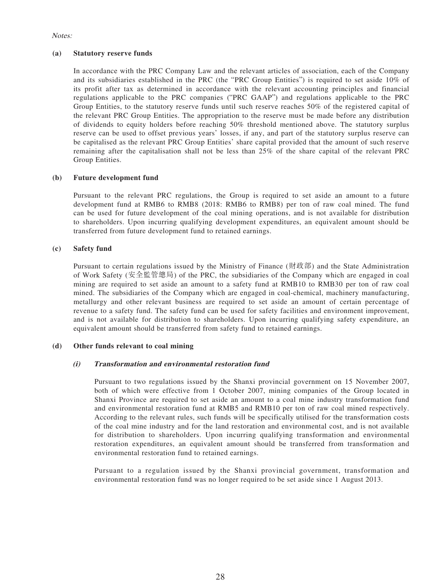#### Notes:

#### **(a) Statutory reserve funds**

In accordance with the PRC Company Law and the relevant articles of association, each of the Company and its subsidiaries established in the PRC (the "PRC Group Entities") is required to set aside 10% of its profit after tax as determined in accordance with the relevant accounting principles and financial regulations applicable to the PRC companies ("PRC GAAP") and regulations applicable to the PRC Group Entities, to the statutory reserve funds until such reserve reaches 50% of the registered capital of the relevant PRC Group Entities. The appropriation to the reserve must be made before any distribution of dividends to equity holders before reaching 50% threshold mentioned above. The statutory surplus reserve can be used to offset previous years' losses, if any, and part of the statutory surplus reserve can be capitalised as the relevant PRC Group Entities' share capital provided that the amount of such reserve remaining after the capitalisation shall not be less than 25% of the share capital of the relevant PRC Group Entities.

#### **(b) Future development fund**

Pursuant to the relevant PRC regulations, the Group is required to set aside an amount to a future development fund at RMB6 to RMB8 (2018: RMB6 to RMB8) per ton of raw coal mined. The fund can be used for future development of the coal mining operations, and is not available for distribution to shareholders. Upon incurring qualifying development expenditures, an equivalent amount should be transferred from future development fund to retained earnings.

#### **(c) Safety fund**

Pursuant to certain regulations issued by the Ministry of Finance (財政部) and the State Administration of Work Safety (安全監管總局) of the PRC, the subsidiaries of the Company which are engaged in coal mining are required to set aside an amount to a safety fund at RMB10 to RMB30 per ton of raw coal mined. The subsidiaries of the Company which are engaged in coal-chemical, machinery manufacturing, metallurgy and other relevant business are required to set aside an amount of certain percentage of revenue to a safety fund. The safety fund can be used for safety facilities and environment improvement, and is not available for distribution to shareholders. Upon incurring qualifying safety expenditure, an equivalent amount should be transferred from safety fund to retained earnings.

#### **(d) Other funds relevant to coal mining**

#### **(i) Transformation and environmental restoration fund**

Pursuant to two regulations issued by the Shanxi provincial government on 15 November 2007, both of which were effective from 1 October 2007, mining companies of the Group located in Shanxi Province are required to set aside an amount to a coal mine industry transformation fund and environmental restoration fund at RMB5 and RMB10 per ton of raw coal mined respectively. According to the relevant rules, such funds will be specifically utilised for the transformation costs of the coal mine industry and for the land restoration and environmental cost, and is not available for distribution to shareholders. Upon incurring qualifying transformation and environmental restoration expenditures, an equivalent amount should be transferred from transformation and environmental restoration fund to retained earnings.

Pursuant to a regulation issued by the Shanxi provincial government, transformation and environmental restoration fund was no longer required to be set aside since 1 August 2013.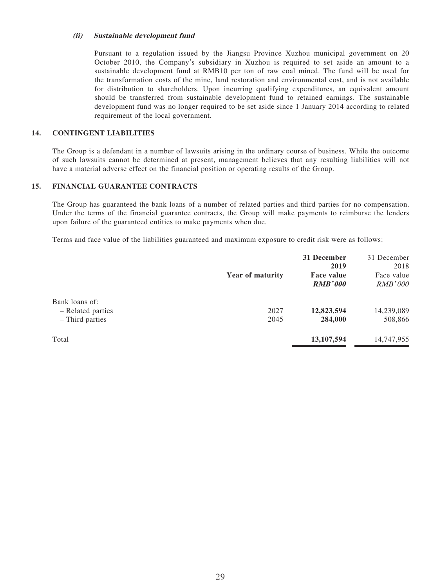#### **(ii) Sustainable development fund**

Pursuant to a regulation issued by the Jiangsu Province Xuzhou municipal government on 20 October 2010, the Company's subsidiary in Xuzhou is required to set aside an amount to a sustainable development fund at RMB10 per ton of raw coal mined. The fund will be used for the transformation costs of the mine, land restoration and environmental cost, and is not available for distribution to shareholders. Upon incurring qualifying expenditures, an equivalent amount should be transferred from sustainable development fund to retained earnings. The sustainable development fund was no longer required to be set aside since 1 January 2014 according to related requirement of the local government.

#### **14. CONTINGENT LIABILITIES**

The Group is a defendant in a number of lawsuits arising in the ordinary course of business. While the outcome of such lawsuits cannot be determined at present, management believes that any resulting liabilities will not have a material adverse effect on the financial position or operating results of the Group.

#### **15. FINANCIAL GUARANTEE CONTRACTS**

The Group has guaranteed the bank loans of a number of related parties and third parties for no compensation. Under the terms of the financial guarantee contracts, the Group will make payments to reimburse the lenders upon failure of the guaranteed entities to make payments when due.

Terms and face value of the liabilities guaranteed and maximum exposure to credit risk were as follows:

|                   | <b>Year of maturity</b> | 31 December<br>2019<br><b>Face value</b><br><b>RMB'000</b> | 31 December<br>2018<br>Face value<br><i>RMB'000</i> |
|-------------------|-------------------------|------------------------------------------------------------|-----------------------------------------------------|
| Bank loans of:    |                         |                                                            |                                                     |
| - Related parties | 2027                    | 12,823,594                                                 | 14,239,089                                          |
| - Third parties   | 2045                    | 284,000                                                    | 508,866                                             |
| Total             |                         | 13, 107, 594                                               | 14,747,955                                          |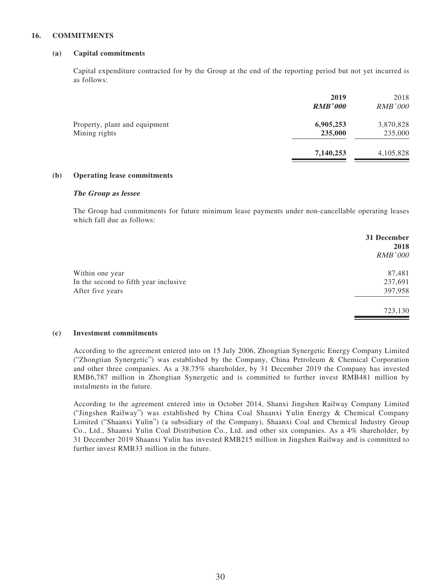#### **16. COMMITMENTS**

#### **(a) Capital commitments**

Capital expenditure contracted for by the Group at the end of the reporting period but not yet incurred is as follows:

|                               | 2019           | 2018           |
|-------------------------------|----------------|----------------|
|                               | <b>RMB'000</b> | <i>RMB'000</i> |
| Property, plant and equipment | 6,905,253      | 3,870,828      |
| Mining rights                 | 235,000        | 235,000        |
|                               | 7,140,253      | 4,105,828      |
|                               |                |                |

#### **(b) Operating lease commitments**

#### **The Group as lessee**

The Group had commitments for future minimum lease payments under non-cancellable operating leases which fall due as follows:

|                                       | 31 December<br>2018 |
|---------------------------------------|---------------------|
|                                       | <b>RMB'000</b>      |
| Within one year                       | 87,481              |
| In the second to fifth year inclusive | 237,691             |
| After five years                      | 397,958             |
|                                       | 723,130             |

#### **(c) Investment commitments**

According to the agreement entered into on 15 July 2006, Zhongtian Synergetic Energy Company Limited ("Zhongtian Synergetic") was established by the Company, China Petroleum & Chemical Corporation and other three companies. As a 38.75% shareholder, by 31 December 2019 the Company has invested RMB6,787 million in Zhongtian Synergetic and is committed to further invest RMB481 million by instalments in the future.

According to the agreement entered into in October 2014, Shanxi Jingshen Railway Company Limited ("Jingshen Railway") was established by China Coal Shaanxi Yulin Energy & Chemical Company Limited ("Shaanxi Yulin") (a subsidiary of the Company), Shaanxi Coal and Chemical Industry Group Co., Ltd., Shaanxi Yulin Coal Distribution Co., Ltd. and other six companies. As a 4% shareholder, by 31 December 2019 Shaanxi Yulin has invested RMB215 million in Jingshen Railway and is committed to further invest RMB33 million in the future.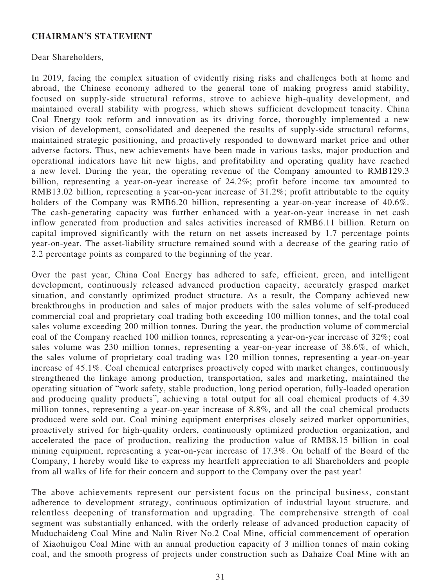### **CHAIRMAN'S STATEMENT**

Dear Shareholders,

In 2019, facing the complex situation of evidently rising risks and challenges both at home and abroad, the Chinese economy adhered to the general tone of making progress amid stability, focused on supply-side structural reforms, strove to achieve high-quality development, and maintained overall stability with progress, which shows sufficient development tenacity. China Coal Energy took reform and innovation as its driving force, thoroughly implemented a new vision of development, consolidated and deepened the results of supply-side structural reforms, maintained strategic positioning, and proactively responded to downward market price and other adverse factors. Thus, new achievements have been made in various tasks, major production and operational indicators have hit new highs, and profitability and operating quality have reached a new level. During the year, the operating revenue of the Company amounted to RMB129.3 billion, representing a year-on-year increase of 24.2%; profit before income tax amounted to RMB13.02 billion, representing a year-on-year increase of 31.2%; profit attributable to the equity holders of the Company was RMB6.20 billion, representing a year-on-year increase of 40.6%. The cash-generating capacity was further enhanced with a year-on-year increase in net cash inflow generated from production and sales activities increased of RMB6.11 billion. Return on capital improved significantly with the return on net assets increased by 1.7 percentage points year-on-year. The asset-liability structure remained sound with a decrease of the gearing ratio of 2.2 percentage points as compared to the beginning of the year.

Over the past year, China Coal Energy has adhered to safe, efficient, green, and intelligent development, continuously released advanced production capacity, accurately grasped market situation, and constantly optimized product structure. As a result, the Company achieved new breakthroughs in production and sales of major products with the sales volume of self-produced commercial coal and proprietary coal trading both exceeding 100 million tonnes, and the total coal sales volume exceeding 200 million tonnes. During the year, the production volume of commercial coal of the Company reached 100 million tonnes, representing a year-on-year increase of 32%; coal sales volume was 230 million tonnes, representing a year-on-year increase of 38.6%, of which, the sales volume of proprietary coal trading was 120 million tonnes, representing a year-on-year increase of 45.1%. Coal chemical enterprises proactively coped with market changes, continuously strengthened the linkage among production, transportation, sales and marketing, maintained the operating situation of "work safety, stable production, long period operation, fully-loaded operation and producing quality products", achieving a total output for all coal chemical products of 4.39 million tonnes, representing a year-on-year increase of 8.8%, and all the coal chemical products produced were sold out. Coal mining equipment enterprises closely seized market opportunities, proactively strived for high-quality orders, continuously optimized production organization, and accelerated the pace of production, realizing the production value of RMB8.15 billion in coal mining equipment, representing a year-on-year increase of 17.3%. On behalf of the Board of the Company, I hereby would like to express my heartfelt appreciation to all Shareholders and people from all walks of life for their concern and support to the Company over the past year!

The above achievements represent our persistent focus on the principal business, constant adherence to development strategy, continuous optimization of industrial layout structure, and relentless deepening of transformation and upgrading. The comprehensive strength of coal segment was substantially enhanced, with the orderly release of advanced production capacity of Muduchaideng Coal Mine and Nalin River No.2 Coal Mine, official commencement of operation of Xiaohuigou Coal Mine with an annual production capacity of 3 million tonnes of main coking coal, and the smooth progress of projects under construction such as Dahaize Coal Mine with an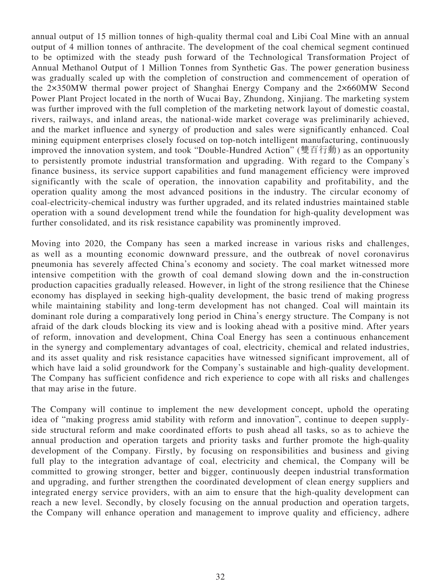annual output of 15 million tonnes of high-quality thermal coal and Libi Coal Mine with an annual output of 4 million tonnes of anthracite. The development of the coal chemical segment continued to be optimized with the steady push forward of the Technological Transformation Project of Annual Methanol Output of 1 Million Tonnes from Synthetic Gas. The power generation business was gradually scaled up with the completion of construction and commencement of operation of the 2×350MW thermal power project of Shanghai Energy Company and the 2×660MW Second Power Plant Project located in the north of Wucai Bay, Zhundong, Xinjiang. The marketing system was further improved with the full completion of the marketing network layout of domestic coastal, rivers, railways, and inland areas, the national-wide market coverage was preliminarily achieved, and the market influence and synergy of production and sales were significantly enhanced. Coal mining equipment enterprises closely focused on top-notch intelligent manufacturing, continuously improved the innovation system, and took "Double-Hundred Action" (雙百行動) as an opportunity to persistently promote industrial transformation and upgrading. With regard to the Company's finance business, its service support capabilities and fund management efficiency were improved significantly with the scale of operation, the innovation capability and profitability, and the operation quality among the most advanced positions in the industry. The circular economy of coal-electricity-chemical industry was further upgraded, and its related industries maintained stable operation with a sound development trend while the foundation for high-quality development was further consolidated, and its risk resistance capability was prominently improved.

Moving into 2020, the Company has seen a marked increase in various risks and challenges, as well as a mounting economic downward pressure, and the outbreak of novel coronavirus pneumonia has severely affected China's economy and society. The coal market witnessed more intensive competition with the growth of coal demand slowing down and the in-construction production capacities gradually released. However, in light of the strong resilience that the Chinese economy has displayed in seeking high-quality development, the basic trend of making progress while maintaining stability and long-term development has not changed. Coal will maintain its dominant role during a comparatively long period in China's energy structure. The Company is not afraid of the dark clouds blocking its view and is looking ahead with a positive mind. After years of reform, innovation and development, China Coal Energy has seen a continuous enhancement in the synergy and complementary advantages of coal, electricity, chemical and related industries, and its asset quality and risk resistance capacities have witnessed significant improvement, all of which have laid a solid groundwork for the Company's sustainable and high-quality development. The Company has sufficient confidence and rich experience to cope with all risks and challenges that may arise in the future.

The Company will continue to implement the new development concept, uphold the operating idea of "making progress amid stability with reform and innovation", continue to deepen supplyside structural reform and make coordinated efforts to push ahead all tasks, so as to achieve the annual production and operation targets and priority tasks and further promote the high-quality development of the Company. Firstly, by focusing on responsibilities and business and giving full play to the integration advantage of coal, electricity and chemical, the Company will be committed to growing stronger, better and bigger, continuously deepen industrial transformation and upgrading, and further strengthen the coordinated development of clean energy suppliers and integrated energy service providers, with an aim to ensure that the high-quality development can reach a new level. Secondly, by closely focusing on the annual production and operation targets, the Company will enhance operation and management to improve quality and efficiency, adhere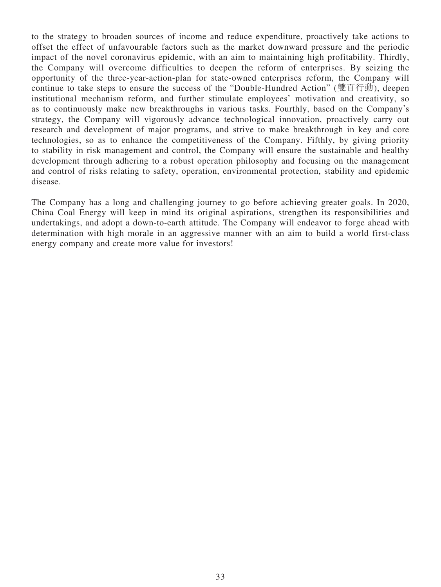to the strategy to broaden sources of income and reduce expenditure, proactively take actions to offset the effect of unfavourable factors such as the market downward pressure and the periodic impact of the novel coronavirus epidemic, with an aim to maintaining high profitability. Thirdly, the Company will overcome difficulties to deepen the reform of enterprises. By seizing the opportunity of the three-year-action-plan for state-owned enterprises reform, the Company will continue to take steps to ensure the success of the "Double-Hundred Action" (雙百行動), deepen institutional mechanism reform, and further stimulate employees' motivation and creativity, so as to continuously make new breakthroughs in various tasks. Fourthly, based on the Company's strategy, the Company will vigorously advance technological innovation, proactively carry out research and development of major programs, and strive to make breakthrough in key and core technologies, so as to enhance the competitiveness of the Company. Fifthly, by giving priority to stability in risk management and control, the Company will ensure the sustainable and healthy development through adhering to a robust operation philosophy and focusing on the management and control of risks relating to safety, operation, environmental protection, stability and epidemic disease.

The Company has a long and challenging journey to go before achieving greater goals. In 2020, China Coal Energy will keep in mind its original aspirations, strengthen its responsibilities and undertakings, and adopt a down-to-earth attitude. The Company will endeavor to forge ahead with determination with high morale in an aggressive manner with an aim to build a world first-class energy company and create more value for investors!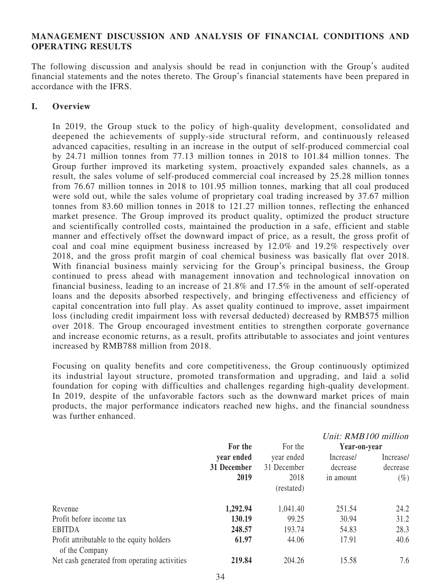### **MANAGEMENT DISCUSSION AND ANALYSIS OF FINANCIAL CONDITIONS AND OPERATING RESULTS**

The following discussion and analysis should be read in conjunction with the Group's audited financial statements and the notes thereto. The Group's financial statements have been prepared in accordance with the IFRS.

### **I. Overview**

In 2019, the Group stuck to the policy of high-quality development, consolidated and deepened the achievements of supply-side structural reform, and continuously released advanced capacities, resulting in an increase in the output of self-produced commercial coal by 24.71 million tonnes from 77.13 million tonnes in 2018 to 101.84 million tonnes. The Group further improved its marketing system, proactively expanded sales channels, as a result, the sales volume of self-produced commercial coal increased by 25.28 million tonnes from 76.67 million tonnes in 2018 to 101.95 million tonnes, marking that all coal produced were sold out, while the sales volume of proprietary coal trading increased by 37.67 million tonnes from 83.60 million tonnes in 2018 to 121.27 million tonnes, reflecting the enhanced market presence. The Group improved its product quality, optimized the product structure and scientifically controlled costs, maintained the production in a safe, efficient and stable manner and effectively offset the downward impact of price, as a result, the gross profit of coal and coal mine equipment business increased by 12.0% and 19.2% respectively over 2018, and the gross profit margin of coal chemical business was basically flat over 2018. With financial business mainly servicing for the Group's principal business, the Group continued to press ahead with management innovation and technological innovation on financial business, leading to an increase of 21.8% and 17.5% in the amount of self-operated loans and the deposits absorbed respectively, and bringing effectiveness and efficiency of capital concentration into full play. As asset quality continued to improve, asset impairment loss (including credit impairment loss with reversal deducted) decreased by RMB575 million over 2018. The Group encouraged investment entities to strengthen corporate governance and increase economic returns, as a result, profits attributable to associates and joint ventures increased by RMB788 million from 2018.

Focusing on quality benefits and core competitiveness, the Group continuously optimized its industrial layout structure, promoted transformation and upgrading, and laid a solid foundation for coping with difficulties and challenges regarding high-quality development. In 2019, despite of the unfavorable factors such as the downward market prices of main products, the major performance indicators reached new highs, and the financial soundness was further enhanced.

|                                                             |             |             | Unit: RMB100 million |           |
|-------------------------------------------------------------|-------------|-------------|----------------------|-----------|
|                                                             | For the     | For the     | Year-on-year         |           |
|                                                             | year ended  | year ended  | Increase/            | Increase/ |
|                                                             | 31 December | 31 December | decrease             | decrease  |
|                                                             | 2019        | 2018        | in amount            | $(\%)$    |
|                                                             |             | (restated)  |                      |           |
| Revenue                                                     | 1,292.94    | 1,041.40    | 251.54               | 24.2      |
| Profit before income tax                                    | 130.19      | 99.25       | 30.94                | 31.2      |
| <b>EBITDA</b>                                               | 248.57      | 193.74      | 54.83                | 28.3      |
| Profit attributable to the equity holders<br>of the Company | 61.97       | 44.06       | 17.91                | 40.6      |
| Net cash generated from operating activities                | 219.84      | 204.26      | 15.58                | 7.6       |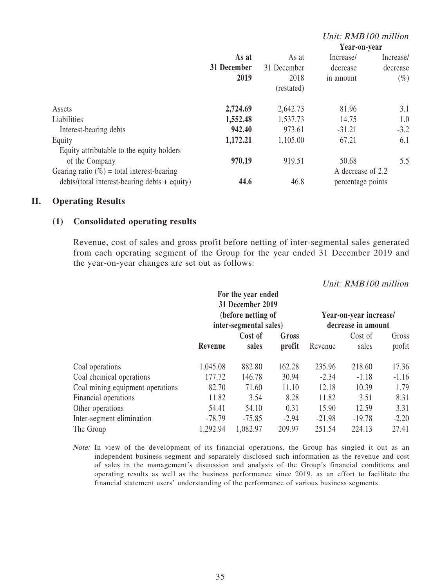#### Unit: RMB100 million **As at 31 December 2019** As at 31 December 2018 **Year-on-year** Increase/ decrease in amount Increase/ decrease  $(\%)$ (restated) Assets **2,724.69** 2,642.73 81.96 3.1 Liabilities **1,552.48** 1,537.73 14.75 1.0 **Interest-bearing debts 942.40** 973.61 -31.21 -3.2 Equity **1,172.21** 1,105.00 67.21 6.1 Equity attributable to the equity holders of the Company **970.19** 919.51 50.68 5.5 Gearing ratio  $(\%)$  = total interest-bearing  $\diamond$  debts/(total interest-bearing debts + equity)  $44.6$  46.8 A decrease of 2.2 percentage points

### **II. Operating Results**

### **(1) Consolidated operating results**

Revenue, cost of sales and gross profit before netting of inter-segmental sales generated from each operating segment of the Group for the year ended 31 December 2019 and the year-on-year changes are set out as follows:

|                                                              | For the year ended<br>31 December 2019<br>(before netting of<br>inter-segmental sales) |                  |                 |                  | Unit: RMB100 million<br>Year-on-year increase/<br>decrease in amount |                 |
|--------------------------------------------------------------|----------------------------------------------------------------------------------------|------------------|-----------------|------------------|----------------------------------------------------------------------|-----------------|
|                                                              | Revenue                                                                                | Cost of<br>sales | Gross<br>profit | Revenue          | Cost of<br>sales                                                     | Gross<br>profit |
| Coal operations                                              | 1,045.08                                                                               | 882.80           | 162.28          | 235.96           | 218.60                                                               | 17.36           |
| Coal chemical operations<br>Coal mining equipment operations | 177.72<br>82.70                                                                        | 146.78<br>71.60  | 30.94<br>11.10  | $-2.34$<br>12.18 | $-1.18$<br>10.39                                                     | $-1.16$<br>1.79 |
| Financial operations                                         | 11.82                                                                                  | 3.54             | 8.28            | 11.82            | 3.51                                                                 | 8.31            |
| Other operations                                             | 54.41                                                                                  | 54.10            | 0.31            | 15.90            | 12.59                                                                | 3.31            |
| Inter-segment elimination                                    | $-78.79$                                                                               | $-75.85$         | $-2.94$         | $-21.98$         | $-19.78$                                                             | $-2.20$         |
| The Group                                                    | 1,292.94                                                                               | 1,082.97         | 209.97          | 251.54           | 224.13                                                               | 27.41           |

Note: In view of the development of its financial operations, the Group has singled it out as an independent business segment and separately disclosed such information as the revenue and cost of sales in the management's discussion and analysis of the Group's financial conditions and operating results as well as the business performance since 2019, as an effort to facilitate the financial statement users' understanding of the performance of various business segments.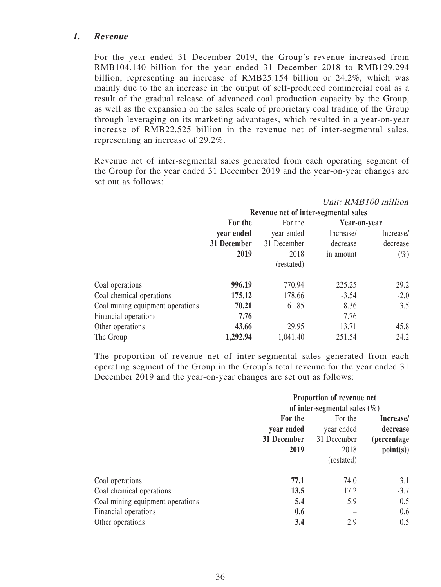### **1. Revenue**

For the year ended 31 December 2019, the Group's revenue increased from RMB104.140 billion for the year ended 31 December 2018 to RMB129.294 billion, representing an increase of RMB25.154 billion or 24.2%, which was mainly due to the an increase in the output of self-produced commercial coal as a result of the gradual release of advanced coal production capacity by the Group, as well as the expansion on the sales scale of proprietary coal trading of the Group through leveraging on its marketing advantages, which resulted in a year-on-year increase of RMB22.525 billion in the revenue net of inter-segmental sales, representing an increase of 29.2%.

Revenue net of inter-segmental sales generated from each operating segment of the Group for the year ended 31 December 2019 and the year-on-year changes are set out as follows:

|                                  | Unit: RMB100 million                 |                       |              |           |
|----------------------------------|--------------------------------------|-----------------------|--------------|-----------|
|                                  | Revenue net of inter-segmental sales |                       |              |           |
|                                  | For the                              | For the<br>year ended | Year-on-year |           |
|                                  | year ended                           |                       | Increase/    | Increase/ |
|                                  | 31 December                          | 31 December           | decrease     | decrease  |
|                                  | 2019                                 | 2018                  | in amount    | $(\%)$    |
|                                  |                                      | (restated)            |              |           |
| Coal operations                  | 996.19                               | 770.94                | 225.25       | 29.2      |
| Coal chemical operations         | 175.12                               | 178.66                | $-3.54$      | $-2.0$    |
| Coal mining equipment operations | 70.21                                | 61.85                 | 8.36         | 13.5      |
| Financial operations             | 7.76                                 |                       | 7.76         |           |
| Other operations                 | 43.66                                | 29.95                 | 13.71        | 45.8      |
| The Group                        | 1,292.94                             | 1,041.40              | 251.54       | 24.2      |

The proportion of revenue net of inter-segmental sales generated from each operating segment of the Group in the Group's total revenue for the year ended 31 December 2019 and the year-on-year changes are set out as follows:

|                                                                                 | Proportion of revenue net<br>of inter-segmental sales $(\%)$ |                                                            |                                                          |
|---------------------------------------------------------------------------------|--------------------------------------------------------------|------------------------------------------------------------|----------------------------------------------------------|
|                                                                                 | For the<br>year ended<br>31 December<br>2019                 | For the<br>year ended<br>31 December<br>2018<br>(restated) | Increase/<br>decrease<br><i>(percentage)</i><br>point(s) |
| Coal operations<br>Coal chemical operations<br>Coal mining equipment operations | 77.1<br>13.5<br>5.4<br>0.6                                   | 74.0<br>17.2<br>5.9                                        | 3.1<br>$-3.7$<br>$-0.5$<br>0.6                           |
| Financial operations<br>Other operations                                        | 3.4                                                          | 2.9                                                        | 0.5                                                      |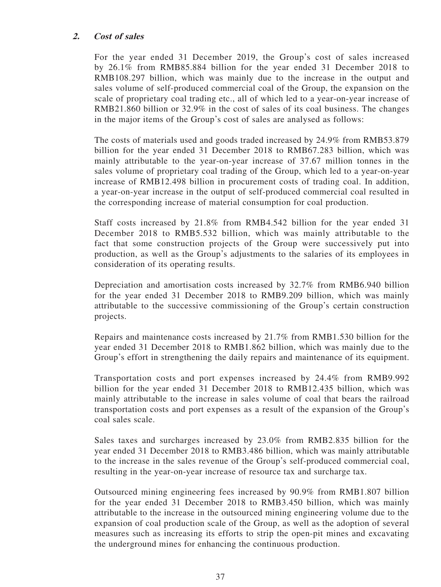# **2. Cost of sales**

For the year ended 31 December 2019, the Group's cost of sales increased by 26.1% from RMB85.884 billion for the year ended 31 December 2018 to RMB108.297 billion, which was mainly due to the increase in the output and sales volume of self-produced commercial coal of the Group, the expansion on the scale of proprietary coal trading etc., all of which led to a year-on-year increase of RMB21.860 billion or 32.9% in the cost of sales of its coal business. The changes in the major items of the Group's cost of sales are analysed as follows:

The costs of materials used and goods traded increased by 24.9% from RMB53.879 billion for the year ended 31 December 2018 to RMB67.283 billion, which was mainly attributable to the year-on-year increase of 37.67 million tonnes in the sales volume of proprietary coal trading of the Group, which led to a year-on-year increase of RMB12.498 billion in procurement costs of trading coal. In addition, a year-on-year increase in the output of self-produced commercial coal resulted in the corresponding increase of material consumption for coal production.

Staff costs increased by 21.8% from RMB4.542 billion for the year ended 31 December 2018 to RMB5.532 billion, which was mainly attributable to the fact that some construction projects of the Group were successively put into production, as well as the Group's adjustments to the salaries of its employees in consideration of its operating results.

Depreciation and amortisation costs increased by 32.7% from RMB6.940 billion for the year ended 31 December 2018 to RMB9.209 billion, which was mainly attributable to the successive commissioning of the Group's certain construction projects.

Repairs and maintenance costs increased by 21.7% from RMB1.530 billion for the year ended 31 December 2018 to RMB1.862 billion, which was mainly due to the Group's effort in strengthening the daily repairs and maintenance of its equipment.

Transportation costs and port expenses increased by 24.4% from RMB9.992 billion for the year ended 31 December 2018 to RMB12.435 billion, which was mainly attributable to the increase in sales volume of coal that bears the railroad transportation costs and port expenses as a result of the expansion of the Group's coal sales scale.

Sales taxes and surcharges increased by 23.0% from RMB2.835 billion for the year ended 31 December 2018 to RMB3.486 billion, which was mainly attributable to the increase in the sales revenue of the Group's self-produced commercial coal, resulting in the year-on-year increase of resource tax and surcharge tax.

Outsourced mining engineering fees increased by 90.9% from RMB1.807 billion for the year ended 31 December 2018 to RMB3.450 billion, which was mainly attributable to the increase in the outsourced mining engineering volume due to the expansion of coal production scale of the Group, as well as the adoption of several measures such as increasing its efforts to strip the open-pit mines and excavating the underground mines for enhancing the continuous production.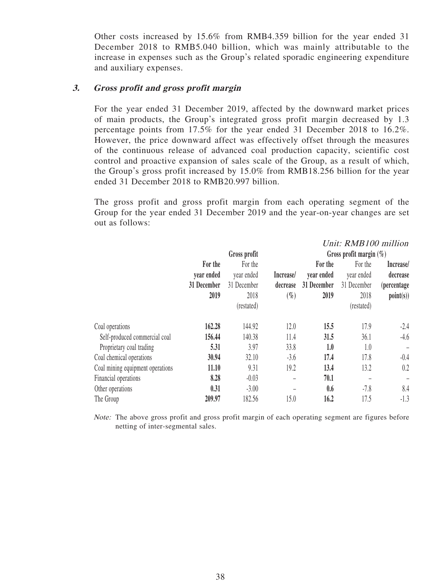Other costs increased by 15.6% from RMB4.359 billion for the year ended 31 December 2018 to RMB5.040 billion, which was mainly attributable to the increase in expenses such as the Group's related sporadic engineering expenditure and auxiliary expenses.

# **3. Gross profit and gross profit margin**

For the year ended 31 December 2019, affected by the downward market prices of main products, the Group's integrated gross profit margin decreased by 1.3 percentage points from 17.5% for the year ended 31 December 2018 to 16.2%. However, the price downward affect was effectively offset through the measures of the continuous release of advanced coal production capacity, scientific cost control and proactive expansion of sales scale of the Group, as a result of which, the Group's gross profit increased by 15.0% from RMB18.256 billion for the year ended 31 December 2018 to RMB20.997 billion.

The gross profit and gross profit margin from each operating segment of the Group for the year ended 31 December 2019 and the year-on-year changes are set out as follows:

|                                  |             |              |           |                            | Unit: RMB100 million |                     |  |
|----------------------------------|-------------|--------------|-----------|----------------------------|----------------------|---------------------|--|
|                                  |             | Gross profit |           | Gross profit margin $(\%)$ |                      |                     |  |
|                                  | For the     | For the      |           | For the                    | For the              | Increase/           |  |
|                                  | year ended  | year ended   | Increase/ | year ended                 | year ended           | decrease            |  |
|                                  | 31 December | 31 December  | decrease  | 31 December                | 31 December          | <i>(percentage)</i> |  |
|                                  | 2019        | 2018         | $(\%)$    | 2019                       | 2018                 | point(s)            |  |
|                                  |             | (restated)   |           |                            | (restated)           |                     |  |
| Coal operations                  | 162.28      | 144.92       | 12.0      | 15.5                       | 17.9                 | $-2.4$              |  |
| Self-produced commercial coal    | 156.44      | 140.38       | 11.4      | 31.5                       | 36.1                 | $-4.6$              |  |
| Proprietary coal trading         | 5.31        | 3.97         | 33.8      | 1.0                        | 1.0                  |                     |  |
| Coal chemical operations         | 30.94       | 32.10        | $-3.6$    | 17.4                       | 17.8                 | $-0.4$              |  |
| Coal mining equipment operations | 11.10       | 9.31         | 19.2      | 13.4                       | 13.2                 | 0.2                 |  |
| Financial operations             | 8.28        | $-0.03$      | -         | 70.1                       |                      | -                   |  |
| Other operations                 | 0.31        | $-3.00$      |           | 0.6                        | $-7.8$               | 8.4                 |  |
| The Group                        | 209.97      | 182.56       | 15.0      | 16.2                       | 17.5                 | $-1.3$              |  |

Note: The above gross profit and gross profit margin of each operating segment are figures before netting of inter-segmental sales.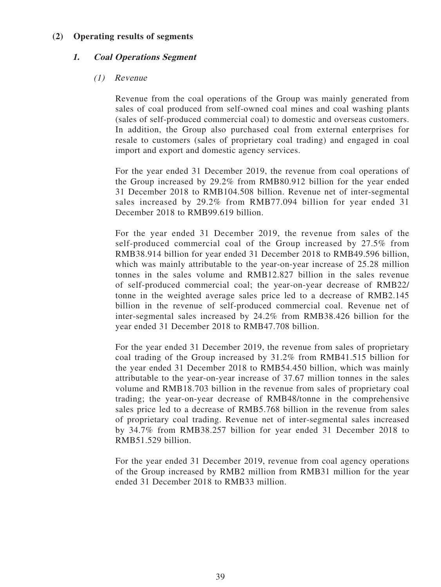# **(2) Operating results of segments**

# **1. Coal Operations Segment**

# (1) Revenue

Revenue from the coal operations of the Group was mainly generated from sales of coal produced from self-owned coal mines and coal washing plants (sales of self-produced commercial coal) to domestic and overseas customers. In addition, the Group also purchased coal from external enterprises for resale to customers (sales of proprietary coal trading) and engaged in coal import and export and domestic agency services.

For the year ended 31 December 2019, the revenue from coal operations of the Group increased by 29.2% from RMB80.912 billion for the year ended 31 December 2018 to RMB104.508 billion. Revenue net of inter-segmental sales increased by 29.2% from RMB77.094 billion for year ended 31 December 2018 to RMB99.619 billion.

For the year ended 31 December 2019, the revenue from sales of the self-produced commercial coal of the Group increased by 27.5% from RMB38.914 billion for year ended 31 December 2018 to RMB49.596 billion, which was mainly attributable to the year-on-year increase of 25.28 million tonnes in the sales volume and RMB12.827 billion in the sales revenue of self-produced commercial coal; the year-on-year decrease of RMB22/ tonne in the weighted average sales price led to a decrease of RMB2.145 billion in the revenue of self-produced commercial coal. Revenue net of inter-segmental sales increased by 24.2% from RMB38.426 billion for the year ended 31 December 2018 to RMB47.708 billion.

For the year ended 31 December 2019, the revenue from sales of proprietary coal trading of the Group increased by 31.2% from RMB41.515 billion for the year ended 31 December 2018 to RMB54.450 billion, which was mainly attributable to the year-on-year increase of 37.67 million tonnes in the sales volume and RMB18.703 billion in the revenue from sales of proprietary coal trading; the year-on-year decrease of RMB48/tonne in the comprehensive sales price led to a decrease of RMB5.768 billion in the revenue from sales of proprietary coal trading. Revenue net of inter-segmental sales increased by 34.7% from RMB38.257 billion for year ended 31 December 2018 to RMB51.529 billion.

For the year ended 31 December 2019, revenue from coal agency operations of the Group increased by RMB2 million from RMB31 million for the year ended 31 December 2018 to RMB33 million.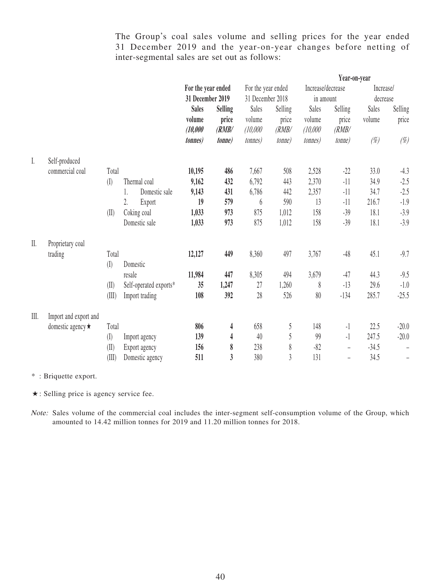The Group's coal sales volume and selling prices for the year ended 31 December 2019 and the year-on-year changes before netting of inter-segmental sales are set out as follows:

|         |                         |           |                        |                    |                |                    |                |                    | Year-on-year             |           |                   |
|---------|-------------------------|-----------|------------------------|--------------------|----------------|--------------------|----------------|--------------------|--------------------------|-----------|-------------------|
|         |                         |           |                        | For the year ended |                | For the year ended |                | Increase/decrease  |                          | Increase/ |                   |
|         |                         |           |                        | 31 December 2019   |                | 31 December 2018   |                | in amount          |                          | decrease  |                   |
|         |                         |           |                        | <b>Sales</b>       | <b>Selling</b> | Sales              | Selling        | Sales              | Selling                  | Sales     | Selling           |
|         |                         |           |                        | volume<br>(10,000) | price<br>(RMB/ | volume<br>(10,000) | price<br>(RMB/ | volume<br>(10,000) | price<br>(RMB/           | volume    | price             |
|         |                         |           |                        | <i>tonnes</i> )    | <i>tonne</i>   | <i>tonnes</i> )    | <i>tonne</i> ) | <i>tonnes</i> )    | <i>tonne</i> )           | $(\%)$    | $(\%)$            |
| I.      | Self-produced           |           |                        |                    |                |                    |                |                    |                          |           |                   |
|         | commercial coal         | Total     |                        | 10,195             | 486            | 7,667              | 508            | 2,528              | $-22$                    | 33.0      | $-4.3$            |
|         |                         | $($ [ $)$ | Thermal coal           | 9,162              | 432            | 6,792              | 443            | 2,370              | $-11$                    | 34.9      | $-2.5$            |
|         |                         |           | Domestic sale<br>1.    | 9,143              | 431            | 6,786              | 442            | 2,357              | $-11$                    | 34.7      | $-2.5$            |
|         |                         |           | 2.<br>Export           | 19                 | 579            | 6                  | 590            | 13                 | $-11$                    | 216.7     | $-1.9$            |
|         |                         | (II)      | Coking coal            | 1,033              | 973            | 875                | 1,012          | 158                | $-39$                    | 18.1      | $-3.9$            |
|         |                         |           | Domestic sale          | 1,033              | 973            | 875                | 1,012          | 158                | $-39$                    | 18.1      | $-3.9$            |
| $\prod$ | Proprietary coal        |           |                        |                    |                |                    |                |                    |                          |           |                   |
|         | trading                 | Total     |                        | 12,127             | 449            | 8,360              | 497            | 3,767              | $-48$                    | 45.1      | $-9.7$            |
|         |                         | $($ [ $)$ | Domestic               |                    |                |                    |                |                    |                          |           |                   |
|         |                         |           | resale                 | 11,984             | 447            | 8,305              | 494            | 3,679              | $-47$                    | 44.3      | $-9.5$            |
|         |                         | (II)      | Self-operated exports* | 35                 | 1,247          | 27                 | 1,260          | 8                  | $-13$                    | 29.6      | $-1.0$            |
|         |                         | (III)     | Import trading         | 108                | 392            | 28                 | 526            | $80\,$             | $-134$                   | 285.7     | $-25.5$           |
| III.    | Import and export and   |           |                        |                    |                |                    |                |                    |                          |           |                   |
|         | domestic agency $\star$ | Total     |                        | 806                | 4              | 658                | $\sqrt{5}$     | 148                | $-1$                     | 22.5      | $-20.0$           |
|         |                         | $($ [ $)$ | Import agency          | 139                | 4              | 40                 | 5              | 99                 | $-1$                     | 247.5     | $-20.0$           |
|         |                         | (II)      | Export agency          | 156                | 8              | 238                | $\,$ $\,$      | $-82$              | $\overline{\phantom{0}}$ | $-34.5$   |                   |
|         |                         | (III)     | Domestic agency        | 511                | $\mathfrak{z}$ | 380                | $\overline{3}$ | 131                | $\equiv$                 | 34.5      | $\qquad \qquad -$ |

\* : Briquette export.

★: Selling price is agency service fee.

Note: Sales volume of the commercial coal includes the inter-segment self-consumption volume of the Group, which amounted to 14.42 million tonnes for 2019 and 11.20 million tonnes for 2018.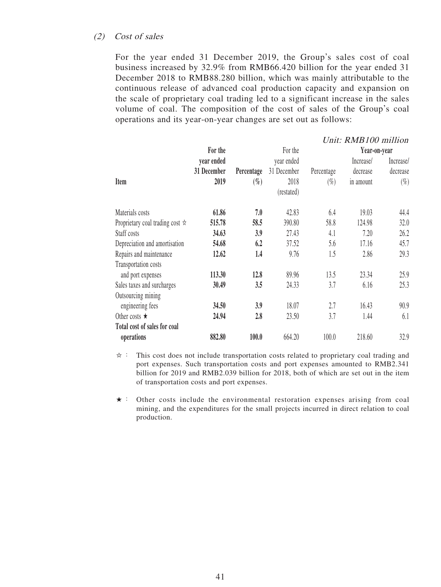#### (2) Cost of sales

For the year ended 31 December 2019, the Group's sales cost of coal business increased by 32.9% from RMB66.420 billion for the year ended 31 December 2018 to RMB88.280 billion, which was mainly attributable to the continuous release of advanced coal production capacity and expansion on the scale of proprietary coal trading led to a significant increase in the sales volume of coal. The composition of the cost of sales of the Group's coal operations and its year-on-year changes are set out as follows:

|                                                  |             |            |             |            | Unit: RMB100 million |           |
|--------------------------------------------------|-------------|------------|-------------|------------|----------------------|-----------|
|                                                  | For the     |            | For the     |            | Year-on-year         |           |
|                                                  | year ended  |            | year ended  |            | Increase/            | Increase/ |
|                                                  | 31 December | Percentage | 31 December | Percentage | decrease             | decrease  |
| Item                                             | 2019        | $(\%)$     | 2018        | $(\%)$     | in amount            | $(\%)$    |
|                                                  |             |            | (restated)  |            |                      |           |
| Materials costs                                  | 61.86       | 7.0        | 42.83       | 6.4        | 19.03                | 44.4      |
| Proprietary coal trading cost $\dot{\mathbf{x}}$ | 515.78      | 58.5       | 390.80      | 58.8       | 124.98               | 32.0      |
| Staff costs                                      | 34.63       | 3.9        | 27.43       | 4.1        | 7.20                 | 26.2      |
| Depreciation and amortisation                    | 54.68       | 6.2        | 37.52       | 5.6        | 17.16                | 45.7      |
| Repairs and maintenance                          | 12.62       | 1.4        | 9.76        | 1.5        | 2.86                 | 29.3      |
| Transportation costs                             |             |            |             |            |                      |           |
| and port expenses                                | 113.30      | 12.8       | 89.96       | 13.5       | 23.34                | 25.9      |
| Sales taxes and surcharges                       | 30.49       | 3.5        | 24.33       | 3.7        | 6.16                 | 25.3      |
| Outsourcing mining                               |             |            |             |            |                      |           |
| engineering fees                                 | 34.50       | 3.9        | 18.07       | 2.7        | 16.43                | 90.9      |
| Other costs $\star$                              | 24.94       | 2.8        | 23.50       | 3.7        | 1.44                 | 6.1       |
| Total cost of sales for coal                     |             |            |             |            |                      |           |
| operations                                       | 882.80      | 100.0      | 664.20      | 100.0      | 218.60               | 32.9      |

- $\dot{\varphi}$ : This cost does not include transportation costs related to proprietary coal trading and port expenses. Such transportation costs and port expenses amounted to RMB2.341 billion for 2019 and RMB2.039 billion for 2018, both of which are set out in the item of transportation costs and port expenses.
- ★: Other costs include the environmental restoration expenses arising from coal mining, and the expenditures for the small projects incurred in direct relation to coal production.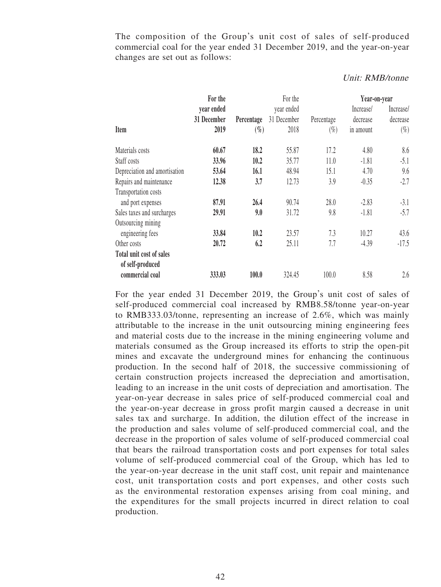The composition of the Group's unit cost of sales of self-produced commercial coal for the year ended 31 December 2019, and the year-on-year changes are set out as follows:

|                               | For the     |            | For the     |            | Year-on-year |           |
|-------------------------------|-------------|------------|-------------|------------|--------------|-----------|
|                               | year ended  |            | year ended  |            | Increase/    | Increase/ |
|                               | 31 December | Percentage | 31 December | Percentage | decrease     | decrease  |
| Item                          | 2019        | $(\%)$     | 2018        | $(\%)$     | in amount    | $(\%)$    |
| Materials costs               | 60.67       | 18.2       | 55.87       | 17.2       | 4.80         | 8.6       |
| Staff costs                   | 33.96       | 10.2       | 35.77       | 11.0       | $-1.81$      | $-5.1$    |
| Depreciation and amortisation | 53.64       | 16.1       | 48.94       | 15.1       | 4.70         | 9.6       |
| Repairs and maintenance       | 12.38       | 3.7        | 12.73       | 3.9        | $-0.35$      | $-2.7$    |
| Transportation costs          |             |            |             |            |              |           |
| and port expenses             | 87.91       | 26.4       | 90.74       | 28.0       | $-2.83$      | $-3.1$    |
| Sales taxes and surcharges    | 29.91       | 9.0        | 31.72       | 9.8        | $-1.81$      | $-5.7$    |
| Outsourcing mining            |             |            |             |            |              |           |
| engineering fees              | 33.84       | 10.2       | 23.57       | 7.3        | 10.27        | 43.6      |
| Other costs                   | 20.72       | 6.2        | 25.11       | 7.7        | $-4.39$      | $-17.5$   |
| Total unit cost of sales      |             |            |             |            |              |           |
| of self-produced              |             |            |             |            |              |           |
| commercial coal               | 333.03      | 100.0      | 324.45      | 100.0      | 8.58         | 2.6       |

#### Unit: RMB/tonne

For the year ended 31 December 2019, the Group's unit cost of sales of self-produced commercial coal increased by RMB8.58/tonne year-on-year to RMB333.03/tonne, representing an increase of 2.6%, which was mainly attributable to the increase in the unit outsourcing mining engineering fees and material costs due to the increase in the mining engineering volume and materials consumed as the Group increased its efforts to strip the open-pit mines and excavate the underground mines for enhancing the continuous production. In the second half of 2018, the successive commissioning of certain construction projects increased the depreciation and amortisation, leading to an increase in the unit costs of depreciation and amortisation. The year-on-year decrease in sales price of self-produced commercial coal and the year-on-year decrease in gross profit margin caused a decrease in unit sales tax and surcharge. In addition, the dilution effect of the increase in the production and sales volume of self-produced commercial coal, and the decrease in the proportion of sales volume of self-produced commercial coal that bears the railroad transportation costs and port expenses for total sales volume of self-produced commercial coal of the Group, which has led to the year-on-year decrease in the unit staff cost, unit repair and maintenance cost, unit transportation costs and port expenses, and other costs such as the environmental restoration expenses arising from coal mining, and the expenditures for the small projects incurred in direct relation to coal production.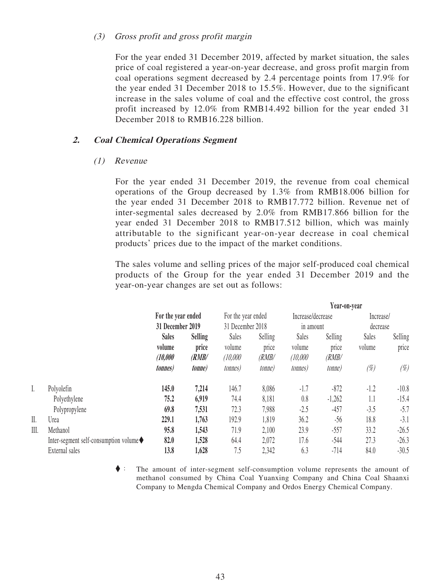#### (3) Gross profit and gross profit margin

For the year ended 31 December 2019, affected by market situation, the sales price of coal registered a year-on-year decrease, and gross profit margin from coal operations segment decreased by 2.4 percentage points from 17.9% for the year ended 31 December 2018 to 15.5%. However, due to the significant increase in the sales volume of coal and the effective cost control, the gross profit increased by 12.0% from RMB14.492 billion for the year ended 31 December 2018 to RMB16.228 billion.

## **2. Coal Chemical Operations Segment**

#### (1) Revenue

For the year ended 31 December 2019, the revenue from coal chemical operations of the Group decreased by 1.3% from RMB18.006 billion for the year ended 31 December 2018 to RMB17.772 billion. Revenue net of inter-segmental sales decreased by 2.0% from RMB17.866 billion for the year ended 31 December 2018 to RMB17.512 billion, which was mainly attributable to the significant year-on-year decrease in coal chemical products' prices due to the impact of the market conditions.

The sales volume and selling prices of the major self-produced coal chemical products of the Group for the year ended 31 December 2019 and the year-on-year changes are set out as follows:

 $\overline{1}$ 

|      |                                        |                    |                |                    |         | Year-on-year      |                |           |                |
|------|----------------------------------------|--------------------|----------------|--------------------|---------|-------------------|----------------|-----------|----------------|
|      |                                        | For the year ended |                | For the year ended |         | Increase/decrease |                | Increase/ |                |
|      |                                        | 31 December 2019   |                | 31 December 2018   |         | in amount         |                | decrease  |                |
|      |                                        | <b>Sales</b>       | <b>Selling</b> | Sales              | Selling | Sales             | Selling        | Sales     | <b>Selling</b> |
|      |                                        | volume             | price          | volume             | price   | volume            | price          | volume    | price          |
|      |                                        | (10,000)           | (RMB/          | (10,000)           | (RMB/   | (10,000)          | (RMB/          |           |                |
|      |                                        | <i>tonnes</i> )    | <i>tonne)</i>  | <i>tonnes</i> )    | tonne)  | <i>tonnes</i> )   | <i>tonne</i> ) | (%)       | $(\%)$         |
| I.   | Polyolefin                             | 145.0              | 7,214          | 146.7              | 8,086   | $-1.7$            | $-872$         | $-1.2$    | $-10.8$        |
|      | Polyethylene                           | 75.2               | 6,919          | 74.4               | 8,181   | 0.8               | $-1,262$       | 1.1       | $-15.4$        |
|      | Polypropylene                          | 69.8               | 7,531          | 72.3               | 7,988   | $-2.5$            | $-457$         | $-3.5$    | $-5.7$         |
| II.  | Urea                                   | 229.1              | 1,763          | 192.9              | 1,819   | 36.2              | $-56$          | 18.8      | $-3.1$         |
| III. | Methanol                               | 95.8               | 1,543          | 71.9               | 2,100   | 23.9              | $-557$         | 33.2      | $-26.5$        |
|      | Inter-segment self-consumption volume◆ | 82.0               | 1,528          | 64.4               | 2,072   | 17.6              | $-544$         | 27.3      | $-26.3$        |
|      | External sales                         | 13.8               | 1,628          | 7.5                | 2,342   | 6.3               | $-714$         | 84.0      | $-30.5$        |

◆: The amount of inter-segment self-consumption volume represents the amount of methanol consumed by China Coal Yuanxing Company and China Coal Shaanxi Company to Mengda Chemical Company and Ordos Energy Chemical Company.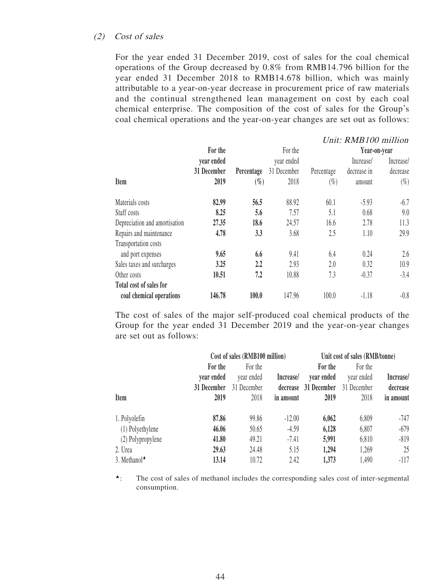## (2) Cost of sales

For the year ended 31 December 2019, cost of sales for the coal chemical operations of the Group decreased by 0.8% from RMB14.796 billion for the year ended 31 December 2018 to RMB14.678 billion, which was mainly attributable to a year-on-year decrease in procurement price of raw materials and the continual strengthened lean management on cost by each coal chemical enterprise. The composition of the cost of sales for the Group's coal chemical operations and the year-on-year changes are set out as follows:

|                               |             |            |             |            | Unit: RMB100 million |           |
|-------------------------------|-------------|------------|-------------|------------|----------------------|-----------|
|                               | For the     |            | For the     |            | Year-on-year         |           |
|                               | year ended  |            | year ended  |            | Increase/            | Increase/ |
|                               | 31 December | Percentage | 31 December | Percentage | decrease in          | decrease  |
| Item                          | 2019        | $(\%)$     | 2018        | $(\%)$     | amount               | $(\%)$    |
| Materials costs               | 82.99       | 56.5       | 88.92       | 60.1       | $-5.93$              | $-6.7$    |
| Staff costs                   | 8.25        | 5.6        | 7.57        | 5.1        | 0.68                 | 9.0       |
| Depreciation and amortisation | 27.35       | 18.6       | 24.57       | 16.6       | 2.78                 | 11.3      |
| Repairs and maintenance       | 4.78        | 3.3        | 3.68        | 2.5        | 1.10                 | 29.9      |
| Transportation costs          |             |            |             |            |                      |           |
| and port expenses             | 9.65        | 6.6        | 9.41        | 6.4        | 0.24                 | 2.6       |
| Sales taxes and surcharges    | 3.25        | 2.2        | 2.93        | 2.0        | 0.32                 | 10.9      |
| Other costs                   | 10.51       | 7.2        | 10.88       | 7.3        | $-0.37$              | $-3.4$    |
| Total cost of sales for       |             |            |             |            |                      |           |
| coal chemical operations      | 146.78      | 100.0      | 147.96      | 100.0      | $-1.18$              | $-0.8$    |

The cost of sales of the major self-produced coal chemical products of the Group for the year ended 31 December 2019 and the year-on-year changes are set out as follows:

|                          | Cost of sales (RMB100 million) |             |           | Unit cost of sales (RMB/tonne) |             |           |
|--------------------------|--------------------------------|-------------|-----------|--------------------------------|-------------|-----------|
|                          | For the                        | For the     |           | For the                        | For the     |           |
|                          | vear ended                     | year ended  | Increase/ | year ended                     | year ended  | Increase/ |
|                          | 31 December                    | 31 December | decrease  | 31 December                    | 31 December | decrease  |
| Item                     | 2019                           | 2018        | in amount | 2019                           | 2018        | in amount |
| 1. Polyolefin            | 87.86                          | 99.86       | $-12.00$  | 6,062                          | 6,809       | -747      |
| (1) Polyethylene         | 46.06                          | 50.65       | $-4.59$   | 6,128                          | 6,807       | $-679$    |
| (2) Polypropylene        | 41.80                          | 49.21       | $-7.41$   | 5,991                          | 6,810       | $-819$    |
| 2. Urea                  | 29.63                          | 24.48       | 5.15      | 1,294                          | 1,269       | 25        |
| 3. Methanol <sup>4</sup> | 13.14                          | 10.72       | 2.42      | 1,373                          | 1,490       | $-117$    |

▲: The cost of sales of methanol includes the corresponding sales cost of inter-segmental consumption.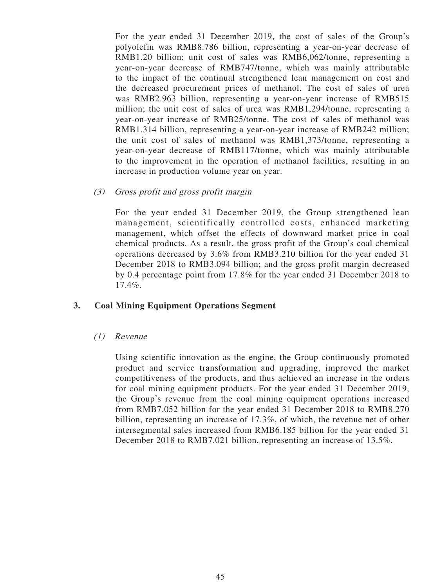For the year ended 31 December 2019, the cost of sales of the Group's polyolefin was RMB8.786 billion, representing a year-on-year decrease of RMB1.20 billion; unit cost of sales was RMB6,062/tonne, representing a year-on-year decrease of RMB747/tonne, which was mainly attributable to the impact of the continual strengthened lean management on cost and the decreased procurement prices of methanol. The cost of sales of urea was RMB2.963 billion, representing a year-on-year increase of RMB515 million; the unit cost of sales of urea was RMB1,294/tonne, representing a year-on-year increase of RMB25/tonne. The cost of sales of methanol was RMB1.314 billion, representing a year-on-year increase of RMB242 million; the unit cost of sales of methanol was RMB1,373/tonne, representing a year-on-year decrease of RMB117/tonne, which was mainly attributable to the improvement in the operation of methanol facilities, resulting in an increase in production volume year on year.

(3) Gross profit and gross profit margin

For the year ended 31 December 2019, the Group strengthened lean management, scientifically controlled costs, enhanced marketing management, which offset the effects of downward market price in coal chemical products. As a result, the gross profit of the Group's coal chemical operations decreased by 3.6% from RMB3.210 billion for the year ended 31 December 2018 to RMB3.094 billion; and the gross profit margin decreased by 0.4 percentage point from 17.8% for the year ended 31 December 2018 to 17.4%.

## **3. Coal Mining Equipment Operations Segment**

(1) Revenue

Using scientific innovation as the engine, the Group continuously promoted product and service transformation and upgrading, improved the market competitiveness of the products, and thus achieved an increase in the orders for coal mining equipment products. For the year ended 31 December 2019, the Group's revenue from the coal mining equipment operations increased from RMB7.052 billion for the year ended 31 December 2018 to RMB8.270 billion, representing an increase of 17.3%, of which, the revenue net of other intersegmental sales increased from RMB6.185 billion for the year ended 31 December 2018 to RMB7.021 billion, representing an increase of 13.5%.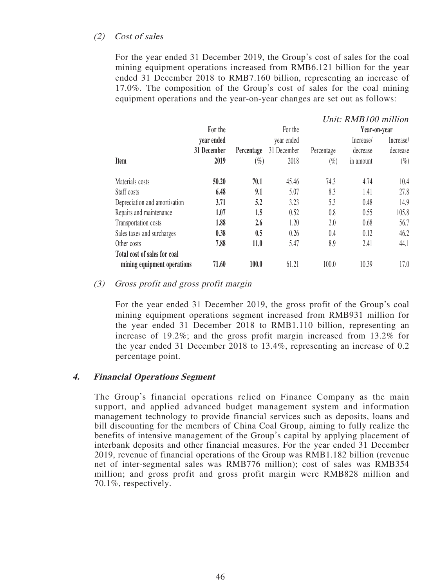# (2) Cost of sales

For the year ended 31 December 2019, the Group's cost of sales for the coal mining equipment operations increased from RMB6.121 billion for the year ended 31 December 2018 to RMB7.160 billion, representing an increase of 17.0%. The composition of the Group's cost of sales for the coal mining equipment operations and the year-on-year changes are set out as follows:

|                               |             |            |             |            | Unit: RMB100 million |           |
|-------------------------------|-------------|------------|-------------|------------|----------------------|-----------|
|                               | For the     |            | For the     |            | Year-on-year         |           |
|                               | vear ended  |            | year ended  |            | Increase/            | Increase/ |
|                               | 31 December | Percentage | 31 December | Percentage | decrease             | decrease  |
| <b>Item</b>                   | 2019        | $(\%)$     | 2018        | $(\%)$     | in amount            | $(\%)$    |
| Materials costs               | 50.20       | 70.1       | 45.46       | 74.3       | 4.74                 | 10.4      |
| Staff costs                   | 6.48        | 9.1        | 5.07        | 8.3        | 1.41                 | 27.8      |
| Depreciation and amortisation | 3.71        | 5.2        | 3.23        | 5.3        | 0.48                 | 14.9      |
| Repairs and maintenance       | 1.07        | 1.5        | 0.52        | 0.8        | 0.55                 | 105.8     |
| Transportation costs          | 1.88        | $2.6\,$    | 1.20        | 2.0        | 0.68                 | 56.7      |
| Sales taxes and surcharges    | 0.38        | 0.5        | 0.26        | 0.4        | 0.12                 | 46.2      |
| Other costs                   | 7.88        | 11.0       | 5.47        | 8.9        | 2.41                 | 44.1      |
| Total cost of sales for coal  |             |            |             |            |                      |           |
| mining equipment operations   | 71.60       | 100.0      | 61.21       | 100.0      | 10.39                | 17.0      |

#### (3) Gross profit and gross profit margin

For the year ended 31 December 2019, the gross profit of the Group's coal mining equipment operations segment increased from RMB931 million for the year ended 31 December 2018 to RMB1.110 billion, representing an increase of 19.2%; and the gross profit margin increased from 13.2% for the year ended 31 December 2018 to 13.4%, representing an increase of 0.2 percentage point.

## **4. Financial Operations Segment**

The Group's financial operations relied on Finance Company as the main support, and applied advanced budget management system and information management technology to provide financial services such as deposits, loans and bill discounting for the members of China Coal Group, aiming to fully realize the benefits of intensive management of the Group's capital by applying placement of interbank deposits and other financial measures. For the year ended 31 December 2019, revenue of financial operations of the Group was RMB1.182 billion (revenue net of inter-segmental sales was RMB776 million); cost of sales was RMB354 million; and gross profit and gross profit margin were RMB828 million and 70.1%, respectively.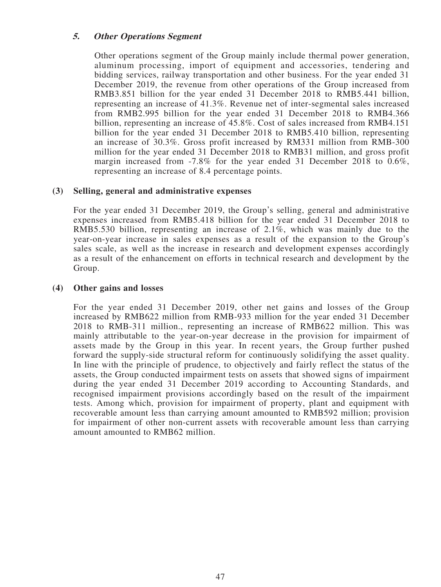# **5. Other Operations Segment**

Other operations segment of the Group mainly include thermal power generation, aluminum processing, import of equipment and accessories, tendering and bidding services, railway transportation and other business. For the year ended 31 December 2019, the revenue from other operations of the Group increased from RMB3.851 billion for the year ended 31 December 2018 to RMB5.441 billion, representing an increase of 41.3%. Revenue net of inter-segmental sales increased from RMB2.995 billion for the year ended 31 December 2018 to RMB4.366 billion, representing an increase of 45.8%. Cost of sales increased from RMB4.151 billion for the year ended 31 December 2018 to RMB5.410 billion, representing an increase of 30.3%. Gross profit increased by RM331 million from RMB-300 million for the year ended 31 December 2018 to RMB31 million, and gross profit margin increased from -7.8% for the year ended 31 December 2018 to 0.6%, representing an increase of 8.4 percentage points.

# **(3) Selling, general and administrative expenses**

For the year ended 31 December 2019, the Group's selling, general and administrative expenses increased from RMB5.418 billion for the year ended 31 December 2018 to RMB5.530 billion, representing an increase of 2.1%, which was mainly due to the year-on-year increase in sales expenses as a result of the expansion to the Group's sales scale, as well as the increase in research and development expenses accordingly as a result of the enhancement on efforts in technical research and development by the Group.

## **(4) Other gains and losses**

For the year ended 31 December 2019, other net gains and losses of the Group increased by RMB622 million from RMB-933 million for the year ended 31 December 2018 to RMB-311 million., representing an increase of RMB622 million. This was mainly attributable to the year-on-year decrease in the provision for impairment of assets made by the Group in this year. In recent years, the Group further pushed forward the supply-side structural reform for continuously solidifying the asset quality. In line with the principle of prudence, to objectively and fairly reflect the status of the assets, the Group conducted impairment tests on assets that showed signs of impairment during the year ended 31 December 2019 according to Accounting Standards, and recognised impairment provisions accordingly based on the result of the impairment tests. Among which, provision for impairment of property, plant and equipment with recoverable amount less than carrying amount amounted to RMB592 million; provision for impairment of other non-current assets with recoverable amount less than carrying amount amounted to RMB62 million.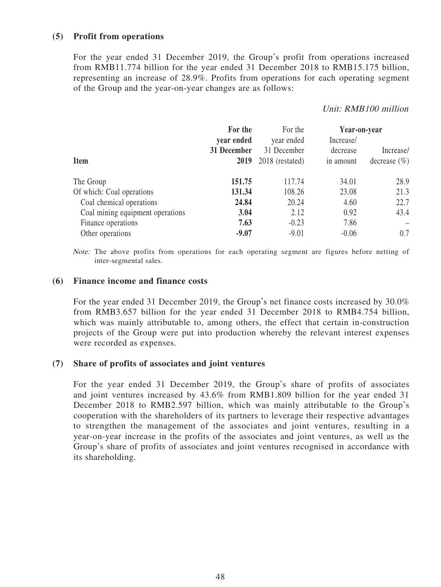# **(5) Profit from operations**

For the year ended 31 December 2019, the Group's profit from operations increased from RMB11.774 billion for the year ended 31 December 2018 to RMB15.175 billion, representing an increase of 28.9%. Profits from operations for each operating segment of the Group and the year-on-year changes are as follows:

## Unit: RMB100 million

|                                  | For the     | For the         | Year-on-year |                  |
|----------------------------------|-------------|-----------------|--------------|------------------|
|                                  | year ended  | year ended      | Increase/    |                  |
|                                  | 31 December | 31 December     | decrease     | Increase/        |
| <b>Item</b>                      | 2019        | 2018 (restated) | in amount    | decrease $(\% )$ |
| The Group                        | 151.75      | 117.74          | 34.01        | 28.9             |
| Of which: Coal operations        | 131.34      | 108.26          | 23.08        | 21.3             |
| Coal chemical operations         | 24.84       | 20.24           | 4.60         | 22.7             |
| Coal mining equipment operations | 3.04        | 2.12            | 0.92         | 43.4             |
| Finance operations               | 7.63        | $-0.23$         | 7.86         |                  |
| Other operations                 | $-9.07$     | $-9.01$         | $-0.06$      | 0.7              |

Note: The above profits from operations for each operating segment are figures before netting of inter-segmental sales.

#### **(6) Finance income and finance costs**

For the year ended 31 December 2019, the Group's net finance costs increased by 30.0% from RMB3.657 billion for the year ended 31 December 2018 to RMB4.754 billion, which was mainly attributable to, among others, the effect that certain in-construction projects of the Group were put into production whereby the relevant interest expenses were recorded as expenses.

#### **(7) Share of profits of associates and joint ventures**

For the year ended 31 December 2019, the Group's share of profits of associates and joint ventures increased by 43.6% from RMB1.809 billion for the year ended 31 December 2018 to RMB2.597 billion, which was mainly attributable to the Group's cooperation with the shareholders of its partners to leverage their respective advantages to strengthen the management of the associates and joint ventures, resulting in a year-on-year increase in the profits of the associates and joint ventures, as well as the Group's share of profits of associates and joint ventures recognised in accordance with its shareholding.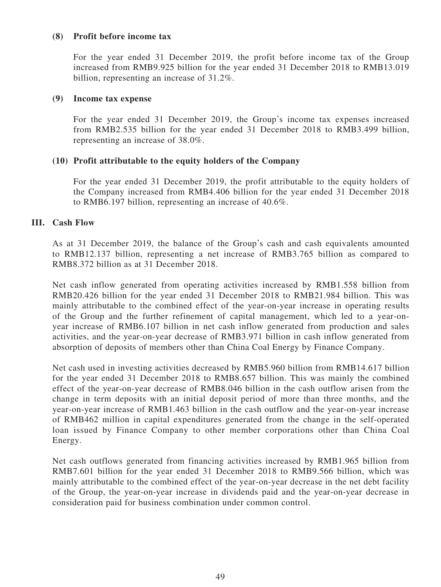## **(8) Profit before income tax**

For the year ended 31 December 2019, the profit before income tax of the Group increased from RMB9.925 billion for the year ended 31 December 2018 to RMB13.019 billion, representing an increase of 31.2%.

#### **(9) Income tax expense**

For the year ended 31 December 2019, the Group's income tax expenses increased from RMB2.535 billion for the year ended 31 December 2018 to RMB3.499 billion, representing an increase of 38.0%.

## **(10) Profit attributable to the equity holders of the Company**

For the year ended 31 December 2019, the profit attributable to the equity holders of the Company increased from RMB4.406 billion for the year ended 31 December 2018 to RMB6.197 billion, representing an increase of 40.6%.

## **III. Cash Flow**

As at 31 December 2019, the balance of the Group's cash and cash equivalents amounted to RMB12.137 billion, representing a net increase of RMB3.765 billion as compared to RMB8.372 billion as at 31 December 2018.

Net cash inflow generated from operating activities increased by RMB1.558 billion from RMB20.426 billion for the year ended 31 December 2018 to RMB21.984 billion. This was mainly attributable to the combined effect of the year-on-year increase in operating results of the Group and the further refinement of capital management, which led to a year-onyear increase of RMB6.107 billion in net cash inflow generated from production and sales activities, and the year-on-year decrease of RMB3.971 billion in cash inflow generated from absorption of deposits of members other than China Coal Energy by Finance Company.

Net cash used in investing activities decreased by RMB5.960 billion from RMB14.617 billion for the year ended 31 December 2018 to RMB8.657 billion. This was mainly the combined effect of the year-on-year decrease of RMB8.046 billion in the cash outflow arisen from the change in term deposits with an initial deposit period of more than three months, and the year-on-year increase of RMB1.463 billion in the cash outflow and the year-on-year increase of RMB462 million in capital expenditures generated from the change in the self-operated loan issued by Finance Company to other member corporations other than China Coal Energy.

Net cash outflows generated from financing activities increased by RMB1.965 billion from RMB7.601 billion for the year ended 31 December 2018 to RMB9.566 billion, which was mainly attributable to the combined effect of the year-on-year decrease in the net debt facility of the Group, the year-on-year increase in dividends paid and the year-on-year decrease in consideration paid for business combination under common control.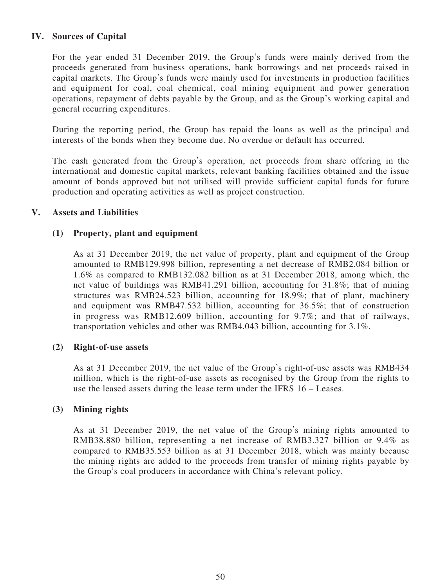# **IV. Sources of Capital**

For the year ended 31 December 2019, the Group's funds were mainly derived from the proceeds generated from business operations, bank borrowings and net proceeds raised in capital markets. The Group's funds were mainly used for investments in production facilities and equipment for coal, coal chemical, coal mining equipment and power generation operations, repayment of debts payable by the Group, and as the Group's working capital and general recurring expenditures.

During the reporting period, the Group has repaid the loans as well as the principal and interests of the bonds when they become due. No overdue or default has occurred.

The cash generated from the Group's operation, net proceeds from share offering in the international and domestic capital markets, relevant banking facilities obtained and the issue amount of bonds approved but not utilised will provide sufficient capital funds for future production and operating activities as well as project construction.

## **V. Assets and Liabilities**

# **(1) Property, plant and equipment**

As at 31 December 2019, the net value of property, plant and equipment of the Group amounted to RMB129.998 billion, representing a net decrease of RMB2.084 billion or 1.6% as compared to RMB132.082 billion as at 31 December 2018, among which, the net value of buildings was RMB41.291 billion, accounting for 31.8%; that of mining structures was RMB24.523 billion, accounting for 18.9%; that of plant, machinery and equipment was RMB47.532 billion, accounting for 36.5%; that of construction in progress was RMB12.609 billion, accounting for 9.7%; and that of railways, transportation vehicles and other was RMB4.043 billion, accounting for 3.1%.

## **(2) Right-of-use assets**

As at 31 December 2019, the net value of the Group's right-of-use assets was RMB434 million, which is the right-of-use assets as recognised by the Group from the rights to use the leased assets during the lease term under the IFRS 16 – Leases.

## **(3) Mining rights**

As at 31 December 2019, the net value of the Group's mining rights amounted to RMB38.880 billion, representing a net increase of RMB3.327 billion or 9.4% as compared to RMB35.553 billion as at 31 December 2018, which was mainly because the mining rights are added to the proceeds from transfer of mining rights payable by the Group's coal producers in accordance with China's relevant policy.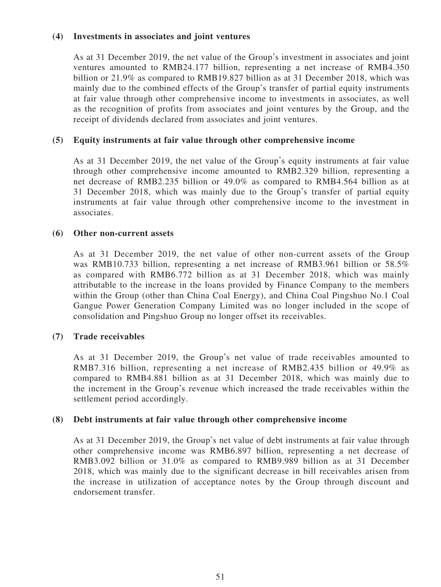# **(4) Investments in associates and joint ventures**

As at 31 December 2019, the net value of the Group's investment in associates and joint ventures amounted to RMB24.177 billion, representing a net increase of RMB4.350 billion or 21.9% as compared to RMB19.827 billion as at 31 December 2018, which was mainly due to the combined effects of the Group's transfer of partial equity instruments at fair value through other comprehensive income to investments in associates, as well as the recognition of profits from associates and joint ventures by the Group, and the receipt of dividends declared from associates and joint ventures.

# **(5) Equity instruments at fair value through other comprehensive income**

As at 31 December 2019, the net value of the Group's equity instruments at fair value through other comprehensive income amounted to RMB2.329 billion, representing a net decrease of RMB2.235 billion or 49.0% as compared to RMB4.564 billion as at 31 December 2018, which was mainly due to the Group's transfer of partial equity instruments at fair value through other comprehensive income to the investment in associates.

## **(6) Other non-current assets**

As at 31 December 2019, the net value of other non-current assets of the Group was RMB10.733 billion, representing a net increase of RMB3.961 billion or 58.5% as compared with RMB6.772 billion as at 31 December 2018, which was mainly attributable to the increase in the loans provided by Finance Company to the members within the Group (other than China Coal Energy), and China Coal Pingshuo No.1 Coal Gangue Power Generation Company Limited was no longer included in the scope of consolidation and Pingshuo Group no longer offset its receivables.

## **(7) Trade receivables**

As at 31 December 2019, the Group's net value of trade receivables amounted to RMB7.316 billion, representing a net increase of RMB2.435 billion or 49.9% as compared to RMB4.881 billion as at 31 December 2018, which was mainly due to the increment in the Group's revenue which increased the trade receivables within the settlement period accordingly.

## **(8) Debt instruments at fair value through other comprehensive income**

As at 31 December 2019, the Group's net value of debt instruments at fair value through other comprehensive income was RMB6.897 billion, representing a net decrease of RMB3.092 billion or 31.0% as compared to RMB9.989 billion as at 31 December 2018, which was mainly due to the significant decrease in bill receivables arisen from the increase in utilization of acceptance notes by the Group through discount and endorsement transfer.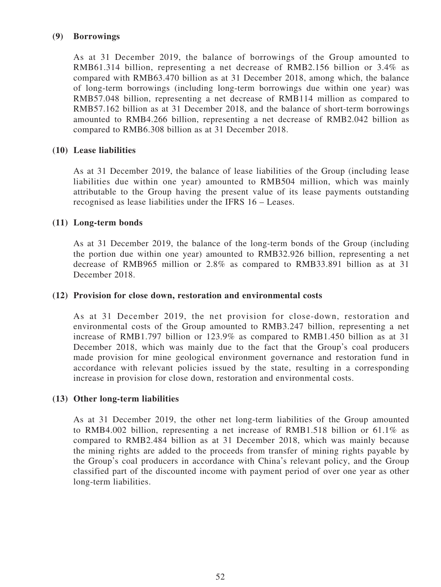# **(9) Borrowings**

As at 31 December 2019, the balance of borrowings of the Group amounted to RMB61.314 billion, representing a net decrease of RMB2.156 billion or 3.4% as compared with RMB63.470 billion as at 31 December 2018, among which, the balance of long-term borrowings (including long-term borrowings due within one year) was RMB57.048 billion, representing a net decrease of RMB114 million as compared to RMB57.162 billion as at 31 December 2018, and the balance of short-term borrowings amounted to RMB4.266 billion, representing a net decrease of RMB2.042 billion as compared to RMB6.308 billion as at 31 December 2018.

# **(10) Lease liabilities**

As at 31 December 2019, the balance of lease liabilities of the Group (including lease liabilities due within one year) amounted to RMB504 million, which was mainly attributable to the Group having the present value of its lease payments outstanding recognised as lease liabilities under the IFRS 16 – Leases.

# **(11) Long-term bonds**

As at 31 December 2019, the balance of the long-term bonds of the Group (including the portion due within one year) amounted to RMB32.926 billion, representing a net decrease of RMB965 million or 2.8% as compared to RMB33.891 billion as at 31 December 2018.

## **(12) Provision for close down, restoration and environmental costs**

As at 31 December 2019, the net provision for close-down, restoration and environmental costs of the Group amounted to RMB3.247 billion, representing a net increase of RMB1.797 billion or 123.9% as compared to RMB1.450 billion as at 31 December 2018, which was mainly due to the fact that the Group's coal producers made provision for mine geological environment governance and restoration fund in accordance with relevant policies issued by the state, resulting in a corresponding increase in provision for close down, restoration and environmental costs.

## **(13) Other long-term liabilities**

As at 31 December 2019, the other net long-term liabilities of the Group amounted to RMB4.002 billion, representing a net increase of RMB1.518 billion or 61.1% as compared to RMB2.484 billion as at 31 December 2018, which was mainly because the mining rights are added to the proceeds from transfer of mining rights payable by the Group's coal producers in accordance with China's relevant policy, and the Group classified part of the discounted income with payment period of over one year as other long-term liabilities.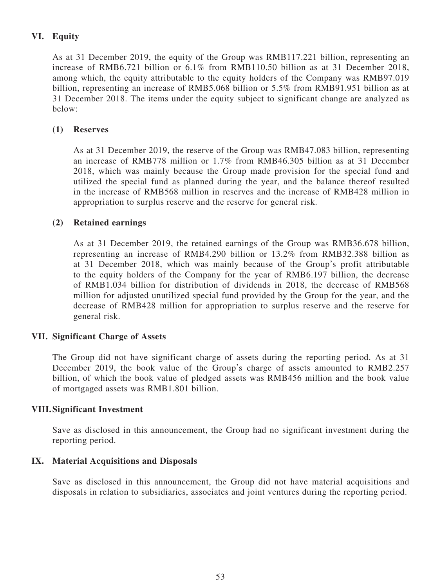# **VI. Equity**

As at 31 December 2019, the equity of the Group was RMB117.221 billion, representing an increase of RMB6.721 billion or 6.1% from RMB110.50 billion as at 31 December 2018, among which, the equity attributable to the equity holders of the Company was RMB97.019 billion, representing an increase of RMB5.068 billion or 5.5% from RMB91.951 billion as at 31 December 2018. The items under the equity subject to significant change are analyzed as below:

# **(1) Reserves**

As at 31 December 2019, the reserve of the Group was RMB47.083 billion, representing an increase of RMB778 million or 1.7% from RMB46.305 billion as at 31 December 2018, which was mainly because the Group made provision for the special fund and utilized the special fund as planned during the year, and the balance thereof resulted in the increase of RMB568 million in reserves and the increase of RMB428 million in appropriation to surplus reserve and the reserve for general risk.

# **(2) Retained earnings**

As at 31 December 2019, the retained earnings of the Group was RMB36.678 billion, representing an increase of RMB4.290 billion or 13.2% from RMB32.388 billion as at 31 December 2018, which was mainly because of the Group's profit attributable to the equity holders of the Company for the year of RMB6.197 billion, the decrease of RMB1.034 billion for distribution of dividends in 2018, the decrease of RMB568 million for adjusted unutilized special fund provided by the Group for the year, and the decrease of RMB428 million for appropriation to surplus reserve and the reserve for general risk.

## **VII. Significant Charge of Assets**

The Group did not have significant charge of assets during the reporting period. As at 31 December 2019, the book value of the Group's charge of assets amounted to RMB2.257 billion, of which the book value of pledged assets was RMB456 million and the book value of mortgaged assets was RMB1.801 billion.

## **VIII. Significant Investment**

Save as disclosed in this announcement, the Group had no significant investment during the reporting period.

## **IX. Material Acquisitions and Disposals**

Save as disclosed in this announcement, the Group did not have material acquisitions and disposals in relation to subsidiaries, associates and joint ventures during the reporting period.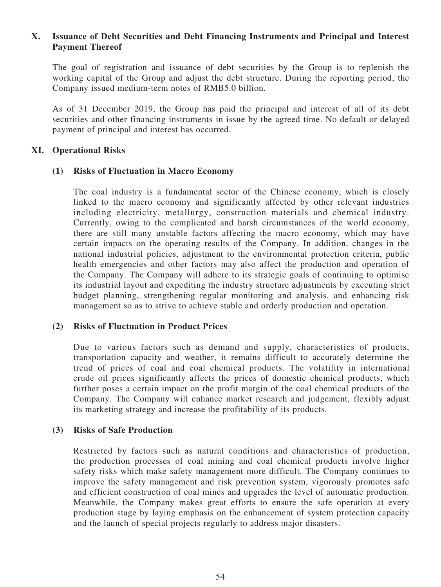# **X. Issuance of Debt Securities and Debt Financing Instruments and Principal and Interest Payment Thereof**

The goal of registration and issuance of debt securities by the Group is to replenish the working capital of the Group and adjust the debt structure. During the reporting period, the Company issued medium-term notes of RMB5.0 billion.

As of 31 December 2019, the Group has paid the principal and interest of all of its debt securities and other financing instruments in issue by the agreed time. No default or delayed payment of principal and interest has occurred.

## **XI. Operational Risks**

## **(1) Risks of Fluctuation in Macro Economy**

The coal industry is a fundamental sector of the Chinese economy, which is closely linked to the macro economy and significantly affected by other relevant industries including electricity, metallurgy, construction materials and chemical industry. Currently, owing to the complicated and harsh circumstances of the world economy, there are still many unstable factors affecting the macro economy, which may have certain impacts on the operating results of the Company. In addition, changes in the national industrial policies, adjustment to the environmental protection criteria, public health emergencies and other factors may also affect the production and operation of the Company. The Company will adhere to its strategic goals of continuing to optimise its industrial layout and expediting the industry structure adjustments by executing strict budget planning, strengthening regular monitoring and analysis, and enhancing risk management so as to strive to achieve stable and orderly production and operation.

# **(2) Risks of Fluctuation in Product Prices**

Due to various factors such as demand and supply, characteristics of products, transportation capacity and weather, it remains difficult to accurately determine the trend of prices of coal and coal chemical products. The volatility in international crude oil prices significantly affects the prices of domestic chemical products, which further poses a certain impact on the profit margin of the coal chemical products of the Company. The Company will enhance market research and judgement, flexibly adjust its marketing strategy and increase the profitability of its products.

## **(3) Risks of Safe Production**

Restricted by factors such as natural conditions and characteristics of production, the production processes of coal mining and coal chemical products involve higher safety risks which make safety management more difficult. The Company continues to improve the safety management and risk prevention system, vigorously promotes safe and efficient construction of coal mines and upgrades the level of automatic production. Meanwhile, the Company makes great efforts to ensure the safe operation at every production stage by laying emphasis on the enhancement of system protection capacity and the launch of special projects regularly to address major disasters.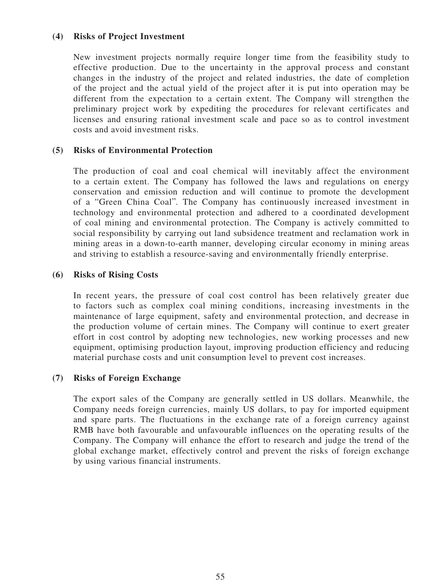# **(4) Risks of Project Investment**

New investment projects normally require longer time from the feasibility study to effective production. Due to the uncertainty in the approval process and constant changes in the industry of the project and related industries, the date of completion of the project and the actual yield of the project after it is put into operation may be different from the expectation to a certain extent. The Company will strengthen the preliminary project work by expediting the procedures for relevant certificates and licenses and ensuring rational investment scale and pace so as to control investment costs and avoid investment risks.

# **(5) Risks of Environmental Protection**

The production of coal and coal chemical will inevitably affect the environment to a certain extent. The Company has followed the laws and regulations on energy conservation and emission reduction and will continue to promote the development of a "Green China Coal". The Company has continuously increased investment in technology and environmental protection and adhered to a coordinated development of coal mining and environmental protection. The Company is actively committed to social responsibility by carrying out land subsidence treatment and reclamation work in mining areas in a down-to-earth manner, developing circular economy in mining areas and striving to establish a resource-saving and environmentally friendly enterprise.

## **(6) Risks of Rising Costs**

In recent years, the pressure of coal cost control has been relatively greater due to factors such as complex coal mining conditions, increasing investments in the maintenance of large equipment, safety and environmental protection, and decrease in the production volume of certain mines. The Company will continue to exert greater effort in cost control by adopting new technologies, new working processes and new equipment, optimising production layout, improving production efficiency and reducing material purchase costs and unit consumption level to prevent cost increases.

## **(7) Risks of Foreign Exchange**

The export sales of the Company are generally settled in US dollars. Meanwhile, the Company needs foreign currencies, mainly US dollars, to pay for imported equipment and spare parts. The fluctuations in the exchange rate of a foreign currency against RMB have both favourable and unfavourable influences on the operating results of the Company. The Company will enhance the effort to research and judge the trend of the global exchange market, effectively control and prevent the risks of foreign exchange by using various financial instruments.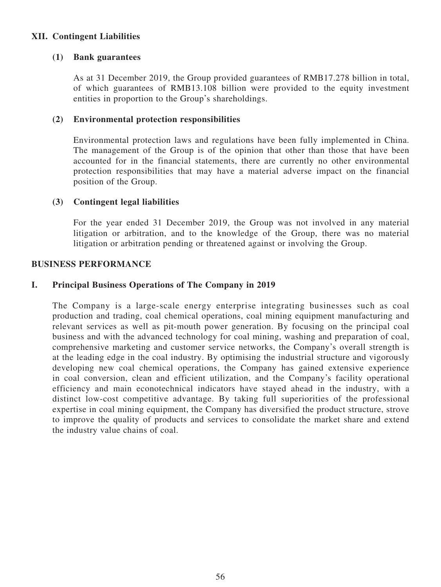# **XII. Contingent Liabilities**

# **(1) Bank guarantees**

As at 31 December 2019, the Group provided guarantees of RMB17.278 billion in total, of which guarantees of RMB13.108 billion were provided to the equity investment entities in proportion to the Group's shareholdings.

# **(2) Environmental protection responsibilities**

Environmental protection laws and regulations have been fully implemented in China. The management of the Group is of the opinion that other than those that have been accounted for in the financial statements, there are currently no other environmental protection responsibilities that may have a material adverse impact on the financial position of the Group.

# **(3) Contingent legal liabilities**

For the year ended 31 December 2019, the Group was not involved in any material litigation or arbitration, and to the knowledge of the Group, there was no material litigation or arbitration pending or threatened against or involving the Group.

## **BUSINESS PERFORMANCE**

# **I. Principal Business Operations of The Company in 2019**

The Company is a large-scale energy enterprise integrating businesses such as coal production and trading, coal chemical operations, coal mining equipment manufacturing and relevant services as well as pit-mouth power generation. By focusing on the principal coal business and with the advanced technology for coal mining, washing and preparation of coal, comprehensive marketing and customer service networks, the Company's overall strength is at the leading edge in the coal industry. By optimising the industrial structure and vigorously developing new coal chemical operations, the Company has gained extensive experience in coal conversion, clean and efficient utilization, and the Company's facility operational efficiency and main econotechnical indicators have stayed ahead in the industry, with a distinct low-cost competitive advantage. By taking full superiorities of the professional expertise in coal mining equipment, the Company has diversified the product structure, strove to improve the quality of products and services to consolidate the market share and extend the industry value chains of coal.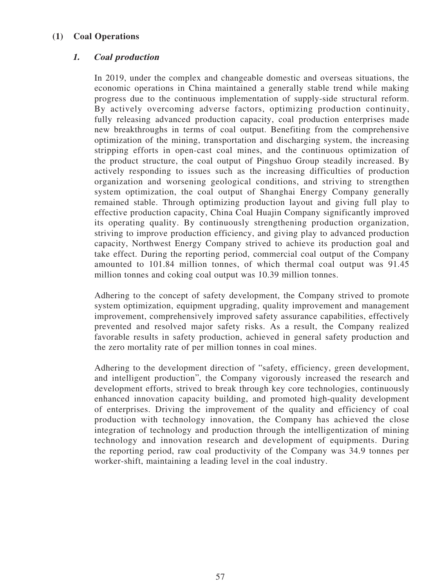# **(1) Coal Operations**

# **1. Coal production**

In 2019, under the complex and changeable domestic and overseas situations, the economic operations in China maintained a generally stable trend while making progress due to the continuous implementation of supply-side structural reform. By actively overcoming adverse factors, optimizing production continuity, fully releasing advanced production capacity, coal production enterprises made new breakthroughs in terms of coal output. Benefiting from the comprehensive optimization of the mining, transportation and discharging system, the increasing stripping efforts in open-cast coal mines, and the continuous optimization of the product structure, the coal output of Pingshuo Group steadily increased. By actively responding to issues such as the increasing difficulties of production organization and worsening geological conditions, and striving to strengthen system optimization, the coal output of Shanghai Energy Company generally remained stable. Through optimizing production layout and giving full play to effective production capacity, China Coal Huajin Company significantly improved its operating quality. By continuously strengthening production organization, striving to improve production efficiency, and giving play to advanced production capacity, Northwest Energy Company strived to achieve its production goal and take effect. During the reporting period, commercial coal output of the Company amounted to 101.84 million tonnes, of which thermal coal output was 91.45 million tonnes and coking coal output was 10.39 million tonnes.

Adhering to the concept of safety development, the Company strived to promote system optimization, equipment upgrading, quality improvement and management improvement, comprehensively improved safety assurance capabilities, effectively prevented and resolved major safety risks. As a result, the Company realized favorable results in safety production, achieved in general safety production and the zero mortality rate of per million tonnes in coal mines.

Adhering to the development direction of "safety, efficiency, green development, and intelligent production", the Company vigorously increased the research and development efforts, strived to break through key core technologies, continuously enhanced innovation capacity building, and promoted high-quality development of enterprises. Driving the improvement of the quality and efficiency of coal production with technology innovation, the Company has achieved the close integration of technology and production through the intelligentization of mining technology and innovation research and development of equipments. During the reporting period, raw coal productivity of the Company was 34.9 tonnes per worker-shift, maintaining a leading level in the coal industry.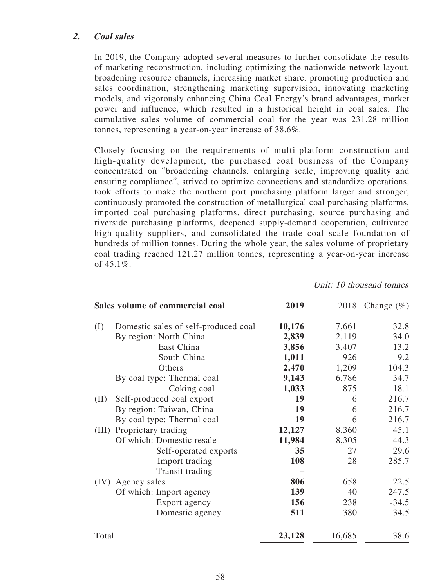## **2. Coal sales**

In 2019, the Company adopted several measures to further consolidate the results of marketing reconstruction, including optimizing the nationwide network layout, broadening resource channels, increasing market share, promoting production and sales coordination, strengthening marketing supervision, innovating marketing models, and vigorously enhancing China Coal Energy's brand advantages, market power and influence, which resulted in a historical height in coal sales. The cumulative sales volume of commercial coal for the year was 231.28 million tonnes, representing a year-on-year increase of 38.6%.

Closely focusing on the requirements of multi-platform construction and high-quality development, the purchased coal business of the Company concentrated on "broadening channels, enlarging scale, improving quality and ensuring compliance", strived to optimize connections and standardize operations, took efforts to make the northern port purchasing platform larger and stronger, continuously promoted the construction of metallurgical coal purchasing platforms, imported coal purchasing platforms, direct purchasing, source purchasing and riverside purchasing platforms, deepened supply-demand cooperation, cultivated high-quality suppliers, and consolidated the trade coal scale foundation of hundreds of million tonnes. During the whole year, the sales volume of proprietary coal trading reached 121.27 million tonnes, representing a year-on-year increase of  $45.1\%$ .

Unit: 10 thousand tonnes

|       | Sales volume of commercial coal      | 2019   | 2018   | Change $(\%)$ |
|-------|--------------------------------------|--------|--------|---------------|
| (I)   | Domestic sales of self-produced coal | 10,176 | 7,661  | 32.8          |
|       | By region: North China               | 2,839  | 2,119  | 34.0          |
|       | East China                           | 3,856  | 3,407  | 13.2          |
|       | South China                          | 1,011  | 926    | 9.2           |
|       | Others                               | 2,470  | 1,209  | 104.3         |
|       | By coal type: Thermal coal           | 9,143  | 6,786  | 34.7          |
|       | Coking coal                          | 1,033  | 875    | 18.1          |
| (II)  | Self-produced coal export            | 19     | 6      | 216.7         |
|       | By region: Taiwan, China             | 19     | 6      | 216.7         |
|       | By coal type: Thermal coal           | 19     | 6      | 216.7         |
|       | (III) Proprietary trading            | 12,127 | 8,360  | 45.1          |
|       | Of which: Domestic resale            | 11,984 | 8,305  | 44.3          |
|       | Self-operated exports                | 35     | 27     | 29.6          |
|       | Import trading                       | 108    | 28     | 285.7         |
|       | Transit trading                      |        |        |               |
|       | (IV) Agency sales                    | 806    | 658    | 22.5          |
|       | Of which: Import agency              | 139    | 40     | 247.5         |
|       | Export agency                        | 156    | 238    | $-34.5$       |
|       | Domestic agency                      | 511    | 380    | 34.5          |
| Total |                                      | 23,128 | 16,685 | 38.6          |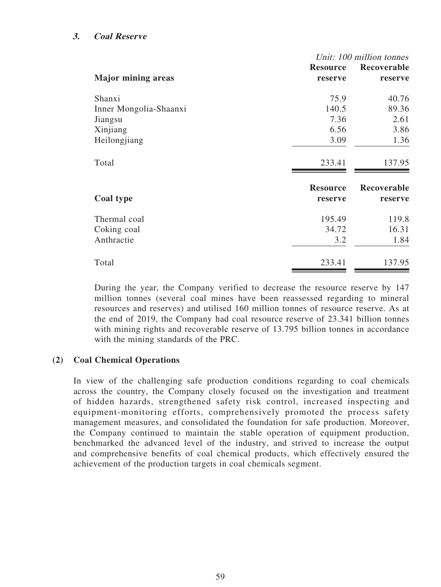## **3. Coal Reserve**

|                           | Unit: 100 million tonnes   |                        |  |  |
|---------------------------|----------------------------|------------------------|--|--|
|                           | <b>Resource</b>            | Recoverable            |  |  |
| <b>Major mining areas</b> | reserve                    | reserve                |  |  |
| Shanxi                    | 75.9                       | 40.76                  |  |  |
| Inner Mongolia-Shaanxi    | 140.5                      | 89.36                  |  |  |
| Jiangsu                   | 7.36                       | 2.61                   |  |  |
| Xinjiang                  | 6.56                       | 3.86                   |  |  |
| Heilongjiang              | 3.09                       | 1.36                   |  |  |
| Total                     | 233.41                     | 137.95                 |  |  |
| Coal type                 | <b>Resource</b><br>reserve | Recoverable<br>reserve |  |  |
|                           |                            |                        |  |  |
| Thermal coal              | 195.49                     | 119.8                  |  |  |
| Coking coal               | 34.72                      | 16.31                  |  |  |
| Anthractie                | 3.2                        | 1.84                   |  |  |
| Total                     | 233.41                     | 137.95                 |  |  |

During the year, the Company verified to decrease the resource reserve by 147 million tonnes (several coal mines have been reassessed regarding to mineral resources and reserves) and utilised 160 million tonnes of resource reserve. As at the end of 2019, the Company had coal resource reserve of 23.341 billion tonnes with mining rights and recoverable reserve of 13.795 billion tonnes in accordance with the mining standards of the PRC.

## **(2) Coal Chemical Operations**

In view of the challenging safe production conditions regarding to coal chemicals across the country, the Company closely focused on the investigation and treatment of hidden hazards, strengthened safety risk control, increased inspecting and equipment-monitoring efforts, comprehensively promoted the process safety management measures, and consolidated the foundation for safe production. Moreover, the Company continued to maintain the stable operation of equipment production, benchmarked the advanced level of the industry, and strived to increase the output and comprehensive benefits of coal chemical products, which effectively ensured the achievement of the production targets in coal chemicals segment.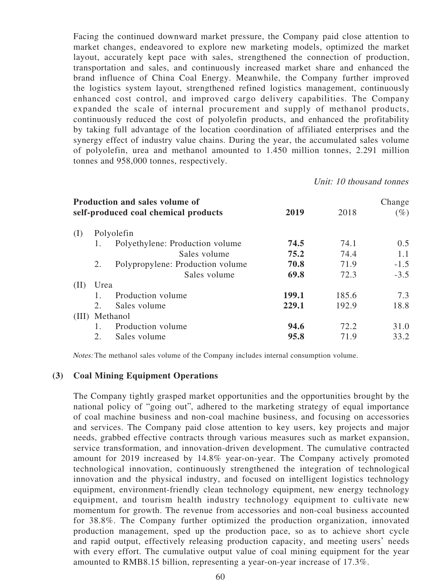Facing the continued downward market pressure, the Company paid close attention to market changes, endeavored to explore new marketing models, optimized the market layout, accurately kept pace with sales, strengthened the connection of production, transportation and sales, and continuously increased market share and enhanced the brand influence of China Coal Energy. Meanwhile, the Company further improved the logistics system layout, strengthened refined logistics management, continuously enhanced cost control, and improved cargo delivery capabilities. The Company expanded the scale of internal procurement and supply of methanol products, continuously reduced the cost of polyolefin products, and enhanced the profitability by taking full advantage of the location coordination of affiliated enterprises and the synergy effect of industry value chains. During the year, the accumulated sales volume of polyolefin, urea and methanol amounted to 1.450 million tonnes, 2.291 million tonnes and 958,000 tonnes, respectively.

Unit: 10 thousand tonnes

|       |                                  | 2019                                                                                                                                        | 2018  | Change<br>$(\%)$ |
|-------|----------------------------------|---------------------------------------------------------------------------------------------------------------------------------------------|-------|------------------|
|       |                                  |                                                                                                                                             |       |                  |
| 1.    |                                  | 74.5                                                                                                                                        | 74.1  | 0.5              |
|       | Sales volume                     | 75.2                                                                                                                                        | 74.4  | 1.1              |
| 2.    | Polypropylene: Production volume | 70.8                                                                                                                                        | 71.9  | $-1.5$           |
|       | Sales volume                     | 69.8                                                                                                                                        | 72.3  | $-3.5$           |
|       |                                  |                                                                                                                                             |       |                  |
|       | Production volume                | 199.1                                                                                                                                       | 185.6 | 7.3              |
| 2.    | Sales volume                     | 229.1                                                                                                                                       | 192.9 | 18.8             |
| (III) |                                  |                                                                                                                                             |       |                  |
| 1.    | Production volume                | 94.6                                                                                                                                        | 72.2  | 31.0             |
| 2.    | Sales volume                     | 95.8                                                                                                                                        | 71.9  | 33.2             |
|       |                                  | Production and sales volume of<br>self-produced coal chemical products<br>Polyolefin<br>Polyethylene: Production volume<br>Urea<br>Methanol |       |                  |

Notes: The methanol sales volume of the Company includes internal consumption volume.

#### **(3) Coal Mining Equipment Operations**

The Company tightly grasped market opportunities and the opportunities brought by the national policy of "going out", adhered to the marketing strategy of equal importance of coal machine business and non-coal machine business, and focusing on accessories and services. The Company paid close attention to key users, key projects and major needs, grabbed effective contracts through various measures such as market expansion, service transformation, and innovation-driven development. The cumulative contracted amount for 2019 increased by 14.8% year-on-year. The Company actively promoted technological innovation, continuously strengthened the integration of technological innovation and the physical industry, and focused on intelligent logistics technology equipment, environment-friendly clean technology equipment, new energy technology equipment, and tourism health industry technology equipment to cultivate new momentum for growth. The revenue from accessories and non-coal business accounted for 38.8%. The Company further optimized the production organization, innovated production management, sped up the production pace, so as to achieve short cycle and rapid output, effectively releasing production capacity, and meeting users' needs with every effort. The cumulative output value of coal mining equipment for the year amounted to RMB8.15 billion, representing a year-on-year increase of 17.3%.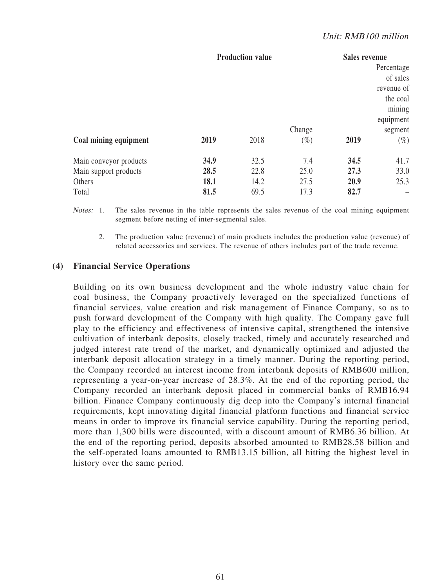#### Unit: RMB100 million

|                        | <b>Production value</b> |      |                  | <b>Sales revenue</b><br>Percentage<br>of sales<br>revenue of<br>the coal<br>mining<br>equipment |                   |
|------------------------|-------------------------|------|------------------|-------------------------------------------------------------------------------------------------|-------------------|
| Coal mining equipment  | 2019                    | 2018 | Change<br>$(\%)$ | 2019                                                                                            | segment<br>$(\%)$ |
| Main conveyor products | 34.9                    | 32.5 | 7.4              | 34.5                                                                                            | 41.7              |
| Main support products  | 28.5                    | 22.8 | 25.0             | 27.3                                                                                            | 33.0              |
| Others                 | 18.1                    | 14.2 | 27.5             | 20.9                                                                                            | 25.3              |
| Total                  | 81.5                    | 69.5 | 17.3             | 82.7                                                                                            |                   |

Notes: 1. The sales revenue in the table represents the sales revenue of the coal mining equipment segment before netting of inter-segmental sales.

 2. The production value (revenue) of main products includes the production value (revenue) of related accessories and services. The revenue of others includes part of the trade revenue.

#### **(4) Financial Service Operations**

Building on its own business development and the whole industry value chain for coal business, the Company proactively leveraged on the specialized functions of financial services, value creation and risk management of Finance Company, so as to push forward development of the Company with high quality. The Company gave full play to the efficiency and effectiveness of intensive capital, strengthened the intensive cultivation of interbank deposits, closely tracked, timely and accurately researched and judged interest rate trend of the market, and dynamically optimized and adjusted the interbank deposit allocation strategy in a timely manner. During the reporting period, the Company recorded an interest income from interbank deposits of RMB600 million, representing a year-on-year increase of 28.3%. At the end of the reporting period, the Company recorded an interbank deposit placed in commercial banks of RMB16.94 billion. Finance Company continuously dig deep into the Company's internal financial requirements, kept innovating digital financial platform functions and financial service means in order to improve its financial service capability. During the reporting period, more than 1,300 bills were discounted, with a discount amount of RMB6.36 billion. At the end of the reporting period, deposits absorbed amounted to RMB28.58 billion and the self-operated loans amounted to RMB13.15 billion, all hitting the highest level in history over the same period.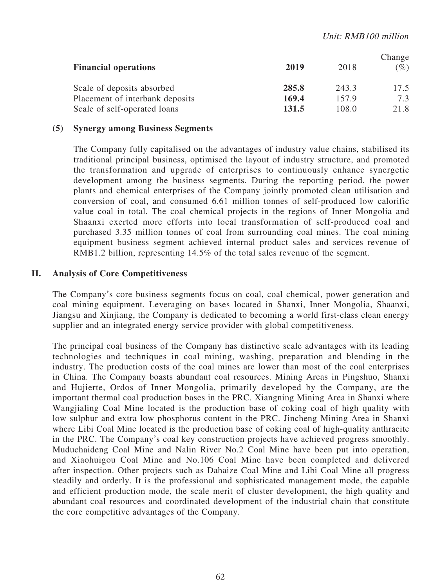| <b>Financial operations</b>     | 2019  | 2018  | Change<br>$(\%)$ |
|---------------------------------|-------|-------|------------------|
| Scale of deposits absorbed      | 285.8 | 243.3 | 17.5             |
| Placement of interbank deposits | 169.4 | 157.9 | 7.3              |
| Scale of self-operated loans    | 131.5 | 108.0 | 21.8             |

## **(5) Synergy among Business Segments**

The Company fully capitalised on the advantages of industry value chains, stabilised its traditional principal business, optimised the layout of industry structure, and promoted the transformation and upgrade of enterprises to continuously enhance synergetic development among the business segments. During the reporting period, the power plants and chemical enterprises of the Company jointly promoted clean utilisation and conversion of coal, and consumed 6.61 million tonnes of self-produced low calorific value coal in total. The coal chemical projects in the regions of Inner Mongolia and Shaanxi exerted more efforts into local transformation of self-produced coal and purchased 3.35 million tonnes of coal from surrounding coal mines. The coal mining equipment business segment achieved internal product sales and services revenue of RMB1.2 billion, representing 14.5% of the total sales revenue of the segment.

#### **II. Analysis of Core Competitiveness**

The Company's core business segments focus on coal, coal chemical, power generation and coal mining equipment. Leveraging on bases located in Shanxi, Inner Mongolia, Shaanxi, Jiangsu and Xinjiang, the Company is dedicated to becoming a world first-class clean energy supplier and an integrated energy service provider with global competitiveness.

The principal coal business of the Company has distinctive scale advantages with its leading technologies and techniques in coal mining, washing, preparation and blending in the industry. The production costs of the coal mines are lower than most of the coal enterprises in China. The Company boasts abundant coal resources. Mining Areas in Pingshuo, Shanxi and Hujierte, Ordos of Inner Mongolia, primarily developed by the Company, are the important thermal coal production bases in the PRC. Xiangning Mining Area in Shanxi where Wangjialing Coal Mine located is the production base of coking coal of high quality with low sulphur and extra low phosphorus content in the PRC. Jincheng Mining Area in Shanxi where Libi Coal Mine located is the production base of coking coal of high-quality anthracite in the PRC. The Company's coal key construction projects have achieved progress smoothly. Muduchaideng Coal Mine and Nalin River No.2 Coal Mine have been put into operation, and Xiaohuigou Coal Mine and No.106 Coal Mine have been completed and delivered after inspection. Other projects such as Dahaize Coal Mine and Libi Coal Mine all progress steadily and orderly. It is the professional and sophisticated management mode, the capable and efficient production mode, the scale merit of cluster development, the high quality and abundant coal resources and coordinated development of the industrial chain that constitute the core competitive advantages of the Company.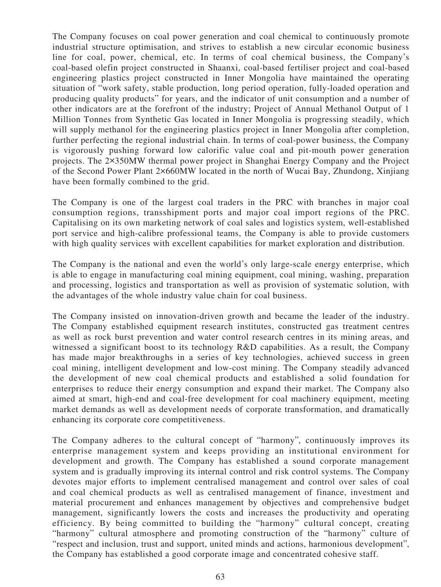The Company focuses on coal power generation and coal chemical to continuously promote industrial structure optimisation, and strives to establish a new circular economic business line for coal, power, chemical, etc. In terms of coal chemical business, the Company's coal-based olefin project constructed in Shaanxi, coal-based fertiliser project and coal-based engineering plastics project constructed in Inner Mongolia have maintained the operating situation of "work safety, stable production, long period operation, fully-loaded operation and producing quality products" for years, and the indicator of unit consumption and a number of other indicators are at the forefront of the industry; Project of Annual Methanol Output of 1 Million Tonnes from Synthetic Gas located in Inner Mongolia is progressing steadily, which will supply methanol for the engineering plastics project in Inner Mongolia after completion, further perfecting the regional industrial chain. In terms of coal-power business, the Company is vigorously pushing forward low calorific value coal and pit-mouth power generation projects. The 2×350MW thermal power project in Shanghai Energy Company and the Project of the Second Power Plant 2×660MW located in the north of Wucai Bay, Zhundong, Xinjiang have been formally combined to the grid.

The Company is one of the largest coal traders in the PRC with branches in major coal consumption regions, transshipment ports and major coal import regions of the PRC. Capitalising on its own marketing network of coal sales and logistics system, well-established port service and high-calibre professional teams, the Company is able to provide customers with high quality services with excellent capabilities for market exploration and distribution.

The Company is the national and even the world's only large-scale energy enterprise, which is able to engage in manufacturing coal mining equipment, coal mining, washing, preparation and processing, logistics and transportation as well as provision of systematic solution, with the advantages of the whole industry value chain for coal business.

The Company insisted on innovation-driven growth and became the leader of the industry. The Company established equipment research institutes, constructed gas treatment centres as well as rock burst prevention and water control research centres in its mining areas, and witnessed a significant boost to its technology R&D capabilities. As a result, the Company has made major breakthroughs in a series of key technologies, achieved success in green coal mining, intelligent development and low-cost mining. The Company steadily advanced the development of new coal chemical products and established a solid foundation for enterprises to reduce their energy consumption and expand their market. The Company also aimed at smart, high-end and coal-free development for coal machinery equipment, meeting market demands as well as development needs of corporate transformation, and dramatically enhancing its corporate core competitiveness.

The Company adheres to the cultural concept of "harmony", continuously improves its enterprise management system and keeps providing an institutional environment for development and growth. The Company has established a sound corporate management system and is gradually improving its internal control and risk control systems. The Company devotes major efforts to implement centralised management and control over sales of coal and coal chemical products as well as centralised management of finance, investment and material procurement and enhances management by objectives and comprehensive budget management, significantly lowers the costs and increases the productivity and operating efficiency. By being committed to building the "harmony" cultural concept, creating "harmony" cultural atmosphere and promoting construction of the "harmony" culture of "respect and inclusion, trust and support, united minds and actions, harmonious development", the Company has established a good corporate image and concentrated cohesive staff.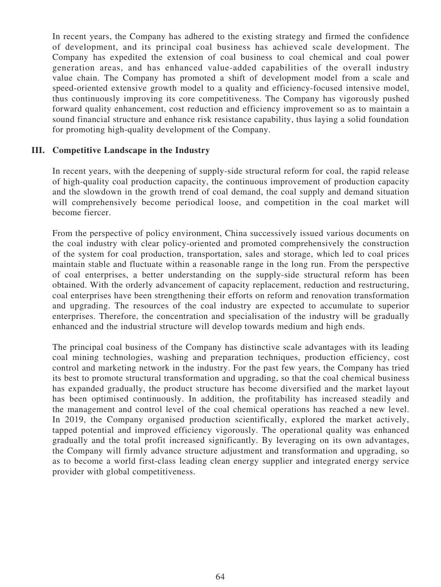In recent years, the Company has adhered to the existing strategy and firmed the confidence of development, and its principal coal business has achieved scale development. The Company has expedited the extension of coal business to coal chemical and coal power generation areas, and has enhanced value-added capabilities of the overall industry value chain. The Company has promoted a shift of development model from a scale and speed-oriented extensive growth model to a quality and efficiency-focused intensive model, thus continuously improving its core competitiveness. The Company has vigorously pushed forward quality enhancement, cost reduction and efficiency improvement so as to maintain a sound financial structure and enhance risk resistance capability, thus laying a solid foundation for promoting high-quality development of the Company.

## **III. Competitive Landscape in the Industry**

In recent years, with the deepening of supply-side structural reform for coal, the rapid release of high-quality coal production capacity, the continuous improvement of production capacity and the slowdown in the growth trend of coal demand, the coal supply and demand situation will comprehensively become periodical loose, and competition in the coal market will become fiercer.

From the perspective of policy environment, China successively issued various documents on the coal industry with clear policy-oriented and promoted comprehensively the construction of the system for coal production, transportation, sales and storage, which led to coal prices maintain stable and fluctuate within a reasonable range in the long run. From the perspective of coal enterprises, a better understanding on the supply-side structural reform has been obtained. With the orderly advancement of capacity replacement, reduction and restructuring, coal enterprises have been strengthening their efforts on reform and renovation transformation and upgrading. The resources of the coal industry are expected to accumulate to superior enterprises. Therefore, the concentration and specialisation of the industry will be gradually enhanced and the industrial structure will develop towards medium and high ends.

The principal coal business of the Company has distinctive scale advantages with its leading coal mining technologies, washing and preparation techniques, production efficiency, cost control and marketing network in the industry. For the past few years, the Company has tried its best to promote structural transformation and upgrading, so that the coal chemical business has expanded gradually, the product structure has become diversified and the market layout has been optimised continuously. In addition, the profitability has increased steadily and the management and control level of the coal chemical operations has reached a new level. In 2019, the Company organised production scientifically, explored the market actively, tapped potential and improved efficiency vigorously. The operational quality was enhanced gradually and the total profit increased significantly. By leveraging on its own advantages, the Company will firmly advance structure adjustment and transformation and upgrading, so as to become a world first-class leading clean energy supplier and integrated energy service provider with global competitiveness.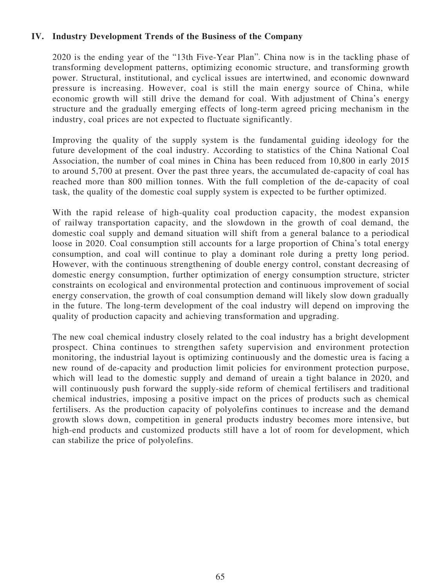# **IV. Industry Development Trends of the Business of the Company**

2020 is the ending year of the "13th Five-Year Plan". China now is in the tackling phase of transforming development patterns, optimizing economic structure, and transforming growth power. Structural, institutional, and cyclical issues are intertwined, and economic downward pressure is increasing. However, coal is still the main energy source of China, while economic growth will still drive the demand for coal. With adjustment of China's energy structure and the gradually emerging effects of long-term agreed pricing mechanism in the industry, coal prices are not expected to fluctuate significantly.

Improving the quality of the supply system is the fundamental guiding ideology for the future development of the coal industry. According to statistics of the China National Coal Association, the number of coal mines in China has been reduced from 10,800 in early 2015 to around 5,700 at present. Over the past three years, the accumulated de-capacity of coal has reached more than 800 million tonnes. With the full completion of the de-capacity of coal task, the quality of the domestic coal supply system is expected to be further optimized.

With the rapid release of high-quality coal production capacity, the modest expansion of railway transportation capacity, and the slowdown in the growth of coal demand, the domestic coal supply and demand situation will shift from a general balance to a periodical loose in 2020. Coal consumption still accounts for a large proportion of China's total energy consumption, and coal will continue to play a dominant role during a pretty long period. However, with the continuous strengthening of double energy control, constant decreasing of domestic energy consumption, further optimization of energy consumption structure, stricter constraints on ecological and environmental protection and continuous improvement of social energy conservation, the growth of coal consumption demand will likely slow down gradually in the future. The long-term development of the coal industry will depend on improving the quality of production capacity and achieving transformation and upgrading.

The new coal chemical industry closely related to the coal industry has a bright development prospect. China continues to strengthen safety supervision and environment protection monitoring, the industrial layout is optimizing continuously and the domestic urea is facing a new round of de-capacity and production limit policies for environment protection purpose, which will lead to the domestic supply and demand of ureain a tight balance in 2020, and will continuously push forward the supply-side reform of chemical fertilisers and traditional chemical industries, imposing a positive impact on the prices of products such as chemical fertilisers. As the production capacity of polyolefins continues to increase and the demand growth slows down, competition in general products industry becomes more intensive, but high-end products and customized products still have a lot of room for development, which can stabilize the price of polyolefins.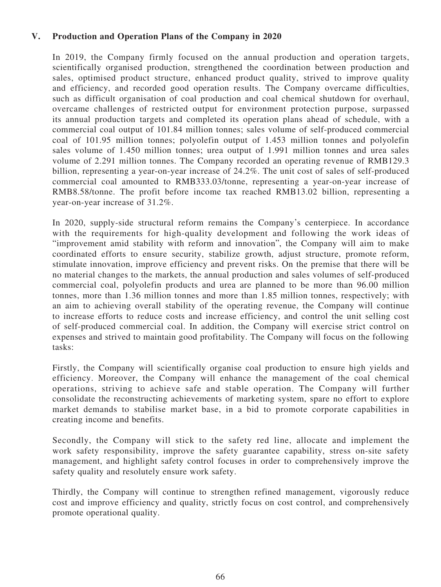# **V. Production and Operation Plans of the Company in 2020**

In 2019, the Company firmly focused on the annual production and operation targets, scientifically organised production, strengthened the coordination between production and sales, optimised product structure, enhanced product quality, strived to improve quality and efficiency, and recorded good operation results. The Company overcame difficulties, such as difficult organisation of coal production and coal chemical shutdown for overhaul, overcame challenges of restricted output for environment protection purpose, surpassed its annual production targets and completed its operation plans ahead of schedule, with a commercial coal output of 101.84 million tonnes; sales volume of self-produced commercial coal of 101.95 million tonnes; polyolefin output of 1.453 million tonnes and polyolefin sales volume of 1.450 million tonnes; urea output of 1.991 million tonnes and urea sales volume of 2.291 million tonnes. The Company recorded an operating revenue of RMB129.3 billion, representing a year-on-year increase of 24.2%. The unit cost of sales of self-produced commercial coal amounted to RMB333.03/tonne, representing a year-on-year increase of RMB8.58/tonne. The profit before income tax reached RMB13.02 billion, representing a year-on-year increase of 31.2%.

In 2020, supply-side structural reform remains the Company's centerpiece. In accordance with the requirements for high-quality development and following the work ideas of "improvement amid stability with reform and innovation", the Company will aim to make coordinated efforts to ensure security, stabilize growth, adjust structure, promote reform, stimulate innovation, improve efficiency and prevent risks. On the premise that there will be no material changes to the markets, the annual production and sales volumes of self-produced commercial coal, polyolefin products and urea are planned to be more than 96.00 million tonnes, more than 1.36 million tonnes and more than 1.85 million tonnes, respectively; with an aim to achieving overall stability of the operating revenue, the Company will continue to increase efforts to reduce costs and increase efficiency, and control the unit selling cost of self-produced commercial coal. In addition, the Company will exercise strict control on expenses and strived to maintain good profitability. The Company will focus on the following tasks:

Firstly, the Company will scientifically organise coal production to ensure high yields and efficiency. Moreover, the Company will enhance the management of the coal chemical operations, striving to achieve safe and stable operation. The Company will further consolidate the reconstructing achievements of marketing system, spare no effort to explore market demands to stabilise market base, in a bid to promote corporate capabilities in creating income and benefits.

Secondly, the Company will stick to the safety red line, allocate and implement the work safety responsibility, improve the safety guarantee capability, stress on-site safety management, and highlight safety control focuses in order to comprehensively improve the safety quality and resolutely ensure work safety.

Thirdly, the Company will continue to strengthen refined management, vigorously reduce cost and improve efficiency and quality, strictly focus on cost control, and comprehensively promote operational quality.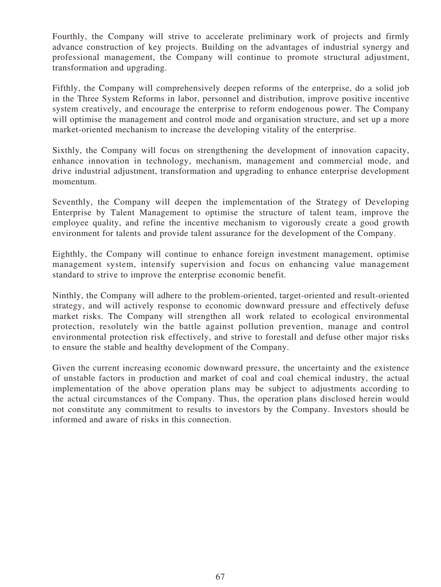Fourthly, the Company will strive to accelerate preliminary work of projects and firmly advance construction of key projects. Building on the advantages of industrial synergy and professional management, the Company will continue to promote structural adjustment, transformation and upgrading.

Fifthly, the Company will comprehensively deepen reforms of the enterprise, do a solid job in the Three System Reforms in labor, personnel and distribution, improve positive incentive system creatively, and encourage the enterprise to reform endogenous power. The Company will optimise the management and control mode and organisation structure, and set up a more market-oriented mechanism to increase the developing vitality of the enterprise.

Sixthly, the Company will focus on strengthening the development of innovation capacity, enhance innovation in technology, mechanism, management and commercial mode, and drive industrial adjustment, transformation and upgrading to enhance enterprise development momentum.

Seventhly, the Company will deepen the implementation of the Strategy of Developing Enterprise by Talent Management to optimise the structure of talent team, improve the employee quality, and refine the incentive mechanism to vigorously create a good growth environment for talents and provide talent assurance for the development of the Company.

Eighthly, the Company will continue to enhance foreign investment management, optimise management system, intensify supervision and focus on enhancing value management standard to strive to improve the enterprise economic benefit.

Ninthly, the Company will adhere to the problem-oriented, target-oriented and result-oriented strategy, and will actively response to economic downward pressure and effectively defuse market risks. The Company will strengthen all work related to ecological environmental protection, resolutely win the battle against pollution prevention, manage and control environmental protection risk effectively, and strive to forestall and defuse other major risks to ensure the stable and healthy development of the Company.

Given the current increasing economic downward pressure, the uncertainty and the existence of unstable factors in production and market of coal and coal chemical industry, the actual implementation of the above operation plans may be subject to adjustments according to the actual circumstances of the Company. Thus, the operation plans disclosed herein would not constitute any commitment to results to investors by the Company. Investors should be informed and aware of risks in this connection.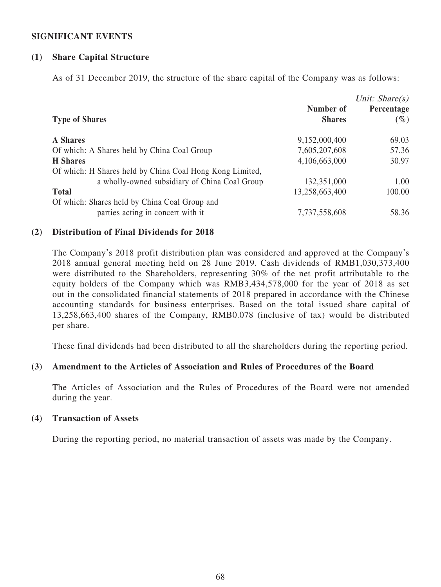# **SIGNIFICANT EVENTS**

# **(1) Share Capital Structure**

As of 31 December 2019, the structure of the share capital of the Company was as follows:

| <b>Type of Shares</b>                                                              | Number of<br><b>Shares</b> | Unit: $Share(s)$<br>Percentage<br>$(\%)$ |
|------------------------------------------------------------------------------------|----------------------------|------------------------------------------|
| <b>A</b> Shares                                                                    | 9,152,000,400              | 69.03                                    |
| Of which: A Shares held by China Coal Group                                        | 7,605,207,608              | 57.36                                    |
| <b>H</b> Shares                                                                    | 4,106,663,000              | 30.97                                    |
| Of which: H Shares held by China Coal Hong Kong Limited,                           |                            |                                          |
| a wholly-owned subsidiary of China Coal Group                                      | 132,351,000                | 1.00                                     |
| <b>Total</b>                                                                       | 13,258,663,400             | 100.00                                   |
| Of which: Shares held by China Coal Group and<br>parties acting in concert with it | 7,737,558,608              | 58.36                                    |

## **(2) Distribution of Final Dividends for 2018**

The Company's 2018 profit distribution plan was considered and approved at the Company's 2018 annual general meeting held on 28 June 2019. Cash dividends of RMB1,030,373,400 were distributed to the Shareholders, representing 30% of the net profit attributable to the equity holders of the Company which was RMB3,434,578,000 for the year of 2018 as set out in the consolidated financial statements of 2018 prepared in accordance with the Chinese accounting standards for business enterprises. Based on the total issued share capital of 13,258,663,400 shares of the Company, RMB0.078 (inclusive of tax) would be distributed per share.

These final dividends had been distributed to all the shareholders during the reporting period.

# **(3) Amendment to the Articles of Association and Rules of Procedures of the Board**

The Articles of Association and the Rules of Procedures of the Board were not amended during the year.

#### **(4) Transaction of Assets**

During the reporting period, no material transaction of assets was made by the Company.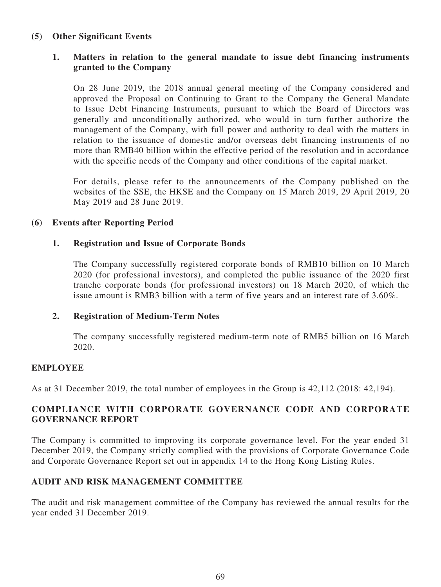# **(5) Other Significant Events**

# **1. Matters in relation to the general mandate to issue debt financing instruments granted to the Company**

On 28 June 2019, the 2018 annual general meeting of the Company considered and approved the Proposal on Continuing to Grant to the Company the General Mandate to Issue Debt Financing Instruments, pursuant to which the Board of Directors was generally and unconditionally authorized, who would in turn further authorize the management of the Company, with full power and authority to deal with the matters in relation to the issuance of domestic and/or overseas debt financing instruments of no more than RMB40 billion within the effective period of the resolution and in accordance with the specific needs of the Company and other conditions of the capital market.

For details, please refer to the announcements of the Company published on the websites of the SSE, the HKSE and the Company on 15 March 2019, 29 April 2019, 20 May 2019 and 28 June 2019.

# **(6) Events after Reporting Period**

## **1. Registration and Issue of Corporate Bonds**

The Company successfully registered corporate bonds of RMB10 billion on 10 March 2020 (for professional investors), and completed the public issuance of the 2020 first tranche corporate bonds (for professional investors) on 18 March 2020, of which the issue amount is RMB3 billion with a term of five years and an interest rate of 3.60%.

## **2. Registration of Medium-Term Notes**

The company successfully registered medium-term note of RMB5 billion on 16 March 2020.

## **EMPLOYEE**

As at 31 December 2019, the total number of employees in the Group is 42,112 (2018: 42,194).

# **COMPLIANCE WITH CORPORATE GOVERNANCE CODE AND CORPORATE GOVERNANCE REPORT**

The Company is committed to improving its corporate governance level. For the year ended 31 December 2019, the Company strictly complied with the provisions of Corporate Governance Code and Corporate Governance Report set out in appendix 14 to the Hong Kong Listing Rules.

## **AUDIT AND RISK MANAGEMENT COMMITTEE**

The audit and risk management committee of the Company has reviewed the annual results for the year ended 31 December 2019.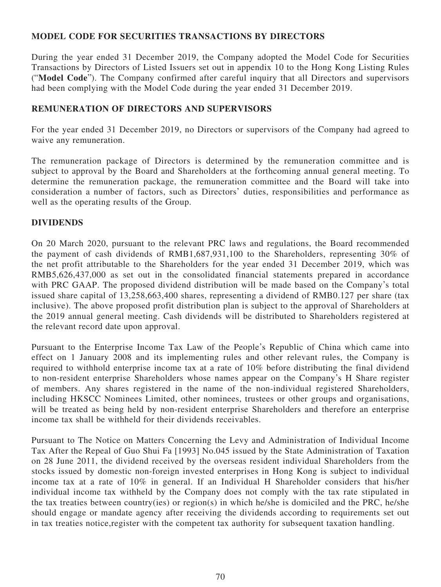# **MODEL CODE FOR SECURITIES TRANSACTIONS BY DIRECTORS**

During the year ended 31 December 2019, the Company adopted the Model Code for Securities Transactions by Directors of Listed Issuers set out in appendix 10 to the Hong Kong Listing Rules ("**Model Code**"). The Company confirmed after careful inquiry that all Directors and supervisors had been complying with the Model Code during the year ended 31 December 2019.

# **REMUNERATION OF DIRECTORS AND SUPERVISORS**

For the year ended 31 December 2019, no Directors or supervisors of the Company had agreed to waive any remuneration.

The remuneration package of Directors is determined by the remuneration committee and is subject to approval by the Board and Shareholders at the forthcoming annual general meeting. To determine the remuneration package, the remuneration committee and the Board will take into consideration a number of factors, such as Directors' duties, responsibilities and performance as well as the operating results of the Group.

# **DIVIDENDS**

On 20 March 2020, pursuant to the relevant PRC laws and regulations, the Board recommended the payment of cash dividends of RMB1,687,931,100 to the Shareholders, representing 30% of the net profit attributable to the Shareholders for the year ended 31 December 2019, which was RMB5,626,437,000 as set out in the consolidated financial statements prepared in accordance with PRC GAAP. The proposed dividend distribution will be made based on the Company's total issued share capital of 13,258,663,400 shares, representing a dividend of RMB0.127 per share (tax inclusive). The above proposed profit distribution plan is subject to the approval of Shareholders at the 2019 annual general meeting. Cash dividends will be distributed to Shareholders registered at the relevant record date upon approval.

Pursuant to the Enterprise Income Tax Law of the People's Republic of China which came into effect on 1 January 2008 and its implementing rules and other relevant rules, the Company is required to withhold enterprise income tax at a rate of 10% before distributing the final dividend to non-resident enterprise Shareholders whose names appear on the Company's H Share register of members. Any shares registered in the name of the non-individual registered Shareholders, including HKSCC Nominees Limited, other nominees, trustees or other groups and organisations, will be treated as being held by non-resident enterprise Shareholders and therefore an enterprise income tax shall be withheld for their dividends receivables.

Pursuant to The Notice on Matters Concerning the Levy and Administration of Individual Income Tax After the Repeal of Guo Shui Fa [1993] No.045 issued by the State Administration of Taxation on 28 June 2011, the dividend received by the overseas resident individual Shareholders from the stocks issued by domestic non-foreign invested enterprises in Hong Kong is subject to individual income tax at a rate of 10% in general. If an Individual H Shareholder considers that his/her individual income tax withheld by the Company does not comply with the tax rate stipulated in the tax treaties between country(ies) or region(s) in which he/she is domiciled and the PRC, he/she should engage or mandate agency after receiving the dividends according to requirements set out in tax treaties notice,register with the competent tax authority for subsequent taxation handling.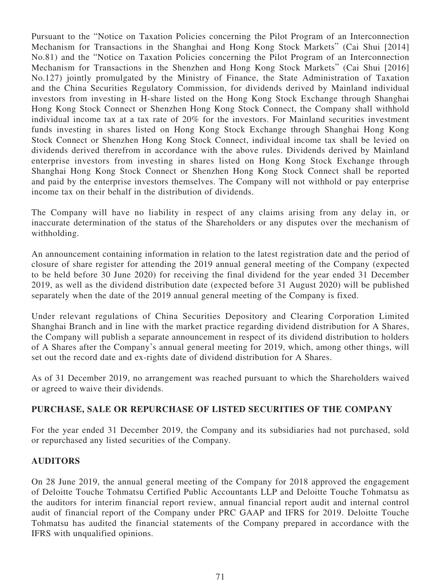Pursuant to the "Notice on Taxation Policies concerning the Pilot Program of an Interconnection Mechanism for Transactions in the Shanghai and Hong Kong Stock Markets" (Cai Shui [2014] No.81) and the "Notice on Taxation Policies concerning the Pilot Program of an Interconnection Mechanism for Transactions in the Shenzhen and Hong Kong Stock Markets" (Cai Shui [2016] No.127) jointly promulgated by the Ministry of Finance, the State Administration of Taxation and the China Securities Regulatory Commission, for dividends derived by Mainland individual investors from investing in H-share listed on the Hong Kong Stock Exchange through Shanghai Hong Kong Stock Connect or Shenzhen Hong Kong Stock Connect, the Company shall withhold individual income tax at a tax rate of 20% for the investors. For Mainland securities investment funds investing in shares listed on Hong Kong Stock Exchange through Shanghai Hong Kong Stock Connect or Shenzhen Hong Kong Stock Connect, individual income tax shall be levied on dividends derived therefrom in accordance with the above rules. Dividends derived by Mainland enterprise investors from investing in shares listed on Hong Kong Stock Exchange through Shanghai Hong Kong Stock Connect or Shenzhen Hong Kong Stock Connect shall be reported and paid by the enterprise investors themselves. The Company will not withhold or pay enterprise income tax on their behalf in the distribution of dividends.

The Company will have no liability in respect of any claims arising from any delay in, or inaccurate determination of the status of the Shareholders or any disputes over the mechanism of withholding.

An announcement containing information in relation to the latest registration date and the period of closure of share register for attending the 2019 annual general meeting of the Company (expected to be held before 30 June 2020) for receiving the final dividend for the year ended 31 December 2019, as well as the dividend distribution date (expected before 31 August 2020) will be published separately when the date of the 2019 annual general meeting of the Company is fixed.

Under relevant regulations of China Securities Depository and Clearing Corporation Limited Shanghai Branch and in line with the market practice regarding dividend distribution for A Shares, the Company will publish a separate announcement in respect of its dividend distribution to holders of A Shares after the Company's annual general meeting for 2019, which, among other things, will set out the record date and ex-rights date of dividend distribution for A Shares.

As of 31 December 2019, no arrangement was reached pursuant to which the Shareholders waived or agreed to waive their dividends.

# **PURCHASE, SALE OR REPURCHASE OF LISTED SECURITIES OF THE COMPANY**

For the year ended 31 December 2019, the Company and its subsidiaries had not purchased, sold or repurchased any listed securities of the Company.

# **AUDITORS**

On 28 June 2019, the annual general meeting of the Company for 2018 approved the engagement of Deloitte Touche Tohmatsu Certified Public Accountants LLP and Deloitte Touche Tohmatsu as the auditors for interim financial report review, annual financial report audit and internal control audit of financial report of the Company under PRC GAAP and IFRS for 2019. Deloitte Touche Tohmatsu has audited the financial statements of the Company prepared in accordance with the IFRS with unqualified opinions.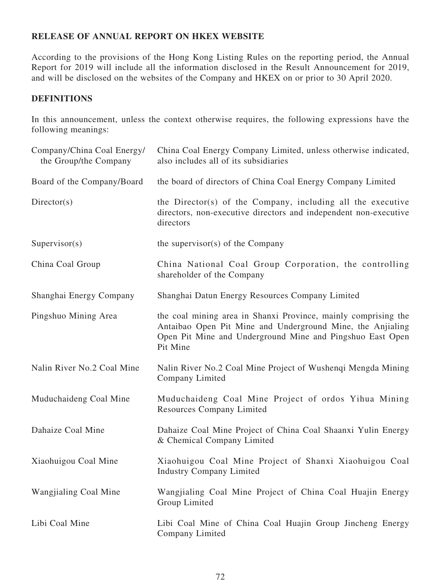# **RELEASE OF ANNUAL REPORT ON HKEX WEBSITE**

According to the provisions of the Hong Kong Listing Rules on the reporting period, the Annual Report for 2019 will include all the information disclosed in the Result Announcement for 2019, and will be disclosed on the websites of the Company and HKEX on or prior to 30 April 2020.

# **DEFINITIONS**

In this announcement, unless the context otherwise requires, the following expressions have the following meanings:

| Company/China Coal Energy/<br>the Group/the Company | China Coal Energy Company Limited, unless otherwise indicated,<br>also includes all of its subsidiaries                                                                                               |
|-----------------------------------------------------|-------------------------------------------------------------------------------------------------------------------------------------------------------------------------------------------------------|
| Board of the Company/Board                          | the board of directors of China Coal Energy Company Limited                                                                                                                                           |
| Directory(s)                                        | the Director(s) of the Company, including all the executive<br>directors, non-executive directors and independent non-executive<br>directors                                                          |
| Supervisor(s)                                       | the supervisor(s) of the Company                                                                                                                                                                      |
| China Coal Group                                    | China National Coal Group Corporation, the controlling<br>shareholder of the Company                                                                                                                  |
| Shanghai Energy Company                             | Shanghai Datun Energy Resources Company Limited                                                                                                                                                       |
| Pingshuo Mining Area                                | the coal mining area in Shanxi Province, mainly comprising the<br>Antaibao Open Pit Mine and Underground Mine, the Anjialing<br>Open Pit Mine and Underground Mine and Pingshuo East Open<br>Pit Mine |
| Nalin River No.2 Coal Mine                          | Nalin River No.2 Coal Mine Project of Wushenqi Mengda Mining<br>Company Limited                                                                                                                       |
| Muduchaideng Coal Mine                              | Muduchaideng Coal Mine Project of ordos Yihua Mining<br><b>Resources Company Limited</b>                                                                                                              |
| Dahaize Coal Mine                                   | Dahaize Coal Mine Project of China Coal Shaanxi Yulin Energy<br>& Chemical Company Limited                                                                                                            |
| Xiaohuigou Coal Mine                                | Xiaohuigou Coal Mine Project of Shanxi Xiaohuigou Coal<br><b>Industry Company Limited</b>                                                                                                             |
| Wangjialing Coal Mine                               | Wangjialing Coal Mine Project of China Coal Huajin Energy<br>Group Limited                                                                                                                            |
| Libi Coal Mine                                      | Libi Coal Mine of China Coal Huajin Group Jincheng Energy<br>Company Limited                                                                                                                          |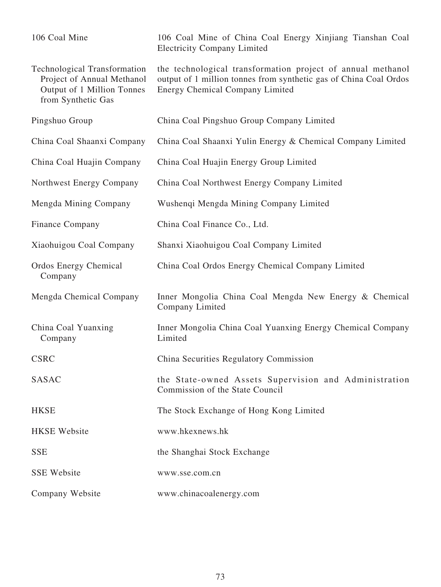| 106 Coal Mine                                                                                                         | 106 Coal Mine of China Coal Energy Xinjiang Tianshan Coal<br><b>Electricity Company Limited</b>                                                                     |
|-----------------------------------------------------------------------------------------------------------------------|---------------------------------------------------------------------------------------------------------------------------------------------------------------------|
| <b>Technological Transformation</b><br>Project of Annual Methanol<br>Output of 1 Million Tonnes<br>from Synthetic Gas | the technological transformation project of annual methanol<br>output of 1 million tonnes from synthetic gas of China Coal Ordos<br>Energy Chemical Company Limited |
| Pingshuo Group                                                                                                        | China Coal Pingshuo Group Company Limited                                                                                                                           |
| China Coal Shaanxi Company                                                                                            | China Coal Shaanxi Yulin Energy & Chemical Company Limited                                                                                                          |
| China Coal Huajin Company                                                                                             | China Coal Huajin Energy Group Limited                                                                                                                              |
| Northwest Energy Company                                                                                              | China Coal Northwest Energy Company Limited                                                                                                                         |
| Mengda Mining Company                                                                                                 | Wushenqi Mengda Mining Company Limited                                                                                                                              |
| Finance Company                                                                                                       | China Coal Finance Co., Ltd.                                                                                                                                        |
| Xiaohuigou Coal Company                                                                                               | Shanxi Xiaohuigou Coal Company Limited                                                                                                                              |
| <b>Ordos Energy Chemical</b><br>Company                                                                               | China Coal Ordos Energy Chemical Company Limited                                                                                                                    |
| Mengda Chemical Company                                                                                               | Inner Mongolia China Coal Mengda New Energy & Chemical<br>Company Limited                                                                                           |
| China Coal Yuanxing<br>Company                                                                                        | Inner Mongolia China Coal Yuanxing Energy Chemical Company<br>Limited                                                                                               |
| <b>CSRC</b>                                                                                                           | China Securities Regulatory Commission                                                                                                                              |
| SASAC                                                                                                                 | the State-owned Assets Supervision and Administration<br>Commission of the State Council                                                                            |
| <b>HKSE</b>                                                                                                           | The Stock Exchange of Hong Kong Limited                                                                                                                             |
| <b>HKSE</b> Website                                                                                                   | www.hkexnews.hk                                                                                                                                                     |
| <b>SSE</b>                                                                                                            | the Shanghai Stock Exchange                                                                                                                                         |
| <b>SSE Website</b>                                                                                                    | www.sse.com.cn                                                                                                                                                      |
| Company Website                                                                                                       | www.chinacoalenergy.com                                                                                                                                             |